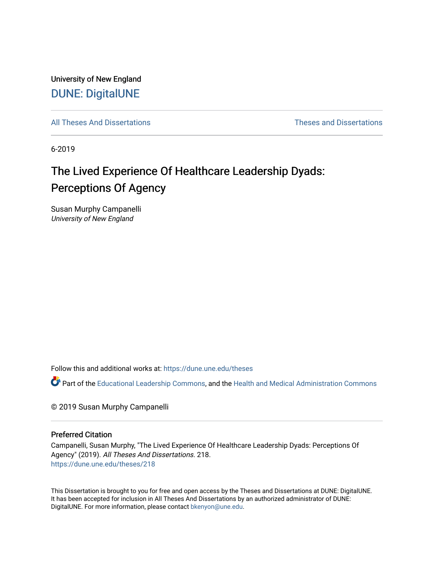University of New England [DUNE: DigitalUNE](https://dune.une.edu/) 

[All Theses And Dissertations](https://dune.une.edu/theses) [Theses and Dissertations](https://dune.une.edu/theses_dissertations) 

6-2019

# The Lived Experience Of Healthcare Leadership Dyads: Perceptions Of Agency

Susan Murphy Campanelli University of New England

Follow this and additional works at: [https://dune.une.edu/theses](https://dune.une.edu/theses?utm_source=dune.une.edu%2Ftheses%2F218&utm_medium=PDF&utm_campaign=PDFCoverPages) 

Part of the [Educational Leadership Commons,](http://network.bepress.com/hgg/discipline/1230?utm_source=dune.une.edu%2Ftheses%2F218&utm_medium=PDF&utm_campaign=PDFCoverPages) and the [Health and Medical Administration Commons](http://network.bepress.com/hgg/discipline/663?utm_source=dune.une.edu%2Ftheses%2F218&utm_medium=PDF&utm_campaign=PDFCoverPages) 

© 2019 Susan Murphy Campanelli

#### Preferred Citation

Campanelli, Susan Murphy, "The Lived Experience Of Healthcare Leadership Dyads: Perceptions Of Agency" (2019). All Theses And Dissertations. 218. [https://dune.une.edu/theses/218](https://dune.une.edu/theses/218?utm_source=dune.une.edu%2Ftheses%2F218&utm_medium=PDF&utm_campaign=PDFCoverPages)

This Dissertation is brought to you for free and open access by the Theses and Dissertations at DUNE: DigitalUNE. It has been accepted for inclusion in All Theses And Dissertations by an authorized administrator of DUNE: DigitalUNE. For more information, please contact [bkenyon@une.edu.](mailto:bkenyon@une.edu)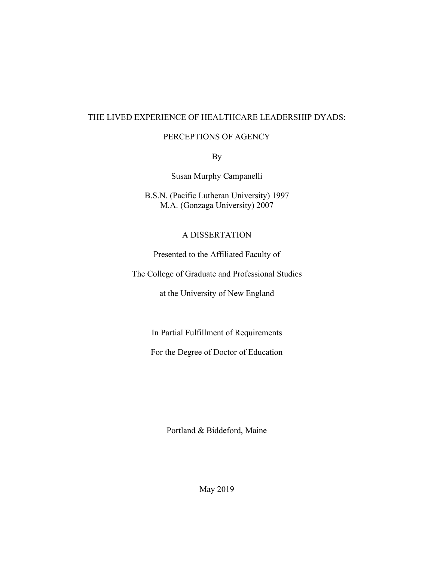### THE LIVED EXPERIENCE OF HEALTHCARE LEADERSHIP DYADS:

#### PERCEPTIONS OF AGENCY

By

Susan Murphy Campanelli

B.S.N. (Pacific Lutheran University) 1997 M.A. (Gonzaga University) 2007

## A DISSERTATION

Presented to the Affiliated Faculty of

The College of Graduate and Professional Studies

at the University of New England

In Partial Fulfillment of Requirements

For the Degree of Doctor of Education

Portland & Biddeford, Maine

May 2019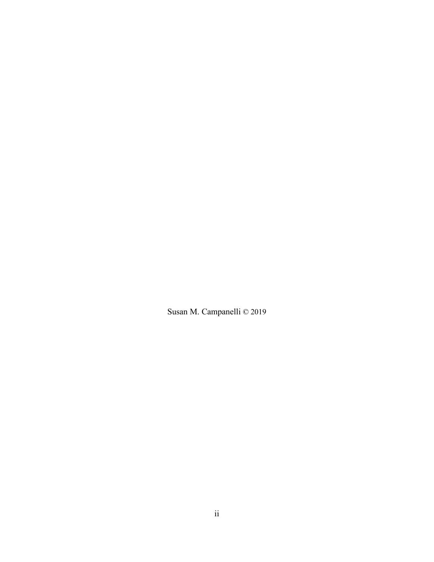Susan M. Campanelli © 2019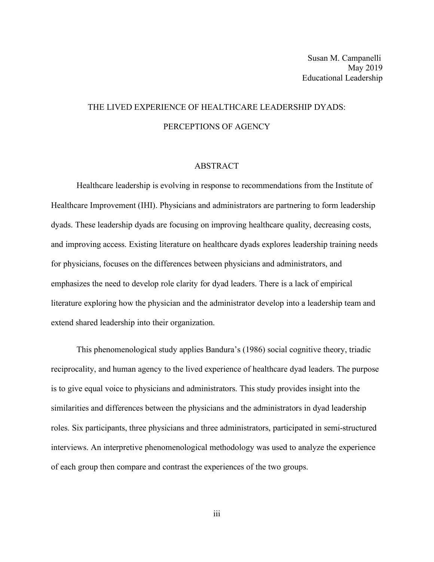## THE LIVED EXPERIENCE OF HEALTHCARE LEADERSHIP DYADS: PERCEPTIONS OF AGENCY

#### ABSTRACT

Healthcare leadership is evolving in response to recommendations from the Institute of Healthcare Improvement (IHI). Physicians and administrators are partnering to form leadership dyads. These leadership dyads are focusing on improving healthcare quality, decreasing costs, and improving access. Existing literature on healthcare dyads explores leadership training needs for physicians, focuses on the differences between physicians and administrators, and emphasizes the need to develop role clarity for dyad leaders. There is a lack of empirical literature exploring how the physician and the administrator develop into a leadership team and extend shared leadership into their organization.

This phenomenological study applies Bandura's (1986) social cognitive theory, triadic reciprocality, and human agency to the lived experience of healthcare dyad leaders. The purpose is to give equal voice to physicians and administrators. This study provides insight into the similarities and differences between the physicians and the administrators in dyad leadership roles. Six participants, three physicians and three administrators, participated in semi-structured interviews. An interpretive phenomenological methodology was used to analyze the experience of each group then compare and contrast the experiences of the two groups.

iii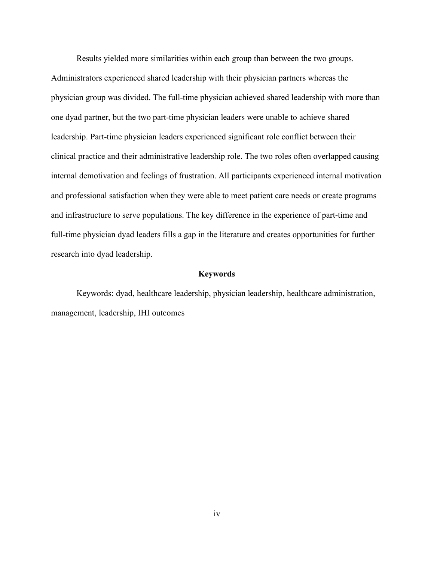Results yielded more similarities within each group than between the two groups. Administrators experienced shared leadership with their physician partners whereas the physician group was divided. The full-time physician achieved shared leadership with more than one dyad partner, but the two part-time physician leaders were unable to achieve shared leadership. Part-time physician leaders experienced significant role conflict between their clinical practice and their administrative leadership role. The two roles often overlapped causing internal demotivation and feelings of frustration. All participants experienced internal motivation and professional satisfaction when they were able to meet patient care needs or create programs and infrastructure to serve populations. The key difference in the experience of part-time and full-time physician dyad leaders fills a gap in the literature and creates opportunities for further research into dyad leadership.

#### **Keywords**

Keywords: dyad, healthcare leadership, physician leadership, healthcare administration, management, leadership, IHI outcomes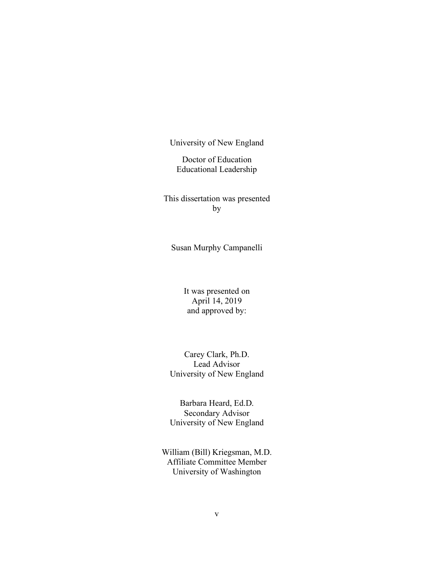University of New England

Doctor of Education Educational Leadership

This dissertation was presented by

Susan Murphy Campanelli

It was presented on April 14, 2019 and approved by:

Carey Clark, Ph.D. Lead Advisor University of New England

Barbara Heard, Ed.D. Secondary Advisor University of New England

William (Bill) Kriegsman, M.D. Affiliate Committee Member University of Washington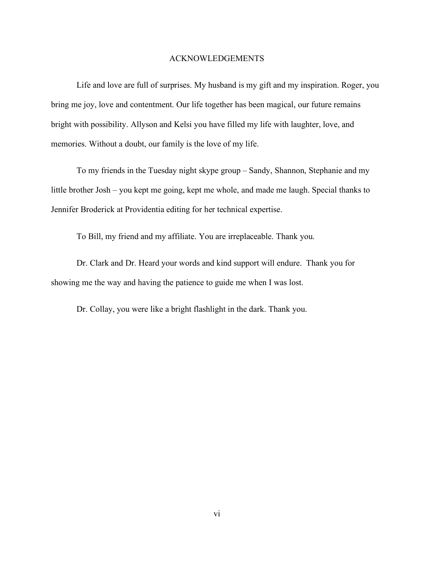#### ACKNOWLEDGEMENTS

Life and love are full of surprises. My husband is my gift and my inspiration. Roger, you bring me joy, love and contentment. Our life together has been magical, our future remains bright with possibility. Allyson and Kelsi you have filled my life with laughter, love, and memories. Without a doubt, our family is the love of my life.

To my friends in the Tuesday night skype group – Sandy, Shannon, Stephanie and my little brother Josh – you kept me going, kept me whole, and made me laugh. Special thanks to Jennifer Broderick at Providentia editing for her technical expertise.

To Bill, my friend and my affiliate. You are irreplaceable. Thank you.

Dr. Clark and Dr. Heard your words and kind support will endure. Thank you for showing me the way and having the patience to guide me when I was lost.

Dr. Collay, you were like a bright flashlight in the dark. Thank you.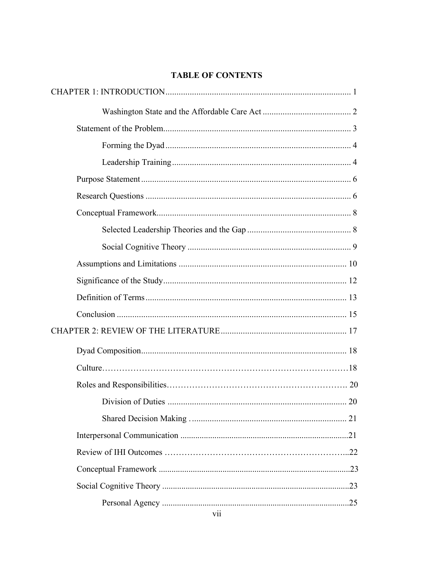## **TABLE OF CONTENTS**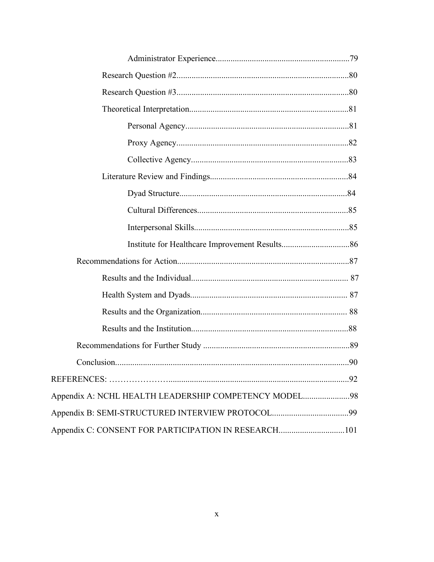| Appendix A: NCHL HEALTH LEADERSHIP COMPETENCY MODEL98 |  |
|-------------------------------------------------------|--|
|                                                       |  |
| Appendix C: CONSENT FOR PARTICIPATION IN RESEARCH101  |  |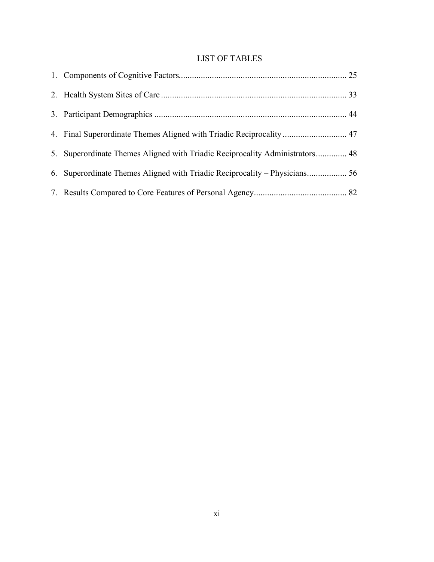## LIST OF TABLES

| 5. Superordinate Themes Aligned with Triadic Reciprocality Administrators 48 |  |
|------------------------------------------------------------------------------|--|
|                                                                              |  |
|                                                                              |  |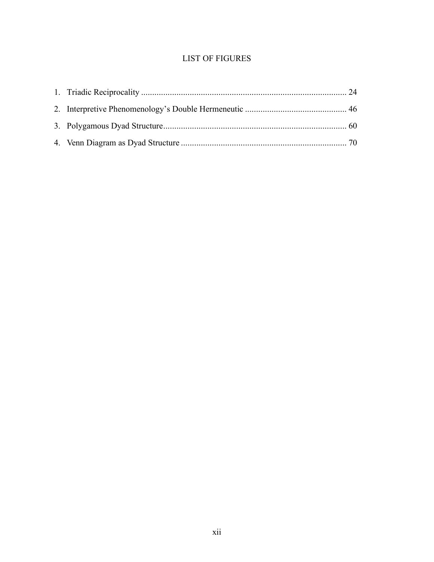## LIST OF FIGURES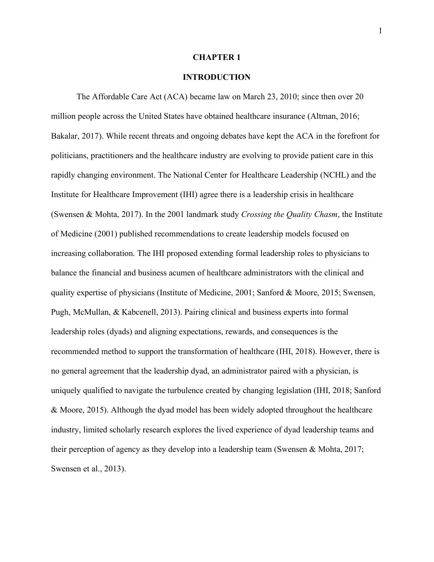#### **CHAPTER 1**

#### **INTRODUCTION**

The Affordable Care Act (ACA) became law on March 23, 2010; since then over 20 million people across the United States have obtained healthcare insurance (Altman, 2016; Bakalar, 2017). While recent threats and ongoing debates have kept the ACA in the forefront for politicians, practitioners and the healthcare industry are evolving to provide patient care in this rapidly changing environment. The National Center for Healthcare Leadership (NCHL) and the Institute for Healthcare Improvement (IHI) agree there is a leadership crisis in healthcare (Swensen & Mohta, 2017). In the 2001 landmark study *Crossing the Quality Chasm*, the Institute of Medicine (2001) published recommendations to create leadership models focused on increasing collaboration. The IHI proposed extending formal leadership roles to physicians to balance the financial and business acumen of healthcare administrators with the clinical and quality expertise of physicians (Institute of Medicine, 2001; Sanford & Moore, 2015; Swensen, Pugh, McMullan, & Kabcenell, 2013). Pairing clinical and business experts into formal leadership roles (dyads) and aligning expectations, rewards, and consequences is the recommended method to support the transformation of healthcare (IHI, 2018). However, there is no general agreement that the leadership dyad, an administrator paired with a physician, is uniquely qualified to navigate the turbulence created by changing legislation (IHI, 2018; Sanford & Moore, 2015). Although the dyad model has been widely adopted throughout the healthcare industry, limited scholarly research explores the lived experience of dyad leadership teams and their perception of agency as they develop into a leadership team (Swensen  $\&$  Mohta, 2017; Swensen et al., 2013).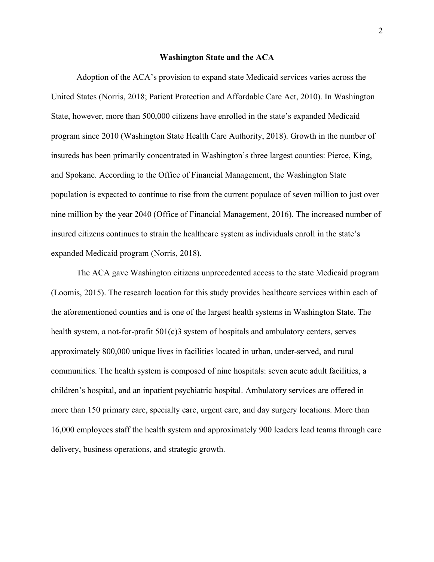#### **Washington State and the ACA**

Adoption of the ACA's provision to expand state Medicaid services varies across the United States (Norris, 2018; Patient Protection and Affordable Care Act, 2010). In Washington State, however, more than 500,000 citizens have enrolled in the state's expanded Medicaid program since 2010 (Washington State Health Care Authority, 2018). Growth in the number of insureds has been primarily concentrated in Washington's three largest counties: Pierce, King, and Spokane. According to the Office of Financial Management, the Washington State population is expected to continue to rise from the current populace of seven million to just over nine million by the year 2040 (Office of Financial Management, 2016). The increased number of insured citizens continues to strain the healthcare system as individuals enroll in the state's expanded Medicaid program (Norris, 2018).

The ACA gave Washington citizens unprecedented access to the state Medicaid program (Loomis, 2015). The research location for this study provides healthcare services within each of the aforementioned counties and is one of the largest health systems in Washington State. The health system, a not-for-profit 501(c)3 system of hospitals and ambulatory centers, serves approximately 800,000 unique lives in facilities located in urban, under-served, and rural communities. The health system is composed of nine hospitals: seven acute adult facilities, a children's hospital, and an inpatient psychiatric hospital. Ambulatory services are offered in more than 150 primary care, specialty care, urgent care, and day surgery locations. More than 16,000 employees staff the health system and approximately 900 leaders lead teams through care delivery, business operations, and strategic growth.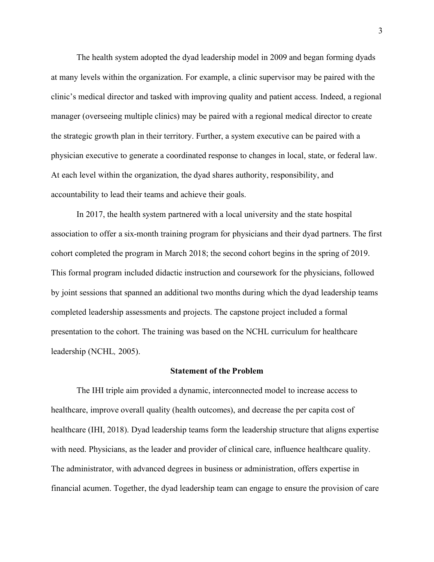The health system adopted the dyad leadership model in 2009 and began forming dyads at many levels within the organization. For example, a clinic supervisor may be paired with the clinic's medical director and tasked with improving quality and patient access. Indeed, a regional manager (overseeing multiple clinics) may be paired with a regional medical director to create the strategic growth plan in their territory. Further, a system executive can be paired with a physician executive to generate a coordinated response to changes in local, state, or federal law. At each level within the organization, the dyad shares authority, responsibility, and accountability to lead their teams and achieve their goals.

In 2017, the health system partnered with a local university and the state hospital association to offer a six-month training program for physicians and their dyad partners. The first cohort completed the program in March 2018; the second cohort begins in the spring of 2019. This formal program included didactic instruction and coursework for the physicians, followed by joint sessions that spanned an additional two months during which the dyad leadership teams completed leadership assessments and projects. The capstone project included a formal presentation to the cohort. The training was based on the NCHL curriculum for healthcare leadership (NCHL*,* 2005).

#### **Statement of the Problem**

The IHI triple aim provided a dynamic, interconnected model to increase access to healthcare, improve overall quality (health outcomes), and decrease the per capita cost of healthcare (IHI, 2018). Dyad leadership teams form the leadership structure that aligns expertise with need. Physicians, as the leader and provider of clinical care, influence healthcare quality. The administrator, with advanced degrees in business or administration, offers expertise in financial acumen. Together, the dyad leadership team can engage to ensure the provision of care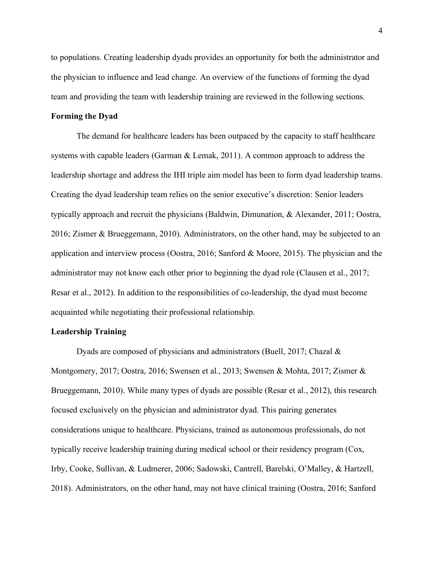to populations. Creating leadership dyads provides an opportunity for both the administrator and the physician to influence and lead change. An overview of the functions of forming the dyad team and providing the team with leadership training are reviewed in the following sections.

#### **Forming the Dyad**

The demand for healthcare leaders has been outpaced by the capacity to staff healthcare systems with capable leaders (Garman & Lemak, 2011). A common approach to address the leadership shortage and address the IHI triple aim model has been to form dyad leadership teams. Creating the dyad leadership team relies on the senior executive's discretion: Senior leaders typically approach and recruit the physicians (Baldwin, Dimunation, & Alexander, 2011; Oostra, 2016; Zismer & Brueggemann, 2010). Administrators, on the other hand, may be subjected to an application and interview process (Oostra, 2016; Sanford & Moore, 2015). The physician and the administrator may not know each other prior to beginning the dyad role (Clausen et al., 2017; Resar et al., 2012). In addition to the responsibilities of co-leadership, the dyad must become acquainted while negotiating their professional relationship.

#### **Leadership Training**

Dyads are composed of physicians and administrators (Buell, 2017; Chazal & Montgomery, 2017; Oostra, 2016; Swensen et al., 2013; Swensen & Mohta, 2017; Zismer & Brueggemann, 2010). While many types of dyads are possible (Resar et al., 2012), this research focused exclusively on the physician and administrator dyad. This pairing generates considerations unique to healthcare. Physicians, trained as autonomous professionals, do not typically receive leadership training during medical school or their residency program (Cox, Irby, Cooke, Sullivan, & Ludmerer, 2006; Sadowski, Cantrell, Barelski, O'Malley, & Hartzell, 2018). Administrators, on the other hand, may not have clinical training (Oostra, 2016; Sanford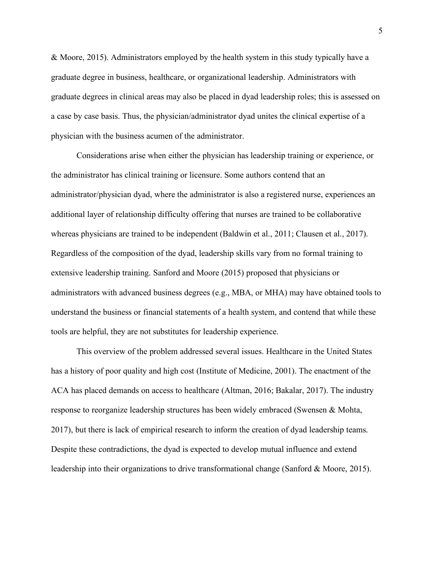& Moore, 2015). Administrators employed by the health system in this study typically have a graduate degree in business, healthcare, or organizational leadership. Administrators with graduate degrees in clinical areas may also be placed in dyad leadership roles; this is assessed on a case by case basis. Thus, the physician/administrator dyad unites the clinical expertise of a physician with the business acumen of the administrator.

Considerations arise when either the physician has leadership training or experience, or the administrator has clinical training or licensure. Some authors contend that an administrator/physician dyad, where the administrator is also a registered nurse, experiences an additional layer of relationship difficulty offering that nurses are trained to be collaborative whereas physicians are trained to be independent (Baldwin et al., 2011; Clausen et al., 2017). Regardless of the composition of the dyad, leadership skills vary from no formal training to extensive leadership training. Sanford and Moore (2015) proposed that physicians or administrators with advanced business degrees (e.g., MBA, or MHA) may have obtained tools to understand the business or financial statements of a health system, and contend that while these tools are helpful, they are not substitutes for leadership experience.

This overview of the problem addressed several issues. Healthcare in the United States has a history of poor quality and high cost (Institute of Medicine, 2001). The enactment of the ACA has placed demands on access to healthcare (Altman, 2016; Bakalar, 2017). The industry response to reorganize leadership structures has been widely embraced (Swensen & Mohta, 2017), but there is lack of empirical research to inform the creation of dyad leadership teams. Despite these contradictions, the dyad is expected to develop mutual influence and extend leadership into their organizations to drive transformational change (Sanford & Moore, 2015).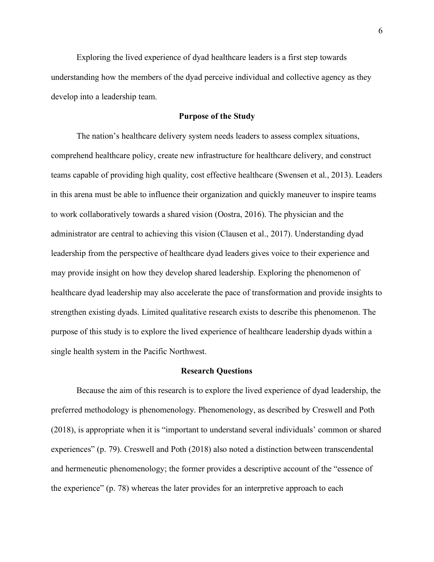Exploring the lived experience of dyad healthcare leaders is a first step towards understanding how the members of the dyad perceive individual and collective agency as they develop into a leadership team.

#### **Purpose of the Study**

The nation's healthcare delivery system needs leaders to assess complex situations, comprehend healthcare policy, create new infrastructure for healthcare delivery, and construct teams capable of providing high quality, cost effective healthcare (Swensen et al., 2013). Leaders in this arena must be able to influence their organization and quickly maneuver to inspire teams to work collaboratively towards a shared vision (Oostra, 2016). The physician and the administrator are central to achieving this vision (Clausen et al., 2017). Understanding dyad leadership from the perspective of healthcare dyad leaders gives voice to their experience and may provide insight on how they develop shared leadership. Exploring the phenomenon of healthcare dyad leadership may also accelerate the pace of transformation and provide insights to strengthen existing dyads. Limited qualitative research exists to describe this phenomenon. The purpose of this study is to explore the lived experience of healthcare leadership dyads within a single health system in the Pacific Northwest.

#### **Research Questions**

Because the aim of this research is to explore the lived experience of dyad leadership, the preferred methodology is phenomenology. Phenomenology, as described by Creswell and Poth (2018), is appropriate when it is "important to understand several individuals' common or shared experiences" (p. 79). Creswell and Poth (2018) also noted a distinction between transcendental and hermeneutic phenomenology; the former provides a descriptive account of the "essence of the experience" (p. 78) whereas the later provides for an interpretive approach to each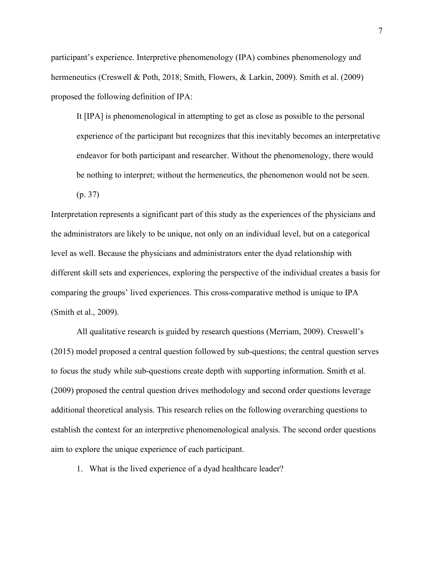participant's experience. Interpretive phenomenology (IPA) combines phenomenology and hermeneutics (Creswell & Poth, 2018; Smith, Flowers, & Larkin, 2009). Smith et al. (2009) proposed the following definition of IPA:

It [IPA] is phenomenological in attempting to get as close as possible to the personal experience of the participant but recognizes that this inevitably becomes an interpretative endeavor for both participant and researcher. Without the phenomenology, there would be nothing to interpret; without the hermeneutics, the phenomenon would not be seen.

(p. 37)

Interpretation represents a significant part of this study as the experiences of the physicians and the administrators are likely to be unique, not only on an individual level, but on a categorical level as well. Because the physicians and administrators enter the dyad relationship with different skill sets and experiences, exploring the perspective of the individual creates a basis for comparing the groups' lived experiences. This cross-comparative method is unique to IPA (Smith et al., 2009).

All qualitative research is guided by research questions (Merriam, 2009). Creswell's (2015) model proposed a central question followed by sub-questions; the central question serves to focus the study while sub-questions create depth with supporting information. Smith et al. (2009) proposed the central question drives methodology and second order questions leverage additional theoretical analysis. This research relies on the following overarching questions to establish the context for an interpretive phenomenological analysis. The second order questions aim to explore the unique experience of each participant.

1. What is the lived experience of a dyad healthcare leader?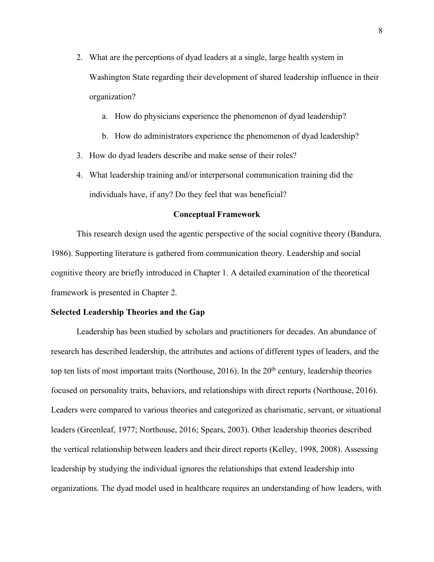- 2. What are the perceptions of dyad leaders at a single, large health system in Washington State regarding their development of shared leadership influence in their organization?
	- a. How do physicians experience the phenomenon of dyad leadership?
	- b. How do administrators experience the phenomenon of dyad leadership?
- 3. How do dyad leaders describe and make sense of their roles?
- 4. What leadership training and/or interpersonal communication training did the individuals have, if any? Do they feel that was beneficial?

#### **Conceptual Framework**

This research design used the agentic perspective of the social cognitive theory (Bandura, 1986). Supporting literature is gathered from communication theory. Leadership and social cognitive theory are briefly introduced in Chapter 1. A detailed examination of the theoretical framework is presented in Chapter 2.

#### **Selected Leadership Theories and the Gap**

Leadership has been studied by scholars and practitioners for decades. An abundance of research has described leadership, the attributes and actions of different types of leaders, and the top ten lists of most important traits (Northouse,  $2016$ ). In the  $20<sup>th</sup>$  century, leadership theories focused on personality traits, behaviors, and relationships with direct reports (Northouse, 2016). Leaders were compared to various theories and categorized as charismatic, servant, or situational leaders (Greenleaf, 1977; Northouse, 2016; Spears, 2003). Other leadership theories described the vertical relationship between leaders and their direct reports (Kelley, 1998, 2008). Assessing leadership by studying the individual ignores the relationships that extend leadership into organizations. The dyad model used in healthcare requires an understanding of how leaders, with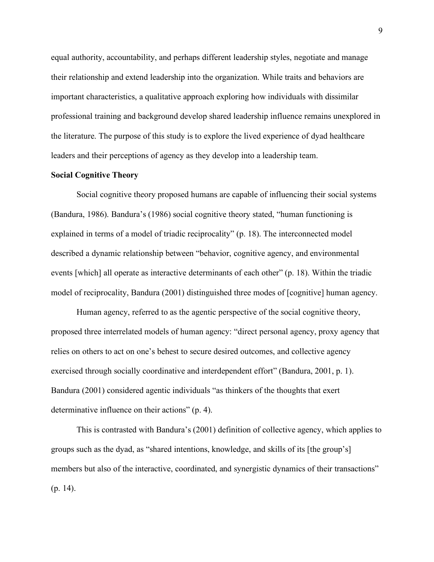equal authority, accountability, and perhaps different leadership styles, negotiate and manage their relationship and extend leadership into the organization. While traits and behaviors are important characteristics, a qualitative approach exploring how individuals with dissimilar professional training and background develop shared leadership influence remains unexplored in the literature. The purpose of this study is to explore the lived experience of dyad healthcare leaders and their perceptions of agency as they develop into a leadership team.

#### **Social Cognitive Theory**

Social cognitive theory proposed humans are capable of influencing their social systems (Bandura, 1986). Bandura's (1986) social cognitive theory stated, "human functioning is explained in terms of a model of triadic reciprocality" (p. 18). The interconnected model described a dynamic relationship between "behavior, cognitive agency, and environmental events [which] all operate as interactive determinants of each other" (p. 18). Within the triadic model of reciprocality, Bandura (2001) distinguished three modes of [cognitive] human agency.

Human agency, referred to as the agentic perspective of the social cognitive theory, proposed three interrelated models of human agency: "direct personal agency, proxy agency that relies on others to act on one's behest to secure desired outcomes, and collective agency exercised through socially coordinative and interdependent effort" (Bandura, 2001, p. 1). Bandura (2001) considered agentic individuals "as thinkers of the thoughts that exert determinative influence on their actions" (p. 4).

This is contrasted with Bandura's (2001) definition of collective agency, which applies to groups such as the dyad, as "shared intentions, knowledge, and skills of its [the group's] members but also of the interactive, coordinated, and synergistic dynamics of their transactions" (p. 14).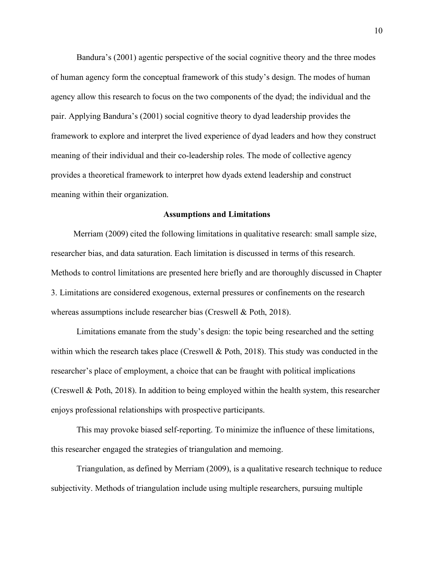Bandura's (2001) agentic perspective of the social cognitive theory and the three modes of human agency form the conceptual framework of this study's design. The modes of human agency allow this research to focus on the two components of the dyad; the individual and the pair. Applying Bandura's (2001) social cognitive theory to dyad leadership provides the framework to explore and interpret the lived experience of dyad leaders and how they construct meaning of their individual and their co-leadership roles. The mode of collective agency provides a theoretical framework to interpret how dyads extend leadership and construct meaning within their organization.

#### **Assumptions and Limitations**

Merriam (2009) cited the following limitations in qualitative research: small sample size, researcher bias, and data saturation. Each limitation is discussed in terms of this research. Methods to control limitations are presented here briefly and are thoroughly discussed in Chapter 3. Limitations are considered exogenous, external pressures or confinements on the research whereas assumptions include researcher bias (Creswell & Poth, 2018).

Limitations emanate from the study's design: the topic being researched and the setting within which the research takes place (Creswell & Poth, 2018). This study was conducted in the researcher's place of employment, a choice that can be fraught with political implications (Creswell & Poth, 2018). In addition to being employed within the health system, this researcher enjoys professional relationships with prospective participants.

This may provoke biased self-reporting. To minimize the influence of these limitations, this researcher engaged the strategies of triangulation and memoing.

Triangulation, as defined by Merriam (2009), is a qualitative research technique to reduce subjectivity. Methods of triangulation include using multiple researchers, pursuing multiple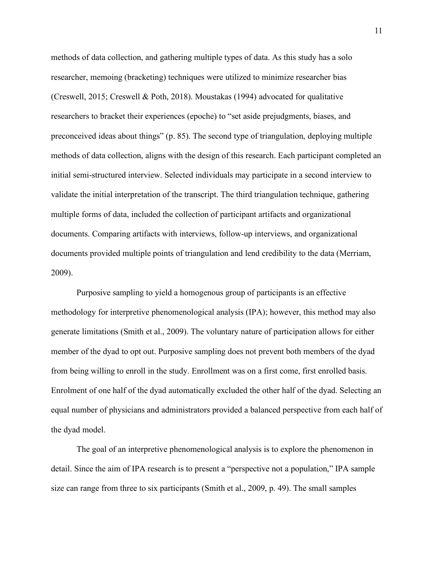methods of data collection, and gathering multiple types of data. As this study has a solo researcher, memoing (bracketing) techniques were utilized to minimize researcher bias (Creswell, 2015; Creswell & Poth, 2018). Moustakas (1994) advocated for qualitative researchers to bracket their experiences (epoche) to "set aside prejudgments, biases, and preconceived ideas about things" (p. 85). The second type of triangulation, deploying multiple methods of data collection, aligns with the design of this research. Each participant completed an initial semi-structured interview. Selected individuals may participate in a second interview to validate the initial interpretation of the transcript. The third triangulation technique, gathering multiple forms of data, included the collection of participant artifacts and organizational documents. Comparing artifacts with interviews, follow-up interviews, and organizational documents provided multiple points of triangulation and lend credibility to the data (Merriam, 2009).

Purposive sampling to yield a homogenous group of participants is an effective methodology for interpretive phenomenological analysis (IPA); however, this method may also generate limitations (Smith et al., 2009). The voluntary nature of participation allows for either member of the dyad to opt out. Purposive sampling does not prevent both members of the dyad from being willing to enroll in the study. Enrollment was on a first come, first enrolled basis. Enrolment of one half of the dyad automatically excluded the other half of the dyad. Selecting an equal number of physicians and administrators provided a balanced perspective from each half of the dyad model.

The goal of an interpretive phenomenological analysis is to explore the phenomenon in detail. Since the aim of IPA research is to present a "perspective not a population," IPA sample size can range from three to six participants (Smith et al., 2009, p. 49). The small samples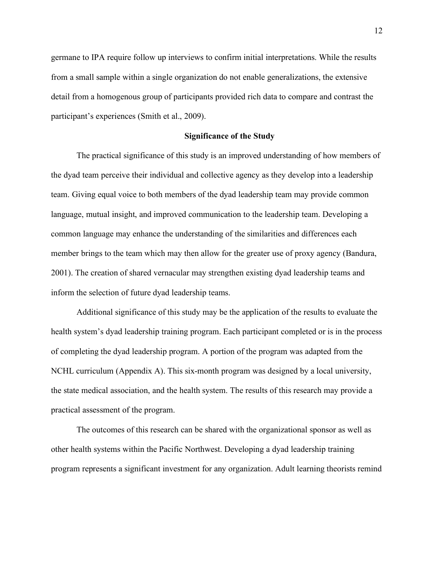germane to IPA require follow up interviews to confirm initial interpretations. While the results from a small sample within a single organization do not enable generalizations, the extensive detail from a homogenous group of participants provided rich data to compare and contrast the participant's experiences (Smith et al., 2009).

#### **Significance of the Study**

The practical significance of this study is an improved understanding of how members of the dyad team perceive their individual and collective agency as they develop into a leadership team. Giving equal voice to both members of the dyad leadership team may provide common language, mutual insight, and improved communication to the leadership team. Developing a common language may enhance the understanding of the similarities and differences each member brings to the team which may then allow for the greater use of proxy agency (Bandura, 2001). The creation of shared vernacular may strengthen existing dyad leadership teams and inform the selection of future dyad leadership teams.

Additional significance of this study may be the application of the results to evaluate the health system's dyad leadership training program. Each participant completed or is in the process of completing the dyad leadership program. A portion of the program was adapted from the NCHL curriculum (Appendix A). This six-month program was designed by a local university, the state medical association, and the health system. The results of this research may provide a practical assessment of the program.

The outcomes of this research can be shared with the organizational sponsor as well as other health systems within the Pacific Northwest. Developing a dyad leadership training program represents a significant investment for any organization. Adult learning theorists remind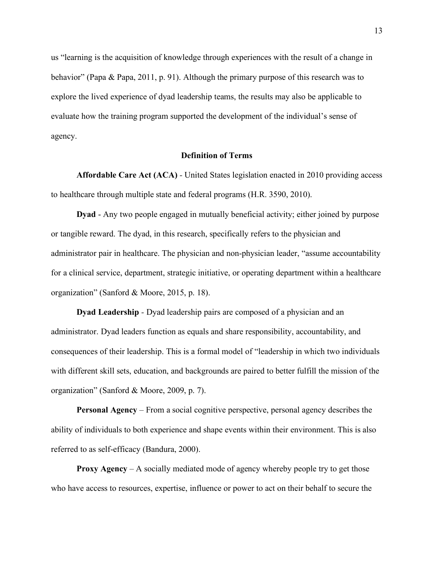us "learning is the acquisition of knowledge through experiences with the result of a change in behavior" (Papa & Papa, 2011, p. 91). Although the primary purpose of this research was to explore the lived experience of dyad leadership teams, the results may also be applicable to evaluate how the training program supported the development of the individual's sense of agency.

#### **Definition of Terms**

**Affordable Care Act (ACA)** *-* United States legislation enacted in 2010 providing access to healthcare through multiple state and federal programs (H.R. 3590, 2010).

**Dyad** - Any two people engaged in mutually beneficial activity; either joined by purpose or tangible reward. The dyad, in this research, specifically refers to the physician and administrator pair in healthcare. The physician and non-physician leader, "assume accountability for a clinical service, department, strategic initiative, or operating department within a healthcare organization" (Sanford & Moore, 2015, p. 18).

**Dyad Leadership** *-* Dyad leadership pairs are composed of a physician and an administrator. Dyad leaders function as equals and share responsibility, accountability, and consequences of their leadership. This is a formal model of "leadership in which two individuals with different skill sets, education, and backgrounds are paired to better fulfill the mission of the organization" (Sanford & Moore, 2009, p. 7).

**Personal Agency** – From a social cognitive perspective, personal agency describes the ability of individuals to both experience and shape events within their environment. This is also referred to as self-efficacy (Bandura, 2000).

**Proxy Agency** *–* A socially mediated mode of agency whereby people try to get those who have access to resources, expertise, influence or power to act on their behalf to secure the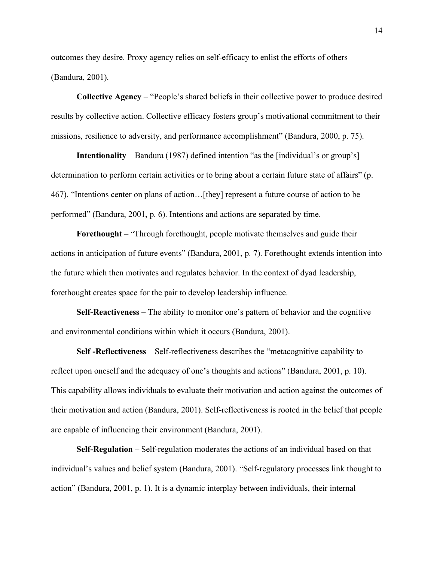outcomes they desire. Proxy agency relies on self-efficacy to enlist the efforts of others (Bandura, 2001).

**Collective Agency** *–* "People's shared beliefs in their collective power to produce desired results by collective action. Collective efficacy fosters group's motivational commitment to their missions, resilience to adversity, and performance accomplishment" (Bandura, 2000, p. 75).

**Intentionality** – Bandura (1987) defined intention "as the [individual's or group's] determination to perform certain activities or to bring about a certain future state of affairs" (p. 467). "Intentions center on plans of action…[they] represent a future course of action to be performed" (Bandura, 2001, p. 6). Intentions and actions are separated by time.

**Forethought** – "Through forethought, people motivate themselves and guide their actions in anticipation of future events" (Bandura, 2001, p. 7). Forethought extends intention into the future which then motivates and regulates behavior. In the context of dyad leadership, forethought creates space for the pair to develop leadership influence.

**Self-Reactiveness** – The ability to monitor one's pattern of behavior and the cognitive and environmental conditions within which it occurs (Bandura, 2001).

**Self -Reflectiveness** – Self-reflectiveness describes the "metacognitive capability to reflect upon oneself and the adequacy of one's thoughts and actions" (Bandura, 2001, p. 10). This capability allows individuals to evaluate their motivation and action against the outcomes of their motivation and action (Bandura, 2001). Self-reflectiveness is rooted in the belief that people are capable of influencing their environment (Bandura, 2001).

**Self-Regulation** – Self-regulation moderates the actions of an individual based on that individual's values and belief system (Bandura, 2001). "Self-regulatory processes link thought to action" (Bandura, 2001, p. 1). It is a dynamic interplay between individuals, their internal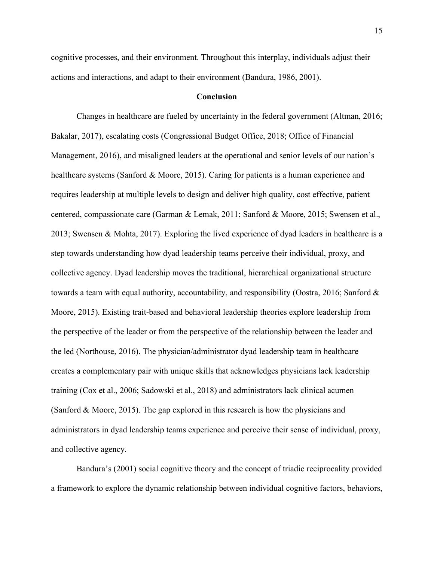cognitive processes, and their environment. Throughout this interplay, individuals adjust their actions and interactions, and adapt to their environment (Bandura, 1986, 2001).

#### **Conclusion**

Changes in healthcare are fueled by uncertainty in the federal government (Altman, 2016; Bakalar, 2017), escalating costs (Congressional Budget Office, 2018; Office of Financial Management, 2016), and misaligned leaders at the operational and senior levels of our nation's healthcare systems (Sanford & Moore, 2015). Caring for patients is a human experience and requires leadership at multiple levels to design and deliver high quality, cost effective, patient centered, compassionate care (Garman & Lemak, 2011; Sanford & Moore, 2015; Swensen et al., 2013; Swensen & Mohta, 2017). Exploring the lived experience of dyad leaders in healthcare is a step towards understanding how dyad leadership teams perceive their individual, proxy, and collective agency. Dyad leadership moves the traditional, hierarchical organizational structure towards a team with equal authority, accountability, and responsibility (Oostra, 2016; Sanford & Moore, 2015). Existing trait-based and behavioral leadership theories explore leadership from the perspective of the leader or from the perspective of the relationship between the leader and the led (Northouse, 2016). The physician/administrator dyad leadership team in healthcare creates a complementary pair with unique skills that acknowledges physicians lack leadership training (Cox et al., 2006; Sadowski et al., 2018) and administrators lack clinical acumen (Sanford & Moore, 2015). The gap explored in this research is how the physicians and administrators in dyad leadership teams experience and perceive their sense of individual, proxy, and collective agency.

Bandura's (2001) social cognitive theory and the concept of triadic reciprocality provided a framework to explore the dynamic relationship between individual cognitive factors, behaviors,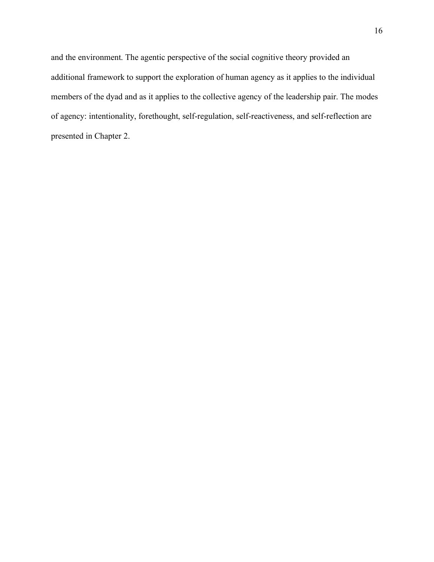and the environment. The agentic perspective of the social cognitive theory provided an additional framework to support the exploration of human agency as it applies to the individual members of the dyad and as it applies to the collective agency of the leadership pair. The modes of agency: intentionality, forethought, self-regulation, self-reactiveness, and self-reflection are presented in Chapter 2.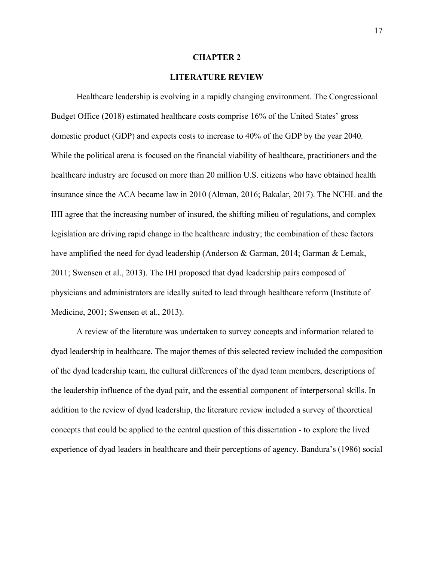#### **CHAPTER 2**

#### **LITERATURE REVIEW**

Healthcare leadership is evolving in a rapidly changing environment. The Congressional Budget Office (2018) estimated healthcare costs comprise 16% of the United States' gross domestic product (GDP) and expects costs to increase to 40% of the GDP by the year 2040. While the political arena is focused on the financial viability of healthcare, practitioners and the healthcare industry are focused on more than 20 million U.S. citizens who have obtained health insurance since the ACA became law in 2010 (Altman, 2016; Bakalar, 2017). The NCHL and the IHI agree that the increasing number of insured, the shifting milieu of regulations, and complex legislation are driving rapid change in the healthcare industry; the combination of these factors have amplified the need for dyad leadership (Anderson & Garman, 2014; Garman & Lemak, 2011; Swensen et al., 2013). The IHI proposed that dyad leadership pairs composed of physicians and administrators are ideally suited to lead through healthcare reform (Institute of Medicine, 2001; Swensen et al., 2013).

A review of the literature was undertaken to survey concepts and information related to dyad leadership in healthcare. The major themes of this selected review included the composition of the dyad leadership team, the cultural differences of the dyad team members, descriptions of the leadership influence of the dyad pair, and the essential component of interpersonal skills. In addition to the review of dyad leadership, the literature review included a survey of theoretical concepts that could be applied to the central question of this dissertation - to explore the lived experience of dyad leaders in healthcare and their perceptions of agency. Bandura's (1986) social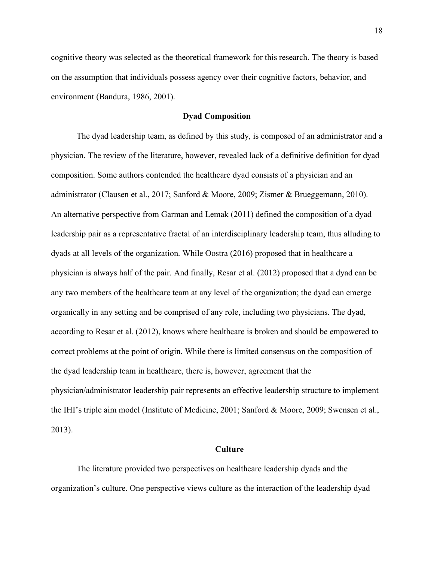cognitive theory was selected as the theoretical framework for this research. The theory is based on the assumption that individuals possess agency over their cognitive factors, behavior, and environment (Bandura, 1986, 2001).

#### **Dyad Composition**

The dyad leadership team, as defined by this study, is composed of an administrator and a physician. The review of the literature, however, revealed lack of a definitive definition for dyad composition. Some authors contended the healthcare dyad consists of a physician and an administrator (Clausen et al., 2017; Sanford & Moore, 2009; Zismer & Brueggemann, 2010). An alternative perspective from Garman and Lemak (2011) defined the composition of a dyad leadership pair as a representative fractal of an interdisciplinary leadership team, thus alluding to dyads at all levels of the organization. While Oostra (2016) proposed that in healthcare a physician is always half of the pair. And finally, Resar et al. (2012) proposed that a dyad can be any two members of the healthcare team at any level of the organization; the dyad can emerge organically in any setting and be comprised of any role, including two physicians. The dyad, according to Resar et al. (2012), knows where healthcare is broken and should be empowered to correct problems at the point of origin. While there is limited consensus on the composition of the dyad leadership team in healthcare, there is, however, agreement that the physician/administrator leadership pair represents an effective leadership structure to implement the IHI's triple aim model (Institute of Medicine, 2001; Sanford & Moore, 2009; Swensen et al., 2013).

#### **Culture**

The literature provided two perspectives on healthcare leadership dyads and the organization's culture. One perspective views culture as the interaction of the leadership dyad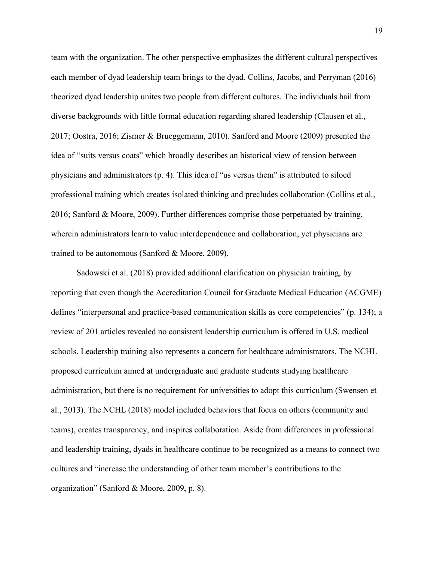team with the organization. The other perspective emphasizes the different cultural perspectives each member of dyad leadership team brings to the dyad. Collins, Jacobs, and Perryman (2016) theorized dyad leadership unites two people from different cultures. The individuals hail from diverse backgrounds with little formal education regarding shared leadership (Clausen et al., 2017; Oostra, 2016; Zismer & Brueggemann, 2010). Sanford and Moore (2009) presented the idea of "suits versus coats" which broadly describes an historical view of tension between physicians and administrators (p. 4). This idea of "us versus them" is attributed to siloed professional training which creates isolated thinking and precludes collaboration (Collins et al., 2016; Sanford & Moore, 2009). Further differences comprise those perpetuated by training, wherein administrators learn to value interdependence and collaboration, yet physicians are trained to be autonomous (Sanford & Moore, 2009).

Sadowski et al. (2018) provided additional clarification on physician training, by reporting that even though the Accreditation Council for Graduate Medical Education (ACGME) defines "interpersonal and practice-based communication skills as core competencies" (p. 134); a review of 201 articles revealed no consistent leadership curriculum is offered in U.S. medical schools. Leadership training also represents a concern for healthcare administrators. The NCHL proposed curriculum aimed at undergraduate and graduate students studying healthcare administration, but there is no requirement for universities to adopt this curriculum (Swensen et al., 2013). The NCHL (2018) model included behaviors that focus on others (community and teams), creates transparency, and inspires collaboration. Aside from differences in professional and leadership training, dyads in healthcare continue to be recognized as a means to connect two cultures and "increase the understanding of other team member's contributions to the organization" (Sanford & Moore, 2009, p. 8).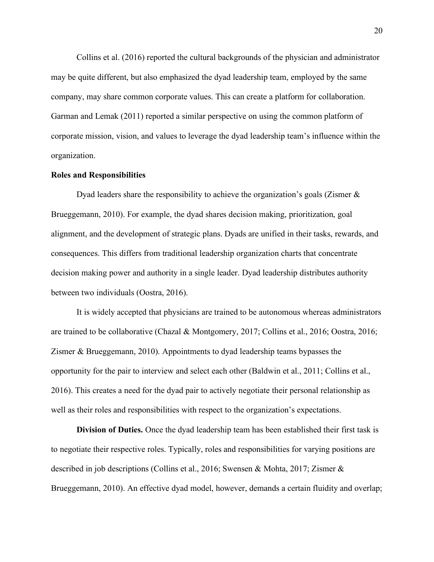Collins et al. (2016) reported the cultural backgrounds of the physician and administrator may be quite different, but also emphasized the dyad leadership team, employed by the same company, may share common corporate values. This can create a platform for collaboration. Garman and Lemak (2011) reported a similar perspective on using the common platform of corporate mission, vision, and values to leverage the dyad leadership team's influence within the organization.

#### **Roles and Responsibilities**

Dyad leaders share the responsibility to achieve the organization's goals (Zismer & Brueggemann, 2010). For example, the dyad shares decision making, prioritization, goal alignment, and the development of strategic plans. Dyads are unified in their tasks, rewards, and consequences. This differs from traditional leadership organization charts that concentrate decision making power and authority in a single leader. Dyad leadership distributes authority between two individuals (Oostra, 2016).

It is widely accepted that physicians are trained to be autonomous whereas administrators are trained to be collaborative (Chazal & Montgomery, 2017; Collins et al., 2016; Oostra, 2016; Zismer & Brueggemann, 2010). Appointments to dyad leadership teams bypasses the opportunity for the pair to interview and select each other (Baldwin et al., 2011; Collins et al., 2016). This creates a need for the dyad pair to actively negotiate their personal relationship as well as their roles and responsibilities with respect to the organization's expectations.

**Division of Duties.** Once the dyad leadership team has been established their first task is to negotiate their respective roles. Typically, roles and responsibilities for varying positions are described in job descriptions (Collins et al., 2016; Swensen & Mohta, 2017; Zismer & Brueggemann, 2010). An effective dyad model, however, demands a certain fluidity and overlap;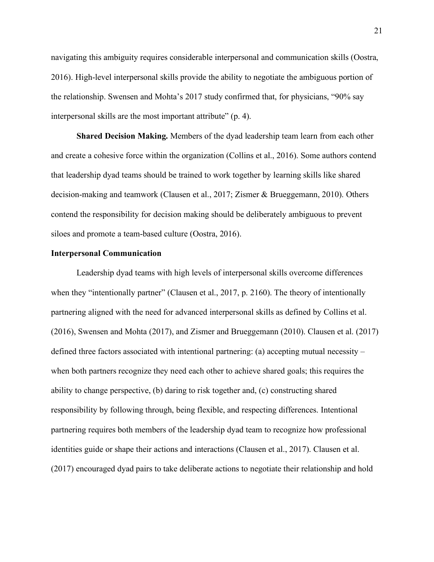navigating this ambiguity requires considerable interpersonal and communication skills (Oostra, 2016). High-level interpersonal skills provide the ability to negotiate the ambiguous portion of the relationship. Swensen and Mohta's 2017 study confirmed that, for physicians, "90% say interpersonal skills are the most important attribute" (p. 4).

**Shared Decision Making.** Members of the dyad leadership team learn from each other and create a cohesive force within the organization (Collins et al., 2016). Some authors contend that leadership dyad teams should be trained to work together by learning skills like shared decision-making and teamwork (Clausen et al., 2017; Zismer & Brueggemann, 2010). Others contend the responsibility for decision making should be deliberately ambiguous to prevent siloes and promote a team-based culture (Oostra, 2016).

#### **Interpersonal Communication**

Leadership dyad teams with high levels of interpersonal skills overcome differences when they "intentionally partner" (Clausen et al., 2017, p. 2160). The theory of intentionally partnering aligned with the need for advanced interpersonal skills as defined by Collins et al. (2016), Swensen and Mohta (2017), and Zismer and Brueggemann (2010). Clausen et al. (2017) defined three factors associated with intentional partnering: (a) accepting mutual necessity – when both partners recognize they need each other to achieve shared goals; this requires the ability to change perspective, (b) daring to risk together and, (c) constructing shared responsibility by following through, being flexible, and respecting differences. Intentional partnering requires both members of the leadership dyad team to recognize how professional identities guide or shape their actions and interactions (Clausen et al., 2017). Clausen et al. (2017) encouraged dyad pairs to take deliberate actions to negotiate their relationship and hold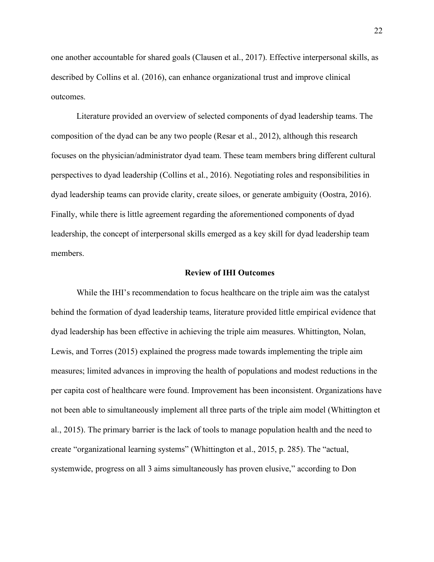one another accountable for shared goals (Clausen et al., 2017). Effective interpersonal skills, as described by Collins et al. (2016), can enhance organizational trust and improve clinical outcomes.

Literature provided an overview of selected components of dyad leadership teams. The composition of the dyad can be any two people (Resar et al., 2012), although this research focuses on the physician/administrator dyad team. These team members bring different cultural perspectives to dyad leadership (Collins et al., 2016). Negotiating roles and responsibilities in dyad leadership teams can provide clarity, create siloes, or generate ambiguity (Oostra, 2016). Finally, while there is little agreement regarding the aforementioned components of dyad leadership, the concept of interpersonal skills emerged as a key skill for dyad leadership team members.

#### **Review of IHI Outcomes**

While the IHI's recommendation to focus healthcare on the triple aim was the catalyst behind the formation of dyad leadership teams, literature provided little empirical evidence that dyad leadership has been effective in achieving the triple aim measures. Whittington, Nolan, Lewis, and Torres (2015) explained the progress made towards implementing the triple aim measures; limited advances in improving the health of populations and modest reductions in the per capita cost of healthcare were found. Improvement has been inconsistent. Organizations have not been able to simultaneously implement all three parts of the triple aim model (Whittington et al., 2015). The primary barrier is the lack of tools to manage population health and the need to create "organizational learning systems" (Whittington et al., 2015, p. 285). The "actual, systemwide, progress on all 3 aims simultaneously has proven elusive," according to Don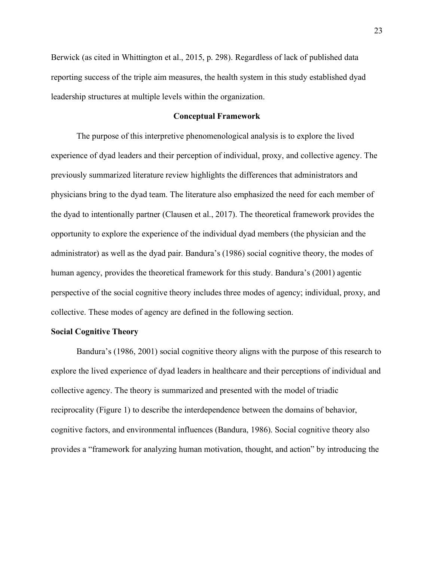Berwick (as cited in Whittington et al., 2015, p. 298). Regardless of lack of published data reporting success of the triple aim measures, the health system in this study established dyad leadership structures at multiple levels within the organization.

#### **Conceptual Framework**

The purpose of this interpretive phenomenological analysis is to explore the lived experience of dyad leaders and their perception of individual, proxy, and collective agency. The previously summarized literature review highlights the differences that administrators and physicians bring to the dyad team. The literature also emphasized the need for each member of the dyad to intentionally partner (Clausen et al., 2017). The theoretical framework provides the opportunity to explore the experience of the individual dyad members (the physician and the administrator) as well as the dyad pair. Bandura's (1986) social cognitive theory, the modes of human agency, provides the theoretical framework for this study. Bandura's (2001) agentic perspective of the social cognitive theory includes three modes of agency; individual, proxy, and collective. These modes of agency are defined in the following section.

#### **Social Cognitive Theory**

Bandura's (1986, 2001) social cognitive theory aligns with the purpose of this research to explore the lived experience of dyad leaders in healthcare and their perceptions of individual and collective agency. The theory is summarized and presented with the model of triadic reciprocality (Figure 1) to describe the interdependence between the domains of behavior, cognitive factors, and environmental influences (Bandura, 1986). Social cognitive theory also provides a "framework for analyzing human motivation, thought, and action" by introducing the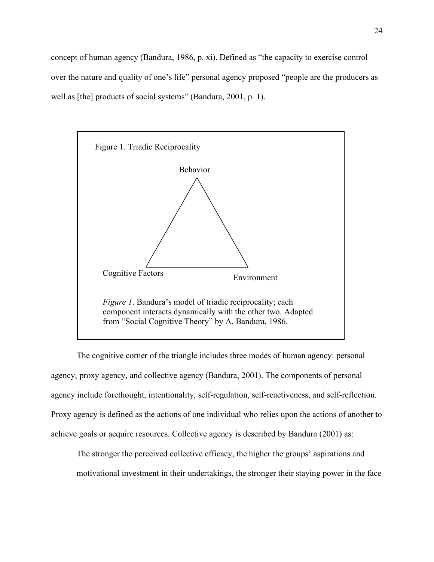concept of human agency (Bandura, 1986, p. xi). Defined as "the capacity to exercise control over the nature and quality of one's life" personal agency proposed "people are the producers as well as [the] products of social systems" (Bandura, 2001, p. 1).



The cognitive corner of the triangle includes three modes of human agency: personal agency, proxy agency, and collective agency (Bandura, 2001). The components of personal agency include forethought, intentionality, self-regulation, self-reactiveness, and self-reflection. Proxy agency is defined as the actions of one individual who relies upon the actions of another to achieve goals or acquire resources. Collective agency is described by Bandura (2001) as:

The stronger the perceived collective efficacy, the higher the groups' aspirations and motivational investment in their undertakings, the stronger their staying power in the face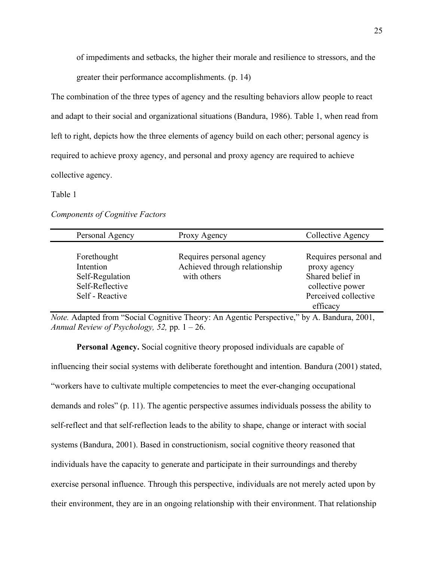of impediments and setbacks, the higher their morale and resilience to stressors, and the greater their performance accomplishments. (p. 14)

The combination of the three types of agency and the resulting behaviors allow people to react and adapt to their social and organizational situations (Bandura, 1986). Table 1, when read from left to right, depicts how the three elements of agency build on each other; personal agency is required to achieve proxy agency, and personal and proxy agency are required to achieve collective agency.

# Table 1

*Components of Cognitive Factors*

| Personal Agency                                                                   | Proxy Agency                                                             | Collective Agency                                                                                                 |
|-----------------------------------------------------------------------------------|--------------------------------------------------------------------------|-------------------------------------------------------------------------------------------------------------------|
| Forethought<br>Intention<br>Self-Regulation<br>Self-Reflective<br>Self - Reactive | Requires personal agency<br>Achieved through relationship<br>with others | Requires personal and<br>proxy agency<br>Shared belief in<br>collective power<br>Perceived collective<br>efficacy |

*Note.* Adapted from "Social Cognitive Theory: An Agentic Perspective," by A. Bandura, 2001, *Annual Review of Psychology, 52,* pp. 1 – 26.

**Personal Agency.** Social cognitive theory proposed individuals are capable of influencing their social systems with deliberate forethought and intention. Bandura (2001) stated, "workers have to cultivate multiple competencies to meet the ever-changing occupational demands and roles" (p. 11). The agentic perspective assumes individuals possess the ability to self-reflect and that self-reflection leads to the ability to shape, change or interact with social systems (Bandura, 2001). Based in constructionism, social cognitive theory reasoned that individuals have the capacity to generate and participate in their surroundings and thereby exercise personal influence. Through this perspective, individuals are not merely acted upon by their environment, they are in an ongoing relationship with their environment. That relationship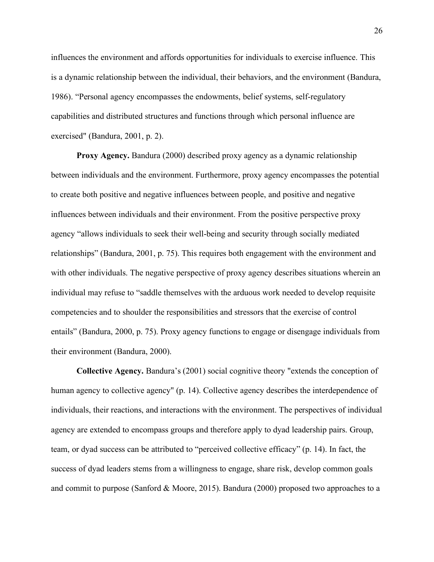influences the environment and affords opportunities for individuals to exercise influence. This is a dynamic relationship between the individual, their behaviors, and the environment (Bandura, 1986). "Personal agency encompasses the endowments, belief systems, self-regulatory capabilities and distributed structures and functions through which personal influence are exercised" (Bandura, 2001, p. 2).

**Proxy Agency.** Bandura (2000) described proxy agency as a dynamic relationship between individuals and the environment. Furthermore, proxy agency encompasses the potential to create both positive and negative influences between people, and positive and negative influences between individuals and their environment. From the positive perspective proxy agency "allows individuals to seek their well-being and security through socially mediated relationships" (Bandura, 2001, p. 75). This requires both engagement with the environment and with other individuals. The negative perspective of proxy agency describes situations wherein an individual may refuse to "saddle themselves with the arduous work needed to develop requisite competencies and to shoulder the responsibilities and stressors that the exercise of control entails" (Bandura, 2000, p. 75). Proxy agency functions to engage or disengage individuals from their environment (Bandura, 2000).

**Collective Agency.** Bandura's (2001) social cognitive theory "extends the conception of human agency to collective agency" (p. 14). Collective agency describes the interdependence of individuals, their reactions, and interactions with the environment. The perspectives of individual agency are extended to encompass groups and therefore apply to dyad leadership pairs. Group, team, or dyad success can be attributed to "perceived collective efficacy" (p. 14). In fact, the success of dyad leaders stems from a willingness to engage, share risk, develop common goals and commit to purpose (Sanford & Moore, 2015). Bandura (2000) proposed two approaches to a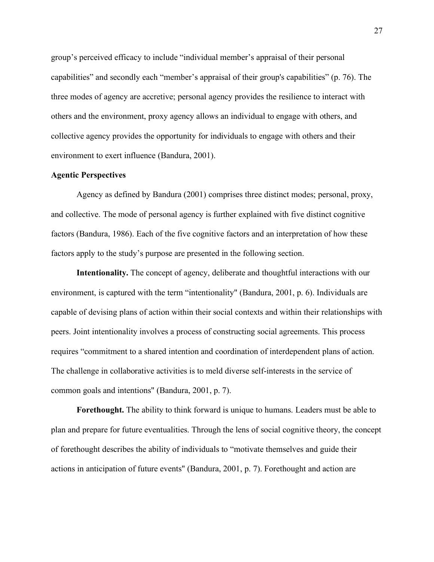group's perceived efficacy to include "individual member's appraisal of their personal capabilities" and secondly each "member's appraisal of their group's capabilities" (p. 76). The three modes of agency are accretive; personal agency provides the resilience to interact with others and the environment, proxy agency allows an individual to engage with others, and collective agency provides the opportunity for individuals to engage with others and their environment to exert influence (Bandura, 2001).

## **Agentic Perspectives**

Agency as defined by Bandura (2001) comprises three distinct modes; personal, proxy, and collective. The mode of personal agency is further explained with five distinct cognitive factors (Bandura, 1986). Each of the five cognitive factors and an interpretation of how these factors apply to the study's purpose are presented in the following section.

**Intentionality.** The concept of agency, deliberate and thoughtful interactions with our environment, is captured with the term "intentionality" (Bandura, 2001, p. 6). Individuals are capable of devising plans of action within their social contexts and within their relationships with peers. Joint intentionality involves a process of constructing social agreements. This process requires "commitment to a shared intention and coordination of interdependent plans of action. The challenge in collaborative activities is to meld diverse self-interests in the service of common goals and intentions" (Bandura, 2001, p. 7).

**Forethought.** The ability to think forward is unique to humans. Leaders must be able to plan and prepare for future eventualities. Through the lens of social cognitive theory, the concept of forethought describes the ability of individuals to "motivate themselves and guide their actions in anticipation of future events" (Bandura, 2001, p. 7). Forethought and action are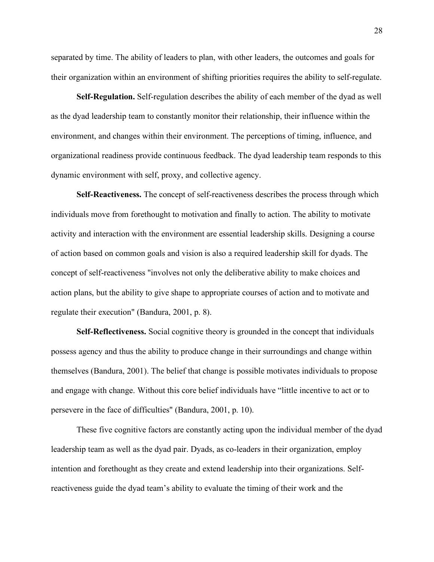separated by time. The ability of leaders to plan, with other leaders, the outcomes and goals for their organization within an environment of shifting priorities requires the ability to self-regulate.

**Self-Regulation.** Self-regulation describes the ability of each member of the dyad as well as the dyad leadership team to constantly monitor their relationship, their influence within the environment, and changes within their environment. The perceptions of timing, influence, and organizational readiness provide continuous feedback. The dyad leadership team responds to this dynamic environment with self, proxy, and collective agency.

**Self-Reactiveness.** The concept of self-reactiveness describes the process through which individuals move from forethought to motivation and finally to action. The ability to motivate activity and interaction with the environment are essential leadership skills. Designing a course of action based on common goals and vision is also a required leadership skill for dyads. The concept of self-reactiveness "involves not only the deliberative ability to make choices and action plans, but the ability to give shape to appropriate courses of action and to motivate and regulate their execution" (Bandura, 2001, p. 8).

**Self-Reflectiveness.** Social cognitive theory is grounded in the concept that individuals possess agency and thus the ability to produce change in their surroundings and change within themselves (Bandura, 2001). The belief that change is possible motivates individuals to propose and engage with change. Without this core belief individuals have "little incentive to act or to persevere in the face of difficulties" (Bandura, 2001, p. 10).

These five cognitive factors are constantly acting upon the individual member of the dyad leadership team as well as the dyad pair. Dyads, as co-leaders in their organization, employ intention and forethought as they create and extend leadership into their organizations. Selfreactiveness guide the dyad team's ability to evaluate the timing of their work and the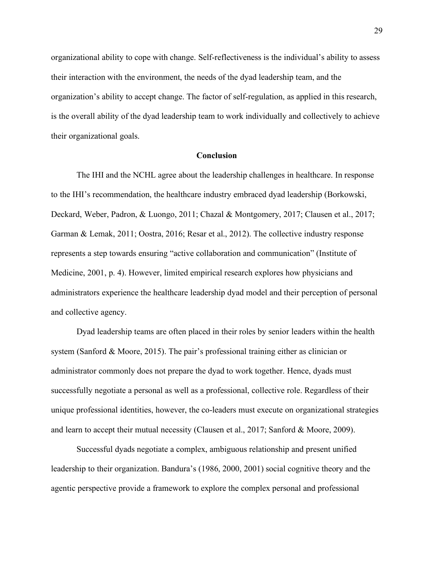organizational ability to cope with change. Self-reflectiveness is the individual's ability to assess their interaction with the environment, the needs of the dyad leadership team, and the organization's ability to accept change. The factor of self-regulation, as applied in this research, is the overall ability of the dyad leadership team to work individually and collectively to achieve their organizational goals.

### **Conclusion**

The IHI and the NCHL agree about the leadership challenges in healthcare. In response to the IHI's recommendation, the healthcare industry embraced dyad leadership (Borkowski, Deckard, Weber, Padron, & Luongo, 2011; Chazal & Montgomery, 2017; Clausen et al., 2017; Garman & Lemak, 2011; Oostra, 2016; Resar et al., 2012). The collective industry response represents a step towards ensuring "active collaboration and communication" (Institute of Medicine, 2001, p. 4). However, limited empirical research explores how physicians and administrators experience the healthcare leadership dyad model and their perception of personal and collective agency.

Dyad leadership teams are often placed in their roles by senior leaders within the health system (Sanford & Moore, 2015). The pair's professional training either as clinician or administrator commonly does not prepare the dyad to work together. Hence, dyads must successfully negotiate a personal as well as a professional, collective role. Regardless of their unique professional identities, however, the co-leaders must execute on organizational strategies and learn to accept their mutual necessity (Clausen et al., 2017; Sanford & Moore, 2009).

Successful dyads negotiate a complex, ambiguous relationship and present unified leadership to their organization. Bandura's (1986, 2000, 2001) social cognitive theory and the agentic perspective provide a framework to explore the complex personal and professional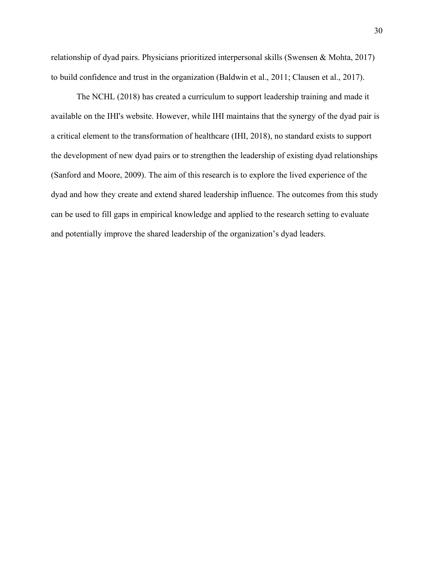relationship of dyad pairs. Physicians prioritized interpersonal skills (Swensen & Mohta, 2017) to build confidence and trust in the organization (Baldwin et al., 2011; Clausen et al., 2017).

The NCHL (2018) has created a curriculum to support leadership training and made it available on the IHI's website. However, while IHI maintains that the synergy of the dyad pair is a critical element to the transformation of healthcare (IHI, 2018), no standard exists to support the development of new dyad pairs or to strengthen the leadership of existing dyad relationships (Sanford and Moore, 2009). The aim of this research is to explore the lived experience of the dyad and how they create and extend shared leadership influence. The outcomes from this study can be used to fill gaps in empirical knowledge and applied to the research setting to evaluate and potentially improve the shared leadership of the organization's dyad leaders.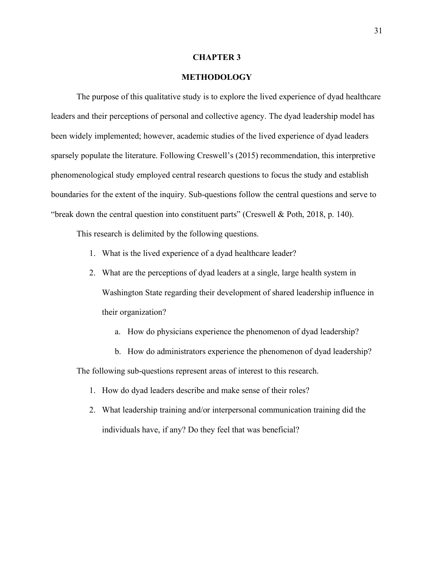#### **CHAPTER 3**

### **METHODOLOGY**

The purpose of this qualitative study is to explore the lived experience of dyad healthcare leaders and their perceptions of personal and collective agency. The dyad leadership model has been widely implemented; however, academic studies of the lived experience of dyad leaders sparsely populate the literature. Following Creswell's (2015) recommendation, this interpretive phenomenological study employed central research questions to focus the study and establish boundaries for the extent of the inquiry. Sub-questions follow the central questions and serve to "break down the central question into constituent parts" (Creswell & Poth, 2018, p. 140).

This research is delimited by the following questions.

- 1. What is the lived experience of a dyad healthcare leader?
- 2. What are the perceptions of dyad leaders at a single, large health system in Washington State regarding their development of shared leadership influence in their organization?
	- a. How do physicians experience the phenomenon of dyad leadership?
	- b. How do administrators experience the phenomenon of dyad leadership?

The following sub-questions represent areas of interest to this research.

- 1. How do dyad leaders describe and make sense of their roles?
- 2. What leadership training and/or interpersonal communication training did the individuals have, if any? Do they feel that was beneficial?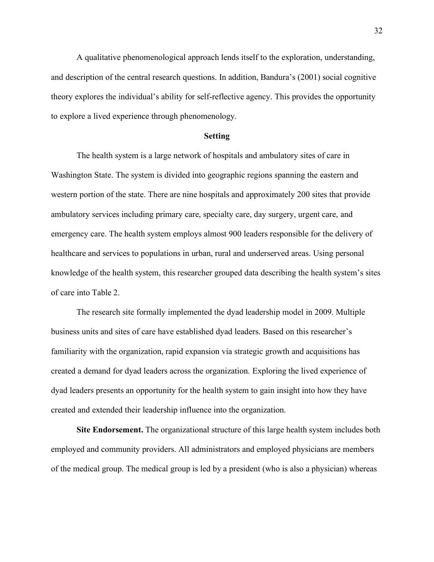A qualitative phenomenological approach lends itself to the exploration, understanding, and description of the central research questions. In addition, Bandura's (2001) social cognitive theory explores the individual's ability for self-reflective agency. This provides the opportunity to explore a lived experience through phenomenology.

#### **Setting**

The health system is a large network of hospitals and ambulatory sites of care in Washington State. The system is divided into geographic regions spanning the eastern and western portion of the state. There are nine hospitals and approximately 200 sites that provide ambulatory services including primary care, specialty care, day surgery, urgent care, and emergency care. The health system employs almost 900 leaders responsible for the delivery of healthcare and services to populations in urban, rural and underserved areas. Using personal knowledge of the health system, this researcher grouped data describing the health system's sites of care into Table 2.

The research site formally implemented the dyad leadership model in 2009. Multiple business units and sites of care have established dyad leaders. Based on this researcher's familiarity with the organization, rapid expansion via strategic growth and acquisitions has created a demand for dyad leaders across the organization. Exploring the lived experience of dyad leaders presents an opportunity for the health system to gain insight into how they have created and extended their leadership influence into the organization.

**Site Endorsement.** The organizational structure of this large health system includes both employed and community providers. All administrators and employed physicians are members of the medical group. The medical group is led by a president (who is also a physician) whereas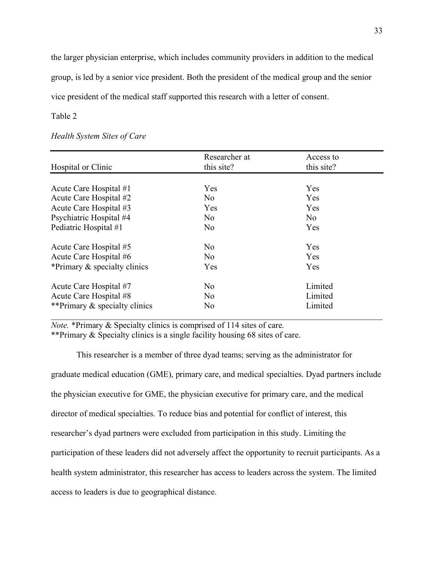the larger physician enterprise, which includes community providers in addition to the medical group, is led by a senior vice president. Both the president of the medical group and the senior vice president of the medical staff supported this research with a letter of consent.

# Table 2

|                               | Researcher at             | Access to  |  |
|-------------------------------|---------------------------|------------|--|
| Hospital or Clinic            | this site?                | this site? |  |
|                               |                           |            |  |
| Acute Care Hospital #1        | Yes                       | Yes        |  |
| Acute Care Hospital #2        | No                        | Yes        |  |
| Acute Care Hospital #3        | Yes                       | Yes        |  |
| Psychiatric Hospital #4       | N <sub>0</sub>            | No         |  |
| Pediatric Hospital #1         | N <sub>o</sub>            | Yes        |  |
| Acute Care Hospital #5        | N <sub>0</sub>            | <b>Yes</b> |  |
| Acute Care Hospital #6        | No.                       | Yes        |  |
| *Primary & specialty clinics  | <b>Yes</b>                | Yes        |  |
| Acute Care Hospital #7        | N <sub>0</sub>            | Limited    |  |
| Acute Care Hospital #8        | Limited<br>No.            |            |  |
| **Primary & specialty clinics | Limited<br>N <sub>o</sub> |            |  |

# *Health System Sites of Care*

*Note.* \*Primary & Specialty clinics is comprised of 114 sites of care. \*\*Primary & Specialty clinics is a single facility housing 68 sites of care.

This researcher is a member of three dyad teams; serving as the administrator for graduate medical education (GME), primary care, and medical specialties. Dyad partners include the physician executive for GME, the physician executive for primary care, and the medical director of medical specialties. To reduce bias and potential for conflict of interest, this researcher's dyad partners were excluded from participation in this study. Limiting the participation of these leaders did not adversely affect the opportunity to recruit participants. As a health system administrator, this researcher has access to leaders across the system. The limited access to leaders is due to geographical distance.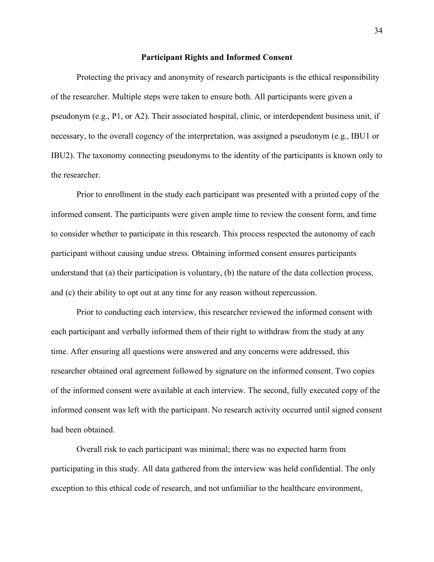#### **Participant Rights and Informed Consent**

Protecting the privacy and anonymity of research participants is the ethical responsibility of the researcher. Multiple steps were taken to ensure both. All participants were given a pseudonym (e.g., P1, or A2). Their associated hospital, clinic, or interdependent business unit, if necessary, to the overall cogency of the interpretation, was assigned a pseudonym (e.g., IBU1 or IBU2). The taxonomy connecting pseudonyms to the identity of the participants is known only to the researcher.

Prior to enrollment in the study each participant was presented with a printed copy of the informed consent. The participants were given ample time to review the consent form, and time to consider whether to participate in this research. This process respected the autonomy of each participant without causing undue stress. Obtaining informed consent ensures participants understand that (a) their participation is voluntary, (b) the nature of the data collection process, and (c) their ability to opt out at any time for any reason without repercussion.

Prior to conducting each interview, this researcher reviewed the informed consent with each participant and verbally informed them of their right to withdraw from the study at any time. After ensuring all questions were answered and any concerns were addressed, this researcher obtained oral agreement followed by signature on the informed consent. Two copies of the informed consent were available at each interview. The second, fully executed copy of the informed consent was left with the participant. No research activity occurred until signed consent had been obtained.

Overall risk to each participant was minimal; there was no expected harm from participating in this study. All data gathered from the interview was held confidential. The only exception to this ethical code of research, and not unfamiliar to the healthcare environment,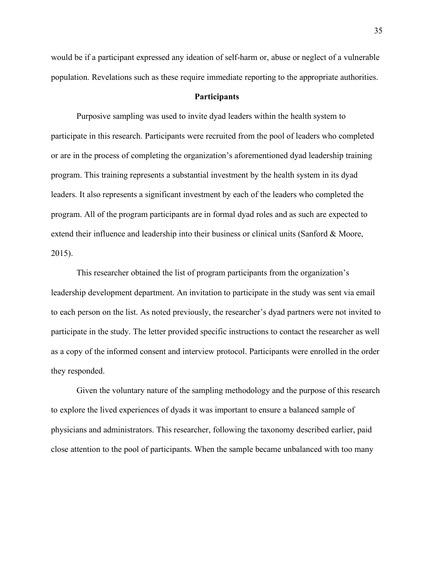would be if a participant expressed any ideation of self-harm or, abuse or neglect of a vulnerable population. Revelations such as these require immediate reporting to the appropriate authorities.

# **Participants**

Purposive sampling was used to invite dyad leaders within the health system to participate in this research. Participants were recruited from the pool of leaders who completed or are in the process of completing the organization's aforementioned dyad leadership training program. This training represents a substantial investment by the health system in its dyad leaders. It also represents a significant investment by each of the leaders who completed the program. All of the program participants are in formal dyad roles and as such are expected to extend their influence and leadership into their business or clinical units (Sanford & Moore, 2015).

This researcher obtained the list of program participants from the organization's leadership development department. An invitation to participate in the study was sent via email to each person on the list. As noted previously, the researcher's dyad partners were not invited to participate in the study. The letter provided specific instructions to contact the researcher as well as a copy of the informed consent and interview protocol. Participants were enrolled in the order they responded.

Given the voluntary nature of the sampling methodology and the purpose of this research to explore the lived experiences of dyads it was important to ensure a balanced sample of physicians and administrators. This researcher, following the taxonomy described earlier, paid close attention to the pool of participants. When the sample became unbalanced with too many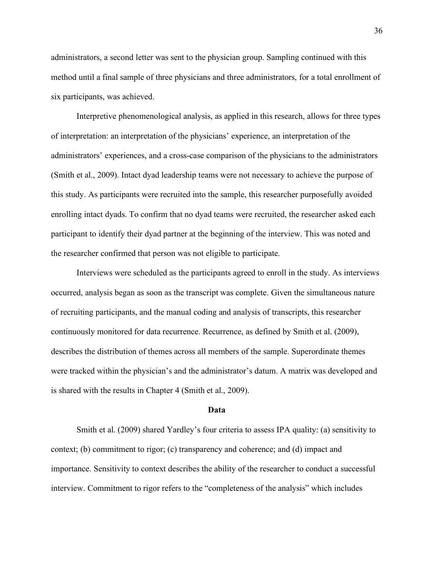administrators, a second letter was sent to the physician group. Sampling continued with this method until a final sample of three physicians and three administrators, for a total enrollment of six participants, was achieved.

Interpretive phenomenological analysis, as applied in this research, allows for three types of interpretation: an interpretation of the physicians' experience, an interpretation of the administrators' experiences, and a cross-case comparison of the physicians to the administrators (Smith et al., 2009). Intact dyad leadership teams were not necessary to achieve the purpose of this study. As participants were recruited into the sample, this researcher purposefully avoided enrolling intact dyads. To confirm that no dyad teams were recruited, the researcher asked each participant to identify their dyad partner at the beginning of the interview. This was noted and the researcher confirmed that person was not eligible to participate.

Interviews were scheduled as the participants agreed to enroll in the study. As interviews occurred, analysis began as soon as the transcript was complete. Given the simultaneous nature of recruiting participants, and the manual coding and analysis of transcripts, this researcher continuously monitored for data recurrence. Recurrence, as defined by Smith et al. (2009), describes the distribution of themes across all members of the sample. Superordinate themes were tracked within the physician's and the administrator's datum. A matrix was developed and is shared with the results in Chapter 4 (Smith et al., 2009).

### **Data**

Smith et al. (2009) shared Yardley's four criteria to assess IPA quality: (a) sensitivity to context; (b) commitment to rigor; (c) transparency and coherence; and (d) impact and importance. Sensitivity to context describes the ability of the researcher to conduct a successful interview. Commitment to rigor refers to the "completeness of the analysis" which includes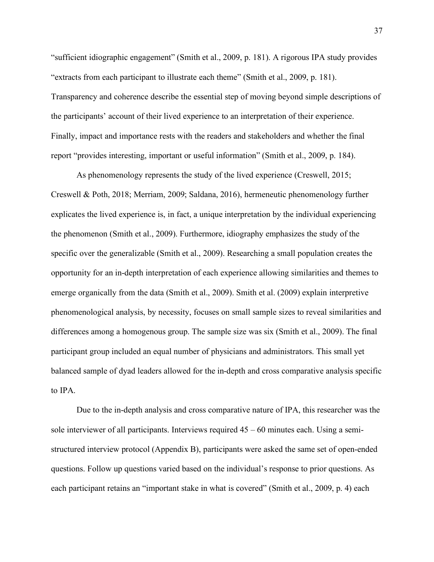"sufficient idiographic engagement" (Smith et al., 2009, p. 181). A rigorous IPA study provides "extracts from each participant to illustrate each theme" (Smith et al., 2009, p. 181). Transparency and coherence describe the essential step of moving beyond simple descriptions of the participants' account of their lived experience to an interpretation of their experience. Finally, impact and importance rests with the readers and stakeholders and whether the final report "provides interesting, important or useful information" (Smith et al., 2009, p. 184).

As phenomenology represents the study of the lived experience (Creswell, 2015; Creswell & Poth, 2018; Merriam, 2009; Saldana, 2016), hermeneutic phenomenology further explicates the lived experience is, in fact, a unique interpretation by the individual experiencing the phenomenon (Smith et al., 2009). Furthermore, idiography emphasizes the study of the specific over the generalizable (Smith et al., 2009). Researching a small population creates the opportunity for an in-depth interpretation of each experience allowing similarities and themes to emerge organically from the data (Smith et al., 2009). Smith et al. (2009) explain interpretive phenomenological analysis, by necessity, focuses on small sample sizes to reveal similarities and differences among a homogenous group. The sample size was six (Smith et al., 2009). The final participant group included an equal number of physicians and administrators. This small yet balanced sample of dyad leaders allowed for the in-depth and cross comparative analysis specific to IPA.

Due to the in-depth analysis and cross comparative nature of IPA, this researcher was the sole interviewer of all participants. Interviews required 45 – 60 minutes each. Using a semistructured interview protocol (Appendix B), participants were asked the same set of open-ended questions. Follow up questions varied based on the individual's response to prior questions. As each participant retains an "important stake in what is covered" (Smith et al., 2009, p. 4) each

37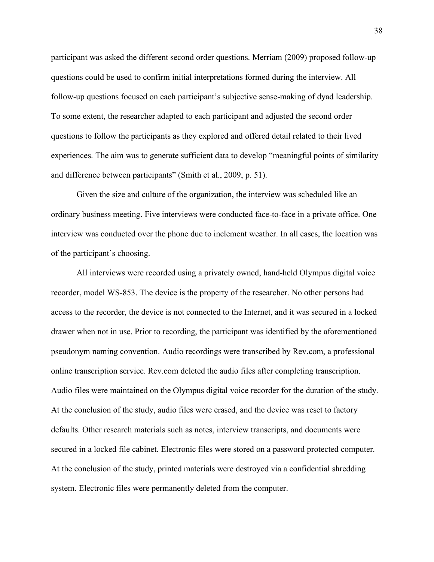participant was asked the different second order questions. Merriam (2009) proposed follow-up questions could be used to confirm initial interpretations formed during the interview. All follow-up questions focused on each participant's subjective sense-making of dyad leadership. To some extent, the researcher adapted to each participant and adjusted the second order questions to follow the participants as they explored and offered detail related to their lived experiences. The aim was to generate sufficient data to develop "meaningful points of similarity and difference between participants" (Smith et al., 2009, p. 51).

Given the size and culture of the organization, the interview was scheduled like an ordinary business meeting. Five interviews were conducted face-to-face in a private office. One interview was conducted over the phone due to inclement weather. In all cases, the location was of the participant's choosing.

All interviews were recorded using a privately owned, hand-held Olympus digital voice recorder, model WS-853. The device is the property of the researcher. No other persons had access to the recorder, the device is not connected to the Internet, and it was secured in a locked drawer when not in use. Prior to recording, the participant was identified by the aforementioned pseudonym naming convention. Audio recordings were transcribed by Rev.com, a professional online transcription service. Rev.com deleted the audio files after completing transcription. Audio files were maintained on the Olympus digital voice recorder for the duration of the study. At the conclusion of the study, audio files were erased, and the device was reset to factory defaults. Other research materials such as notes, interview transcripts, and documents were secured in a locked file cabinet. Electronic files were stored on a password protected computer. At the conclusion of the study, printed materials were destroyed via a confidential shredding system. Electronic files were permanently deleted from the computer.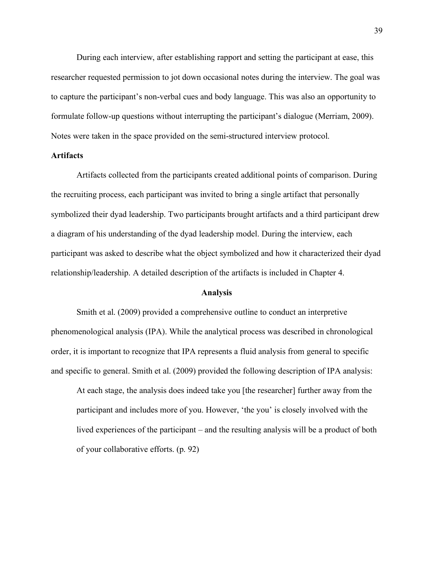During each interview, after establishing rapport and setting the participant at ease, this researcher requested permission to jot down occasional notes during the interview. The goal was to capture the participant's non-verbal cues and body language. This was also an opportunity to formulate follow-up questions without interrupting the participant's dialogue (Merriam, 2009). Notes were taken in the space provided on the semi-structured interview protocol.

## **Artifacts**

Artifacts collected from the participants created additional points of comparison. During the recruiting process, each participant was invited to bring a single artifact that personally symbolized their dyad leadership. Two participants brought artifacts and a third participant drew a diagram of his understanding of the dyad leadership model. During the interview, each participant was asked to describe what the object symbolized and how it characterized their dyad relationship/leadership. A detailed description of the artifacts is included in Chapter 4.

# **Analysis**

Smith et al. (2009) provided a comprehensive outline to conduct an interpretive phenomenological analysis (IPA). While the analytical process was described in chronological order, it is important to recognize that IPA represents a fluid analysis from general to specific and specific to general. Smith et al. (2009) provided the following description of IPA analysis:

At each stage, the analysis does indeed take you [the researcher] further away from the participant and includes more of you. However, 'the you' is closely involved with the lived experiences of the participant – and the resulting analysis will be a product of both of your collaborative efforts. (p. 92)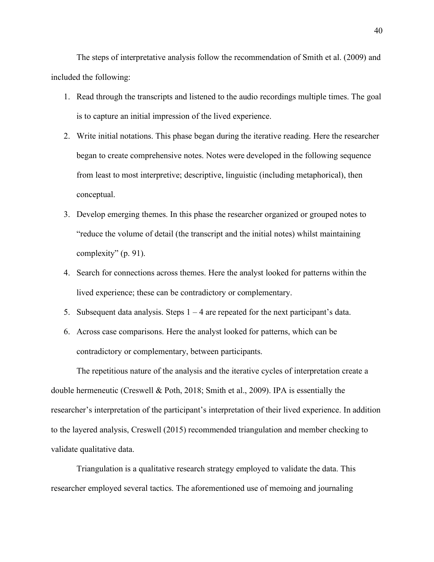The steps of interpretative analysis follow the recommendation of Smith et al. (2009) and included the following:

- 1. Read through the transcripts and listened to the audio recordings multiple times. The goal is to capture an initial impression of the lived experience.
- 2. Write initial notations. This phase began during the iterative reading. Here the researcher began to create comprehensive notes. Notes were developed in the following sequence from least to most interpretive; descriptive, linguistic (including metaphorical), then conceptual.
- 3. Develop emerging themes. In this phase the researcher organized or grouped notes to "reduce the volume of detail (the transcript and the initial notes) whilst maintaining complexity" (p. 91).
- 4. Search for connections across themes. Here the analyst looked for patterns within the lived experience; these can be contradictory or complementary.
- 5. Subsequent data analysis. Steps  $1 4$  are repeated for the next participant's data.
- 6. Across case comparisons. Here the analyst looked for patterns, which can be contradictory or complementary, between participants.

The repetitious nature of the analysis and the iterative cycles of interpretation create a double hermeneutic (Creswell & Poth, 2018; Smith et al., 2009). IPA is essentially the researcher's interpretation of the participant's interpretation of their lived experience. In addition to the layered analysis, Creswell (2015) recommended triangulation and member checking to validate qualitative data.

Triangulation is a qualitative research strategy employed to validate the data. This researcher employed several tactics. The aforementioned use of memoing and journaling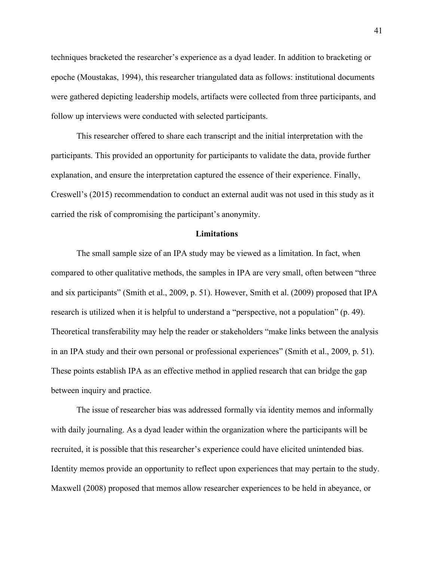techniques bracketed the researcher's experience as a dyad leader. In addition to bracketing or epoche (Moustakas, 1994), this researcher triangulated data as follows: institutional documents were gathered depicting leadership models, artifacts were collected from three participants, and follow up interviews were conducted with selected participants.

This researcher offered to share each transcript and the initial interpretation with the participants. This provided an opportunity for participants to validate the data, provide further explanation, and ensure the interpretation captured the essence of their experience. Finally, Creswell's (2015) recommendation to conduct an external audit was not used in this study as it carried the risk of compromising the participant's anonymity.

### **Limitations**

The small sample size of an IPA study may be viewed as a limitation. In fact, when compared to other qualitative methods, the samples in IPA are very small, often between "three and six participants" (Smith et al., 2009, p. 51). However, Smith et al. (2009) proposed that IPA research is utilized when it is helpful to understand a "perspective, not a population" (p. 49). Theoretical transferability may help the reader or stakeholders "make links between the analysis in an IPA study and their own personal or professional experiences" (Smith et al., 2009, p. 51). These points establish IPA as an effective method in applied research that can bridge the gap between inquiry and practice.

The issue of researcher bias was addressed formally via identity memos and informally with daily journaling. As a dyad leader within the organization where the participants will be recruited, it is possible that this researcher's experience could have elicited unintended bias. Identity memos provide an opportunity to reflect upon experiences that may pertain to the study. Maxwell (2008) proposed that memos allow researcher experiences to be held in abeyance, or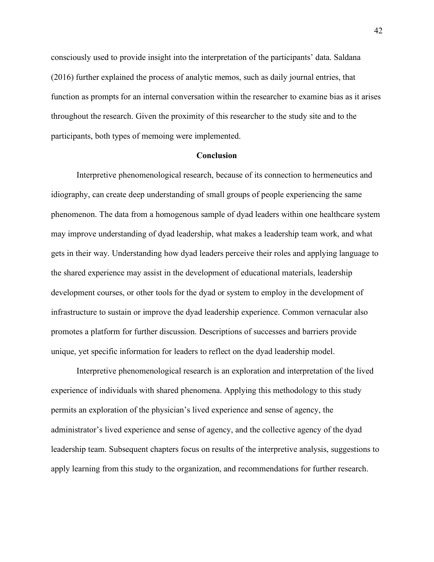consciously used to provide insight into the interpretation of the participants' data. Saldana (2016) further explained the process of analytic memos, such as daily journal entries, that function as prompts for an internal conversation within the researcher to examine bias as it arises throughout the research. Given the proximity of this researcher to the study site and to the participants, both types of memoing were implemented.

#### **Conclusion**

Interpretive phenomenological research, because of its connection to hermeneutics and idiography, can create deep understanding of small groups of people experiencing the same phenomenon. The data from a homogenous sample of dyad leaders within one healthcare system may improve understanding of dyad leadership, what makes a leadership team work, and what gets in their way. Understanding how dyad leaders perceive their roles and applying language to the shared experience may assist in the development of educational materials, leadership development courses, or other tools for the dyad or system to employ in the development of infrastructure to sustain or improve the dyad leadership experience. Common vernacular also promotes a platform for further discussion. Descriptions of successes and barriers provide unique, yet specific information for leaders to reflect on the dyad leadership model.

Interpretive phenomenological research is an exploration and interpretation of the lived experience of individuals with shared phenomena. Applying this methodology to this study permits an exploration of the physician's lived experience and sense of agency, the administrator's lived experience and sense of agency, and the collective agency of the dyad leadership team. Subsequent chapters focus on results of the interpretive analysis, suggestions to apply learning from this study to the organization, and recommendations for further research.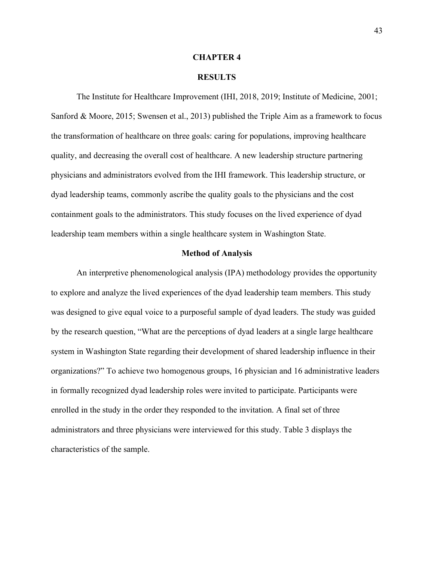#### **CHAPTER 4**

#### **RESULTS**

The Institute for Healthcare Improvement (IHI, 2018, 2019; Institute of Medicine, 2001; Sanford & Moore, 2015; Swensen et al., 2013) published the Triple Aim as a framework to focus the transformation of healthcare on three goals: caring for populations, improving healthcare quality, and decreasing the overall cost of healthcare. A new leadership structure partnering physicians and administrators evolved from the IHI framework. This leadership structure, or dyad leadership teams, commonly ascribe the quality goals to the physicians and the cost containment goals to the administrators. This study focuses on the lived experience of dyad leadership team members within a single healthcare system in Washington State.

### **Method of Analysis**

An interpretive phenomenological analysis (IPA) methodology provides the opportunity to explore and analyze the lived experiences of the dyad leadership team members. This study was designed to give equal voice to a purposeful sample of dyad leaders. The study was guided by the research question, "What are the perceptions of dyad leaders at a single large healthcare system in Washington State regarding their development of shared leadership influence in their organizations?" To achieve two homogenous groups, 16 physician and 16 administrative leaders in formally recognized dyad leadership roles were invited to participate. Participants were enrolled in the study in the order they responded to the invitation. A final set of three administrators and three physicians were interviewed for this study. Table 3 displays the characteristics of the sample.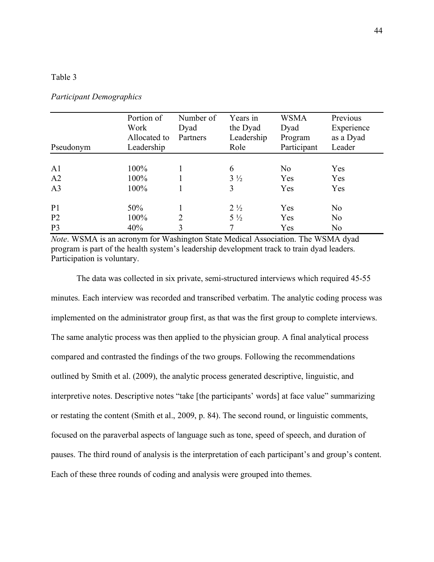### Table 3

| Pseudonym      | Portion of<br>Work<br>Allocated to<br>Leadership | Number of<br>Dyad<br>Partners | Years in<br>the Dyad<br>Leadership<br>Role | <b>WSMA</b><br>Dyad<br>Program<br>Participant | Previous<br>Experience<br>as a Dyad<br>Leader |
|----------------|--------------------------------------------------|-------------------------------|--------------------------------------------|-----------------------------------------------|-----------------------------------------------|
|                |                                                  |                               |                                            |                                               |                                               |
| A <sub>1</sub> | 100%                                             |                               | 6                                          | N <sub>o</sub>                                | Yes                                           |
| A2             | 100%                                             |                               | $3\frac{1}{2}$                             | Yes                                           | Yes                                           |
| A <sub>3</sub> | 100%                                             |                               | 3                                          | Yes                                           | Yes                                           |
| P <sub>1</sub> | 50%                                              |                               | $2\frac{1}{2}$                             | Yes                                           | N <sub>0</sub>                                |
| P <sub>2</sub> | 100%                                             | 2                             | $5\frac{1}{2}$                             | Yes                                           | N <sub>0</sub>                                |
| P <sub>3</sub> | 40%                                              | 3                             | 7                                          | Yes                                           | N <sub>0</sub>                                |

#### *Participant Demographics*

*Note*. WSMA is an acronym for Washington State Medical Association. The WSMA dyad program is part of the health system's leadership development track to train dyad leaders. Participation is voluntary.

The data was collected in six private, semi-structured interviews which required 45-55 minutes. Each interview was recorded and transcribed verbatim. The analytic coding process was implemented on the administrator group first, as that was the first group to complete interviews. The same analytic process was then applied to the physician group. A final analytical process compared and contrasted the findings of the two groups. Following the recommendations outlined by Smith et al. (2009), the analytic process generated descriptive, linguistic, and interpretive notes. Descriptive notes "take [the participants' words] at face value" summarizing or restating the content (Smith et al., 2009, p. 84). The second round, or linguistic comments, focused on the paraverbal aspects of language such as tone, speed of speech, and duration of pauses. The third round of analysis is the interpretation of each participant's and group's content. Each of these three rounds of coding and analysis were grouped into themes.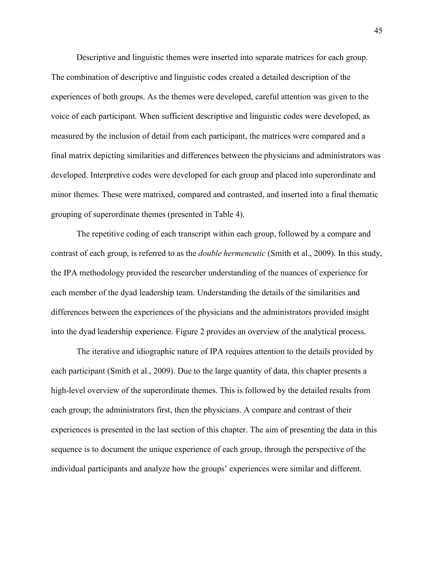Descriptive and linguistic themes were inserted into separate matrices for each group. The combination of descriptive and linguistic codes created a detailed description of the experiences of both groups. As the themes were developed, careful attention was given to the voice of each participant. When sufficient descriptive and linguistic codes were developed, as measured by the inclusion of detail from each participant, the matrices were compared and a final matrix depicting similarities and differences between the physicians and administrators was developed. Interpretive codes were developed for each group and placed into superordinate and minor themes. These were matrixed, compared and contrasted, and inserted into a final thematic grouping of superordinate themes (presented in Table 4).

The repetitive coding of each transcript within each group, followed by a compare and contrast of each group, is referred to as the *double hermeneutic* (Smith et al., 2009). In this study, the IPA methodology provided the researcher understanding of the nuances of experience for each member of the dyad leadership team. Understanding the details of the similarities and differences between the experiences of the physicians and the administrators provided insight into the dyad leadership experience. Figure 2 provides an overview of the analytical process.

The iterative and idiographic nature of IPA requires attention to the details provided by each participant (Smith et al., 2009). Due to the large quantity of data, this chapter presents a high-level overview of the superordinate themes. This is followed by the detailed results from each group; the administrators first, then the physicians. A compare and contrast of their experiences is presented in the last section of this chapter. The aim of presenting the data in this sequence is to document the unique experience of each group, through the perspective of the individual participants and analyze how the groups' experiences were similar and different.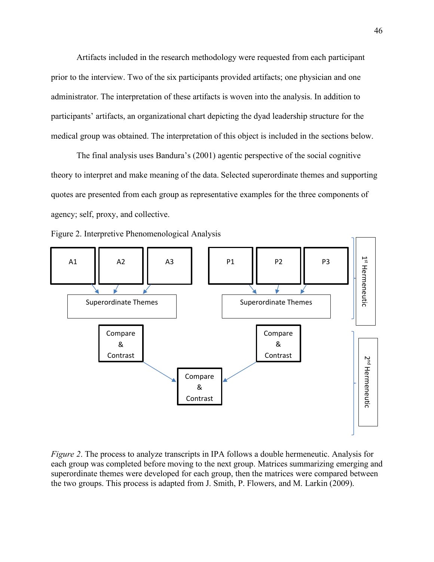Artifacts included in the research methodology were requested from each participant prior to the interview. Two of the six participants provided artifacts; one physician and one administrator. The interpretation of these artifacts is woven into the analysis. In addition to participants' artifacts, an organizational chart depicting the dyad leadership structure for the medical group was obtained. The interpretation of this object is included in the sections below.

The final analysis uses Bandura's (2001) agentic perspective of the social cognitive theory to interpret and make meaning of the data. Selected superordinate themes and supporting quotes are presented from each group as representative examples for the three components of agency; self, proxy, and collective.





*Figure 2*. The process to analyze transcripts in IPA follows a double hermeneutic. Analysis for each group was completed before moving to the next group. Matrices summarizing emerging and superordinate themes were developed for each group, then the matrices were compared between the two groups. This process is adapted from J. Smith, P. Flowers, and M. Larkin (2009).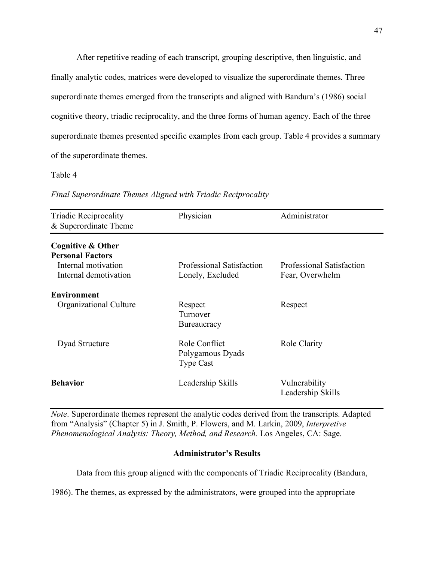After repetitive reading of each transcript, grouping descriptive, then linguistic, and finally analytic codes, matrices were developed to visualize the superordinate themes. Three superordinate themes emerged from the transcripts and aligned with Bandura's (1986) social cognitive theory, triadic reciprocality, and the three forms of human agency. Each of the three superordinate themes presented specific examples from each group. Table 4 provides a summary of the superordinate themes.

# Table 4

| <b>Triadic Reciprocality</b><br>& Superordinate Theme | Physician                                             | Administrator                                |
|-------------------------------------------------------|-------------------------------------------------------|----------------------------------------------|
| Cognitive & Other<br><b>Personal Factors</b>          |                                                       |                                              |
| Internal motivation<br>Internal demotivation          | Professional Satisfaction<br>Lonely, Excluded         | Professional Satisfaction<br>Fear, Overwhelm |
| <b>Environment</b>                                    |                                                       |                                              |
| Organizational Culture                                | Respect<br>Turnover<br><b>Bureaucracy</b>             | Respect                                      |
| Dyad Structure                                        | Role Conflict<br>Polygamous Dyads<br><b>Type Cast</b> | Role Clarity                                 |
| <b>Behavior</b>                                       | Leadership Skills                                     | Vulnerability<br>Leadership Skills           |

*Final Superordinate Themes Aligned with Triadic Reciprocality*

*Note*. Superordinate themes represent the analytic codes derived from the transcripts. Adapted from "Analysis" (Chapter 5) in J. Smith, P. Flowers, and M. Larkin, 2009, *Interpretive Phenomenological Analysis: Theory, Method, and Research.* Los Angeles, CA: Sage.

# **Administrator's Results**

Data from this group aligned with the components of Triadic Reciprocality (Bandura,

1986). The themes, as expressed by the administrators, were grouped into the appropriate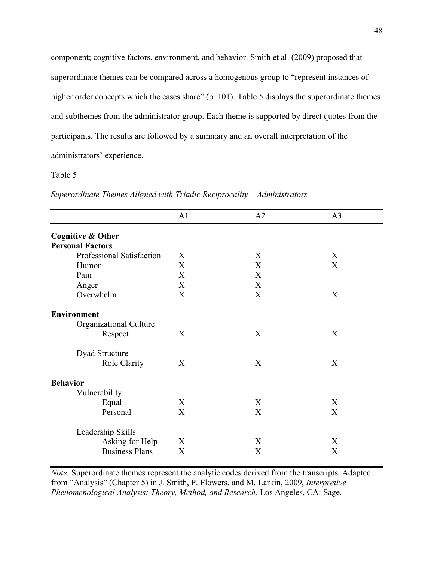component; cognitive factors, environment, and behavior. Smith et al. (2009) proposed that superordinate themes can be compared across a homogenous group to "represent instances of higher order concepts which the cases share" (p. 101). Table 5 displays the superordinate themes and subthemes from the administrator group. Each theme is supported by direct quotes from the participants. The results are followed by a summary and an overall interpretation of the administrators' experience.

# Table 5

|                              | A1          | A2 | A <sub>3</sub> |
|------------------------------|-------------|----|----------------|
| <b>Cognitive &amp; Other</b> |             |    |                |
| <b>Personal Factors</b>      |             |    |                |
| Professional Satisfaction    | X           | X  | X              |
| Humor                        | $\mathbf X$ | X  | X              |
| Pain                         | X           | X  |                |
| Anger                        | X           | X  |                |
| Overwhelm                    | X           | X  | X              |
| <b>Environment</b>           |             |    |                |
| Organizational Culture       |             |    |                |
| Respect                      | X           | X  | X              |
| Dyad Structure               |             |    |                |
| Role Clarity                 | X           | X  | X              |
| <b>Behavior</b>              |             |    |                |
| Vulnerability                |             |    |                |
| Equal                        | X           | X  | X              |
| Personal                     | X           | X  | X              |
| Leadership Skills            |             |    |                |
| Asking for Help              | X           | X  | X              |
| <b>Business Plans</b>        | $\mathbf X$ | X  | $\mathbf X$    |

*Superordinate Themes Aligned with Triadic Reciprocality – Administrators*

*Note*. Superordinate themes represent the analytic codes derived from the transcripts. Adapted from "Analysis" (Chapter 5) in J. Smith, P. Flowers, and M. Larkin, 2009, *Interpretive Phenomenological Analysis: Theory, Method, and Research.* Los Angeles, CA: Sage.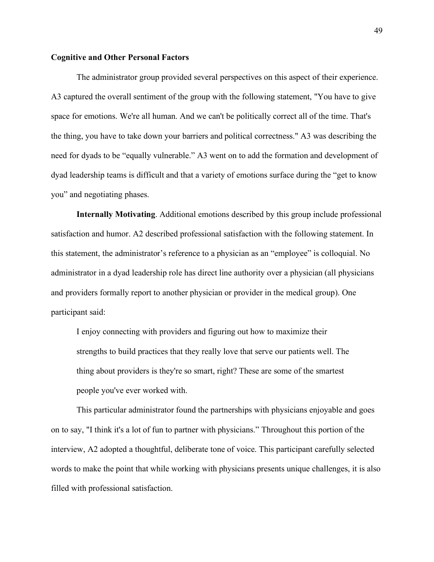#### **Cognitive and Other Personal Factors**

The administrator group provided several perspectives on this aspect of their experience. A3 captured the overall sentiment of the group with the following statement, "You have to give space for emotions. We're all human. And we can't be politically correct all of the time. That's the thing, you have to take down your barriers and political correctness." A3 was describing the need for dyads to be "equally vulnerable." A3 went on to add the formation and development of dyad leadership teams is difficult and that a variety of emotions surface during the "get to know you" and negotiating phases.

**Internally Motivating**. Additional emotions described by this group include professional satisfaction and humor. A2 described professional satisfaction with the following statement. In this statement, the administrator's reference to a physician as an "employee" is colloquial. No administrator in a dyad leadership role has direct line authority over a physician (all physicians and providers formally report to another physician or provider in the medical group). One participant said:

I enjoy connecting with providers and figuring out how to maximize their strengths to build practices that they really love that serve our patients well. The thing about providers is they're so smart, right? These are some of the smartest people you've ever worked with.

This particular administrator found the partnerships with physicians enjoyable and goes on to say, "I think it's a lot of fun to partner with physicians." Throughout this portion of the interview, A2 adopted a thoughtful, deliberate tone of voice. This participant carefully selected words to make the point that while working with physicians presents unique challenges, it is also filled with professional satisfaction.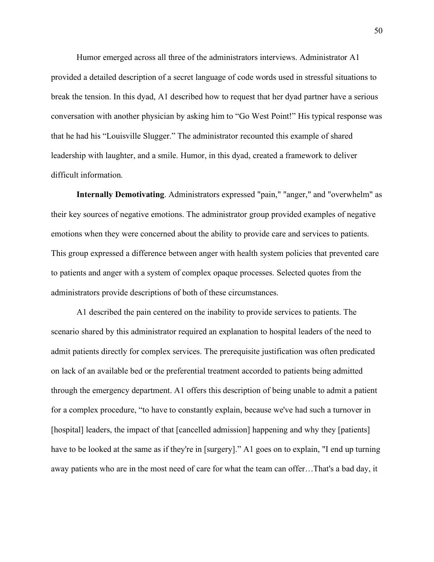Humor emerged across all three of the administrators interviews. Administrator A1 provided a detailed description of a secret language of code words used in stressful situations to break the tension. In this dyad, A1 described how to request that her dyad partner have a serious conversation with another physician by asking him to "Go West Point!" His typical response was that he had his "Louisville Slugger." The administrator recounted this example of shared leadership with laughter, and a smile. Humor, in this dyad, created a framework to deliver difficult information.

**Internally Demotivating**. Administrators expressed "pain," "anger," and "overwhelm" as their key sources of negative emotions. The administrator group provided examples of negative emotions when they were concerned about the ability to provide care and services to patients. This group expressed a difference between anger with health system policies that prevented care to patients and anger with a system of complex opaque processes. Selected quotes from the administrators provide descriptions of both of these circumstances.

A1 described the pain centered on the inability to provide services to patients. The scenario shared by this administrator required an explanation to hospital leaders of the need to admit patients directly for complex services. The prerequisite justification was often predicated on lack of an available bed or the preferential treatment accorded to patients being admitted through the emergency department. A1 offers this description of being unable to admit a patient for a complex procedure, "to have to constantly explain, because we've had such a turnover in [hospital] leaders, the impact of that [cancelled admission] happening and why they [patients] have to be looked at the same as if they're in [surgery]." A1 goes on to explain, "I end up turning away patients who are in the most need of care for what the team can offer…That's a bad day, it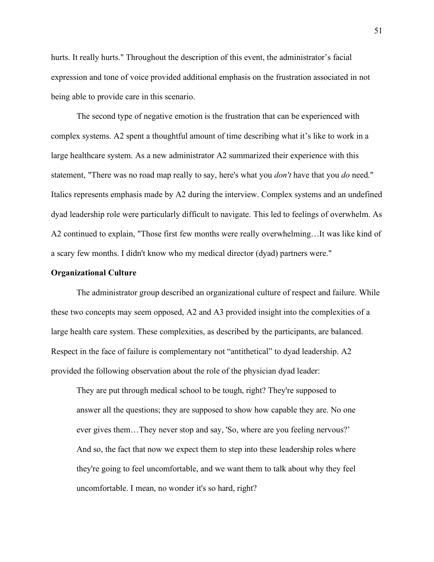hurts. It really hurts." Throughout the description of this event, the administrator's facial expression and tone of voice provided additional emphasis on the frustration associated in not being able to provide care in this scenario.

The second type of negative emotion is the frustration that can be experienced with complex systems. A2 spent a thoughtful amount of time describing what it's like to work in a large healthcare system. As a new administrator A2 summarized their experience with this statement, "There was no road map really to say, here's what you *don't* have that you *do* need." Italics represents emphasis made by A2 during the interview. Complex systems and an undefined dyad leadership role were particularly difficult to navigate. This led to feelings of overwhelm. As A2 continued to explain, "Those first few months were really overwhelming…It was like kind of a scary few months. I didn't know who my medical director (dyad) partners were."

# **Organizational Culture**

The administrator group described an organizational culture of respect and failure. While these two concepts may seem opposed, A2 and A3 provided insight into the complexities of a large health care system. These complexities, as described by the participants, are balanced. Respect in the face of failure is complementary not "antithetical" to dyad leadership. A2 provided the following observation about the role of the physician dyad leader:

They are put through medical school to be tough, right? They're supposed to answer all the questions; they are supposed to show how capable they are. No one ever gives them…They never stop and say, 'So, where are you feeling nervous?' And so, the fact that now we expect them to step into these leadership roles where they're going to feel uncomfortable, and we want them to talk about why they feel uncomfortable. I mean, no wonder it's so hard, right?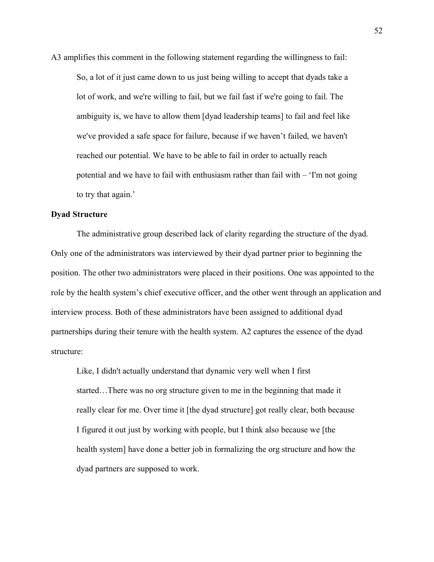A3 amplifies this comment in the following statement regarding the willingness to fail: So, a lot of it just came down to us just being willing to accept that dyads take a lot of work, and we're willing to fail, but we fail fast if we're going to fail. The ambiguity is, we have to allow them [dyad leadership teams] to fail and feel like we've provided a safe space for failure, because if we haven't failed, we haven't reached our potential. We have to be able to fail in order to actually reach potential and we have to fail with enthusiasm rather than fail with – 'I'm not going to try that again.'

# **Dyad Structure**

The administrative group described lack of clarity regarding the structure of the dyad. Only one of the administrators was interviewed by their dyad partner prior to beginning the position. The other two administrators were placed in their positions. One was appointed to the role by the health system's chief executive officer, and the other went through an application and interview process. Both of these administrators have been assigned to additional dyad partnerships during their tenure with the health system. A2 captures the essence of the dyad structure:

Like, I didn't actually understand that dynamic very well when I first started…There was no org structure given to me in the beginning that made it really clear for me. Over time it [the dyad structure] got really clear, both because I figured it out just by working with people, but I think also because we [the health system] have done a better job in formalizing the org structure and how the dyad partners are supposed to work.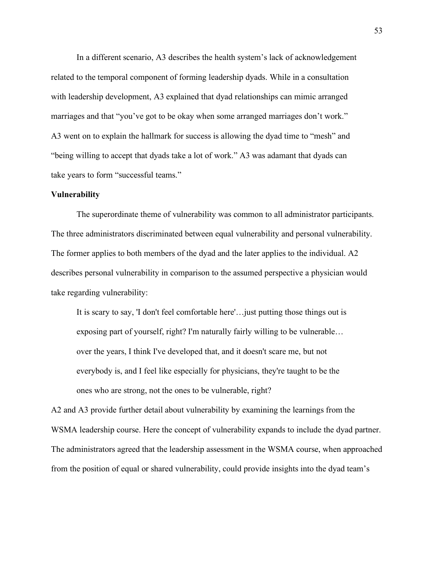In a different scenario, A3 describes the health system's lack of acknowledgement related to the temporal component of forming leadership dyads. While in a consultation with leadership development, A3 explained that dyad relationships can mimic arranged marriages and that "you've got to be okay when some arranged marriages don't work." A3 went on to explain the hallmark for success is allowing the dyad time to "mesh" and "being willing to accept that dyads take a lot of work." A3 was adamant that dyads can take years to form "successful teams."

# **Vulnerability**

The superordinate theme of vulnerability was common to all administrator participants. The three administrators discriminated between equal vulnerability and personal vulnerability. The former applies to both members of the dyad and the later applies to the individual. A2 describes personal vulnerability in comparison to the assumed perspective a physician would take regarding vulnerability:

It is scary to say, 'I don't feel comfortable here'…just putting those things out is exposing part of yourself, right? I'm naturally fairly willing to be vulnerable… over the years, I think I've developed that, and it doesn't scare me, but not everybody is, and I feel like especially for physicians, they're taught to be the ones who are strong, not the ones to be vulnerable, right?

A2 and A3 provide further detail about vulnerability by examining the learnings from the WSMA leadership course. Here the concept of vulnerability expands to include the dyad partner. The administrators agreed that the leadership assessment in the WSMA course, when approached from the position of equal or shared vulnerability, could provide insights into the dyad team's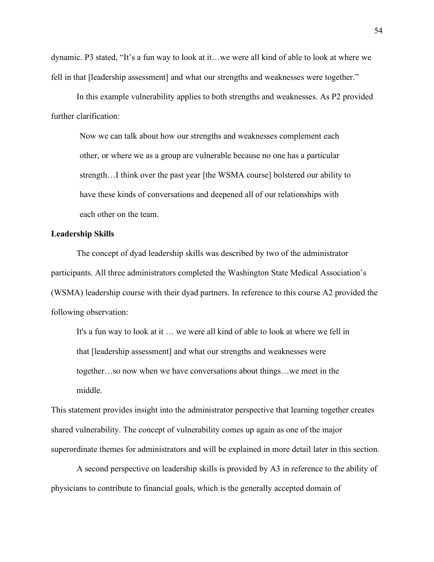dynamic. P3 stated, "It's a fun way to look at it…we were all kind of able to look at where we fell in that [leadership assessment] and what our strengths and weaknesses were together."

In this example vulnerability applies to both strengths and weaknesses. As P2 provided further clarification:

Now we can talk about how our strengths and weaknesses complement each other, or where we as a group are vulnerable because no one has a particular strength…I think over the past year [the WSMA course] bolstered our ability to have these kinds of conversations and deepened all of our relationships with each other on the team.

# **Leadership Skills**

The concept of dyad leadership skills was described by two of the administrator participants. All three administrators completed the Washington State Medical Association's (WSMA) leadership course with their dyad partners. In reference to this course A2 provided the following observation:

It's a fun way to look at it … we were all kind of able to look at where we fell in that [leadership assessment] and what our strengths and weaknesses were together…so now when we have conversations about things…we meet in the middle.

This statement provides insight into the administrator perspective that learning together creates shared vulnerability. The concept of vulnerability comes up again as one of the major superordinate themes for administrators and will be explained in more detail later in this section.

A second perspective on leadership skills is provided by A3 in reference to the ability of physicians to contribute to financial goals, which is the generally accepted domain of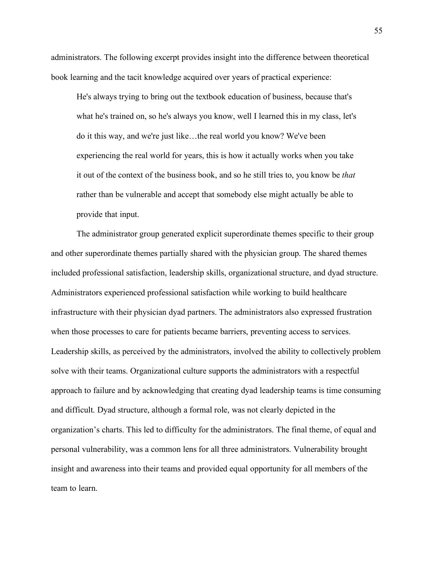administrators. The following excerpt provides insight into the difference between theoretical book learning and the tacit knowledge acquired over years of practical experience:

He's always trying to bring out the textbook education of business, because that's what he's trained on, so he's always you know, well I learned this in my class, let's do it this way, and we're just like…the real world you know? We've been experiencing the real world for years, this is how it actually works when you take it out of the context of the business book, and so he still tries to, you know be *that* rather than be vulnerable and accept that somebody else might actually be able to provide that input.

The administrator group generated explicit superordinate themes specific to their group and other superordinate themes partially shared with the physician group. The shared themes included professional satisfaction, leadership skills, organizational structure, and dyad structure. Administrators experienced professional satisfaction while working to build healthcare infrastructure with their physician dyad partners. The administrators also expressed frustration when those processes to care for patients became barriers, preventing access to services. Leadership skills, as perceived by the administrators, involved the ability to collectively problem solve with their teams. Organizational culture supports the administrators with a respectful approach to failure and by acknowledging that creating dyad leadership teams is time consuming and difficult. Dyad structure, although a formal role, was not clearly depicted in the organization's charts. This led to difficulty for the administrators. The final theme, of equal and personal vulnerability, was a common lens for all three administrators. Vulnerability brought insight and awareness into their teams and provided equal opportunity for all members of the team to learn.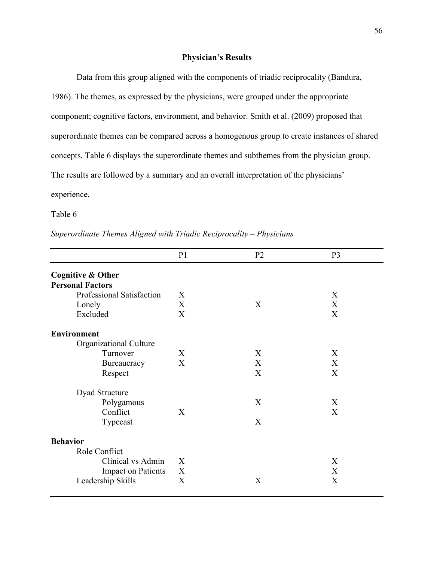## **Physician's Results**

Data from this group aligned with the components of triadic reciprocality (Bandura, 1986). The themes, as expressed by the physicians, were grouped under the appropriate component; cognitive factors, environment, and behavior. Smith et al. (2009) proposed that superordinate themes can be compared across a homogenous group to create instances of shared concepts. Table 6 displays the superordinate themes and subthemes from the physician group. The results are followed by a summary and an overall interpretation of the physicians' experience.

Table 6

*Superordinate Themes Aligned with Triadic Reciprocality – Physicians*

|                              | P <sub>1</sub>            | P <sub>2</sub> | P <sub>3</sub> |
|------------------------------|---------------------------|----------------|----------------|
| <b>Cognitive &amp; Other</b> |                           |                |                |
| <b>Personal Factors</b>      |                           |                |                |
| Professional Satisfaction    | X                         |                | X              |
| Lonely                       | X                         | X              | X              |
| Excluded                     | X                         |                | X              |
| <b>Environment</b>           |                           |                |                |
| Organizational Culture       |                           |                |                |
| Turnover                     | X                         | X              | X              |
| Bureaucracy                  | $\boldsymbol{\mathrm{X}}$ | X              | X              |
| Respect                      |                           | X              | X              |
| Dyad Structure               |                           |                |                |
| Polygamous                   |                           | X              | X              |
| Conflict                     | X                         |                | X              |
| Typecast                     |                           | X              |                |
| <b>Behavior</b>              |                           |                |                |
| Role Conflict                |                           |                |                |
| Clinical vs Admin            | X                         |                | X              |
| <b>Impact on Patients</b>    | X                         |                | X              |
| Leadership Skills            | X                         | X              | X              |
|                              |                           |                |                |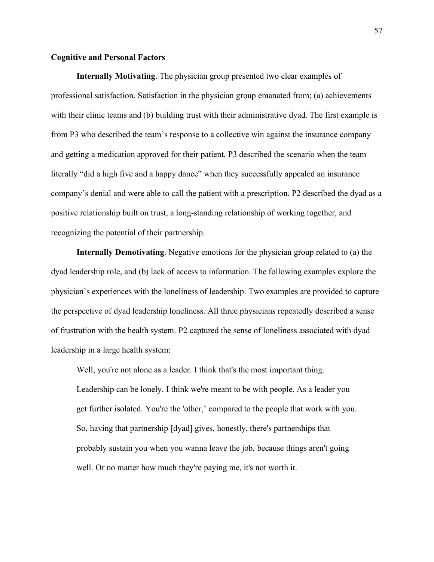# **Cognitive and Personal Factors**

**Internally Motivating**. The physician group presented two clear examples of professional satisfaction. Satisfaction in the physician group emanated from; (a) achievements with their clinic teams and (b) building trust with their administrative dyad. The first example is from P3 who described the team's response to a collective win against the insurance company and getting a medication approved for their patient. P3 described the scenario when the team literally "did a high five and a happy dance" when they successfully appealed an insurance company's denial and were able to call the patient with a prescription. P2 described the dyad as a positive relationship built on trust, a long-standing relationship of working together, and recognizing the potential of their partnership.

**Internally Demotivating**. Negative emotions for the physician group related to (a) the dyad leadership role, and (b) lack of access to information. The following examples explore the physician's experiences with the loneliness of leadership. Two examples are provided to capture the perspective of dyad leadership loneliness. All three physicians repeatedly described a sense of frustration with the health system. P2 captured the sense of loneliness associated with dyad leadership in a large health system:

Well, you're not alone as a leader. I think that's the most important thing. Leadership can be lonely. I think we're meant to be with people. As a leader you get further isolated. You're the 'other,' compared to the people that work with you. So, having that partnership [dyad] gives, honestly, there's partnerships that probably sustain you when you wanna leave the job, because things aren't going well. Or no matter how much they're paying me, it's not worth it.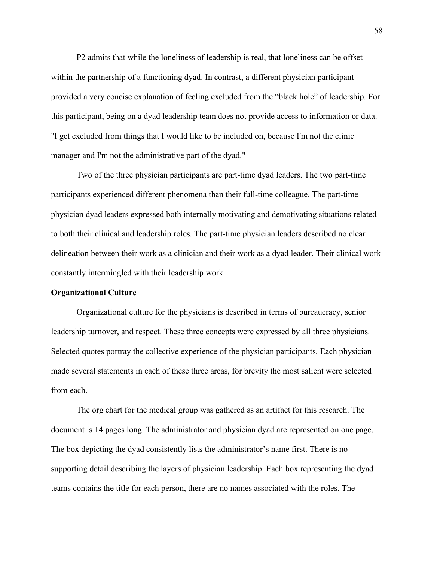P2 admits that while the loneliness of leadership is real, that loneliness can be offset within the partnership of a functioning dyad. In contrast, a different physician participant provided a very concise explanation of feeling excluded from the "black hole" of leadership. For this participant, being on a dyad leadership team does not provide access to information or data. "I get excluded from things that I would like to be included on, because I'm not the clinic manager and I'm not the administrative part of the dyad."

Two of the three physician participants are part-time dyad leaders. The two part-time participants experienced different phenomena than their full-time colleague. The part-time physician dyad leaders expressed both internally motivating and demotivating situations related to both their clinical and leadership roles. The part-time physician leaders described no clear delineation between their work as a clinician and their work as a dyad leader. Their clinical work constantly intermingled with their leadership work.

# **Organizational Culture**

Organizational culture for the physicians is described in terms of bureaucracy, senior leadership turnover, and respect. These three concepts were expressed by all three physicians. Selected quotes portray the collective experience of the physician participants. Each physician made several statements in each of these three areas, for brevity the most salient were selected from each.

The org chart for the medical group was gathered as an artifact for this research. The document is 14 pages long. The administrator and physician dyad are represented on one page. The box depicting the dyad consistently lists the administrator's name first. There is no supporting detail describing the layers of physician leadership. Each box representing the dyad teams contains the title for each person, there are no names associated with the roles. The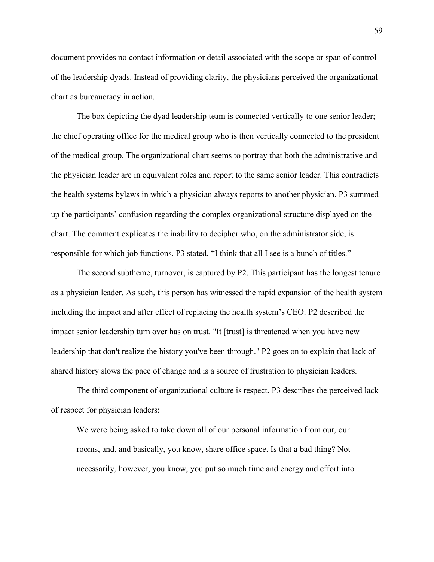document provides no contact information or detail associated with the scope or span of control of the leadership dyads. Instead of providing clarity, the physicians perceived the organizational chart as bureaucracy in action.

The box depicting the dyad leadership team is connected vertically to one senior leader; the chief operating office for the medical group who is then vertically connected to the president of the medical group. The organizational chart seems to portray that both the administrative and the physician leader are in equivalent roles and report to the same senior leader. This contradicts the health systems bylaws in which a physician always reports to another physician. P3 summed up the participants' confusion regarding the complex organizational structure displayed on the chart. The comment explicates the inability to decipher who, on the administrator side, is responsible for which job functions. P3 stated, "I think that all I see is a bunch of titles."

The second subtheme, turnover, is captured by P2. This participant has the longest tenure as a physician leader. As such, this person has witnessed the rapid expansion of the health system including the impact and after effect of replacing the health system's CEO. P2 described the impact senior leadership turn over has on trust. "It [trust] is threatened when you have new leadership that don't realize the history you've been through." P2 goes on to explain that lack of shared history slows the pace of change and is a source of frustration to physician leaders.

The third component of organizational culture is respect. P3 describes the perceived lack of respect for physician leaders:

We were being asked to take down all of our personal information from our, our rooms, and, and basically, you know, share office space. Is that a bad thing? Not necessarily, however, you know, you put so much time and energy and effort into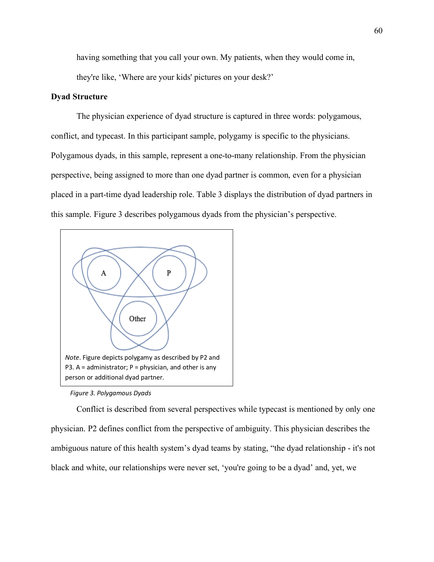having something that you call your own. My patients, when they would come in, they're like, 'Where are your kids' pictures on your desk?'

# **Dyad Structure**

The physician experience of dyad structure is captured in three words: polygamous, conflict, and typecast. In this participant sample, polygamy is specific to the physicians. Polygamous dyads, in this sample, represent a one-to-many relationship. From the physician perspective, being assigned to more than one dyad partner is common, even for a physician placed in a part-time dyad leadership role. Table 3 displays the distribution of dyad partners in this sample. Figure 3 describes polygamous dyads from the physician's perspective.



*Figure 3. Polygamous Dyads*

Conflict is described from several perspectives while typecast is mentioned by only one physician. P2 defines conflict from the perspective of ambiguity. This physician describes the ambiguous nature of this health system's dyad teams by stating, "the dyad relationship - it's not black and white, our relationships were never set, 'you're going to be a dyad' and, yet, we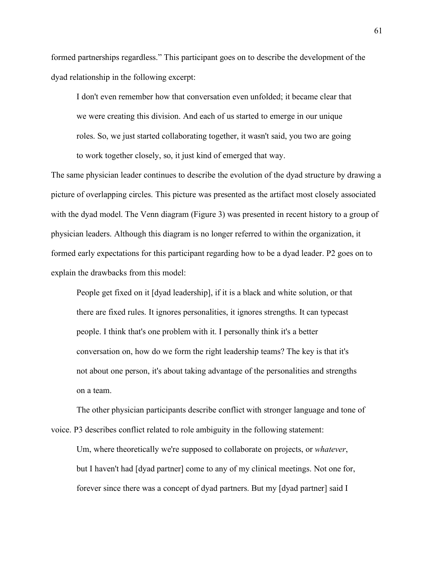formed partnerships regardless." This participant goes on to describe the development of the dyad relationship in the following excerpt:

I don't even remember how that conversation even unfolded; it became clear that we were creating this division. And each of us started to emerge in our unique roles. So, we just started collaborating together, it wasn't said, you two are going to work together closely, so, it just kind of emerged that way.

The same physician leader continues to describe the evolution of the dyad structure by drawing a picture of overlapping circles. This picture was presented as the artifact most closely associated with the dyad model. The Venn diagram (Figure 3) was presented in recent history to a group of physician leaders. Although this diagram is no longer referred to within the organization, it formed early expectations for this participant regarding how to be a dyad leader. P2 goes on to explain the drawbacks from this model:

People get fixed on it [dyad leadership], if it is a black and white solution, or that there are fixed rules. It ignores personalities, it ignores strengths. It can typecast people. I think that's one problem with it. I personally think it's a better conversation on, how do we form the right leadership teams? The key is that it's not about one person, it's about taking advantage of the personalities and strengths on a team.

The other physician participants describe conflict with stronger language and tone of voice. P3 describes conflict related to role ambiguity in the following statement:

Um, where theoretically we're supposed to collaborate on projects, or *whatever*, but I haven't had [dyad partner] come to any of my clinical meetings. Not one for, forever since there was a concept of dyad partners. But my [dyad partner] said I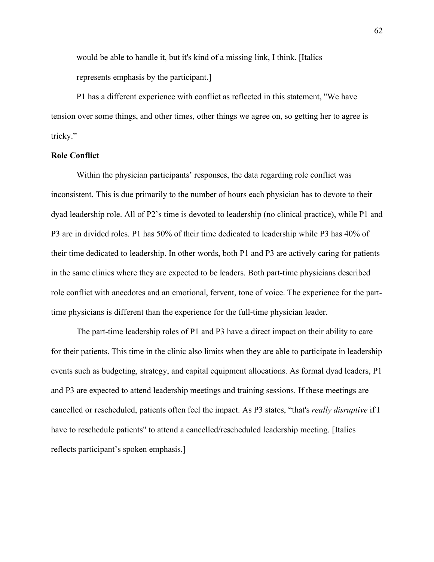would be able to handle it, but it's kind of a missing link, I think. [Italics represents emphasis by the participant.]

P1 has a different experience with conflict as reflected in this statement, "We have tension over some things, and other times, other things we agree on, so getting her to agree is tricky."

#### **Role Conflict**

Within the physician participants' responses, the data regarding role conflict was inconsistent. This is due primarily to the number of hours each physician has to devote to their dyad leadership role. All of P2's time is devoted to leadership (no clinical practice), while P1 and P3 are in divided roles. P1 has 50% of their time dedicated to leadership while P3 has 40% of their time dedicated to leadership. In other words, both P1 and P3 are actively caring for patients in the same clinics where they are expected to be leaders. Both part-time physicians described role conflict with anecdotes and an emotional, fervent, tone of voice. The experience for the parttime physicians is different than the experience for the full-time physician leader.

The part-time leadership roles of P1 and P3 have a direct impact on their ability to care for their patients. This time in the clinic also limits when they are able to participate in leadership events such as budgeting, strategy, and capital equipment allocations. As formal dyad leaders, P1 and P3 are expected to attend leadership meetings and training sessions. If these meetings are cancelled or rescheduled, patients often feel the impact. As P3 states, "that's *really disruptive* if I have to reschedule patients" to attend a cancelled/rescheduled leadership meeting. [Italics reflects participant's spoken emphasis.]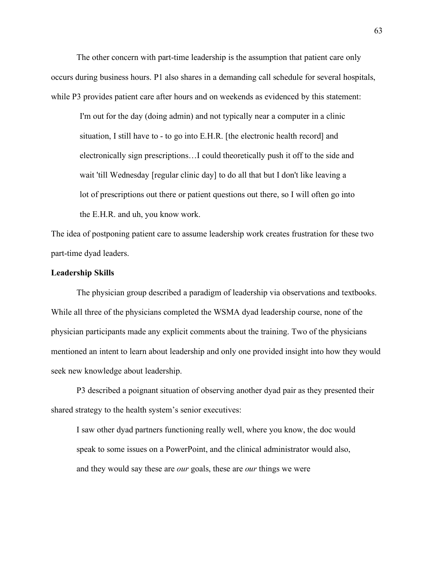The other concern with part-time leadership is the assumption that patient care only occurs during business hours. P1 also shares in a demanding call schedule for several hospitals, while P3 provides patient care after hours and on weekends as evidenced by this statement:

I'm out for the day (doing admin) and not typically near a computer in a clinic situation, I still have to - to go into E.H.R. [the electronic health record] and electronically sign prescriptions…I could theoretically push it off to the side and wait 'till Wednesday [regular clinic day] to do all that but I don't like leaving a lot of prescriptions out there or patient questions out there, so I will often go into the E.H.R. and uh, you know work.

The idea of postponing patient care to assume leadership work creates frustration for these two part-time dyad leaders.

# **Leadership Skills**

The physician group described a paradigm of leadership via observations and textbooks. While all three of the physicians completed the WSMA dyad leadership course, none of the physician participants made any explicit comments about the training. Two of the physicians mentioned an intent to learn about leadership and only one provided insight into how they would seek new knowledge about leadership.

P3 described a poignant situation of observing another dyad pair as they presented their shared strategy to the health system's senior executives:

I saw other dyad partners functioning really well, where you know, the doc would speak to some issues on a PowerPoint, and the clinical administrator would also, and they would say these are *our* goals, these are *our* things we were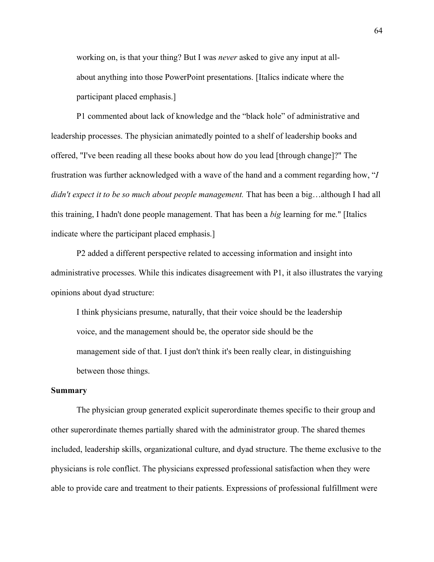working on, is that your thing? But I was *never* asked to give any input at allabout anything into those PowerPoint presentations. [Italics indicate where the participant placed emphasis.]

P1 commented about lack of knowledge and the "black hole" of administrative and leadership processes. The physician animatedly pointed to a shelf of leadership books and offered, "I've been reading all these books about how do you lead [through change]?" The frustration was further acknowledged with a wave of the hand and a comment regarding how, "*I didn't expect it to be so much about people management.* That has been a big…although I had all this training, I hadn't done people management. That has been a *big* learning for me." [Italics indicate where the participant placed emphasis.]

P2 added a different perspective related to accessing information and insight into administrative processes. While this indicates disagreement with P1, it also illustrates the varying opinions about dyad structure:

I think physicians presume, naturally, that their voice should be the leadership voice, and the management should be, the operator side should be the management side of that. I just don't think it's been really clear, in distinguishing between those things.

#### **Summary**

The physician group generated explicit superordinate themes specific to their group and other superordinate themes partially shared with the administrator group. The shared themes included, leadership skills, organizational culture, and dyad structure. The theme exclusive to the physicians is role conflict. The physicians expressed professional satisfaction when they were able to provide care and treatment to their patients. Expressions of professional fulfillment were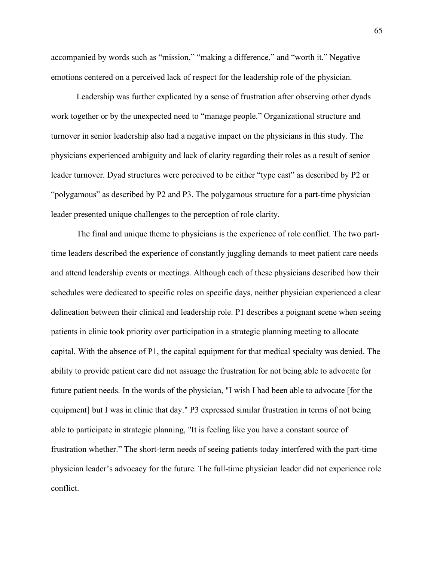accompanied by words such as "mission," "making a difference," and "worth it." Negative emotions centered on a perceived lack of respect for the leadership role of the physician.

Leadership was further explicated by a sense of frustration after observing other dyads work together or by the unexpected need to "manage people." Organizational structure and turnover in senior leadership also had a negative impact on the physicians in this study. The physicians experienced ambiguity and lack of clarity regarding their roles as a result of senior leader turnover. Dyad structures were perceived to be either "type cast" as described by P2 or "polygamous" as described by P2 and P3. The polygamous structure for a part-time physician leader presented unique challenges to the perception of role clarity.

The final and unique theme to physicians is the experience of role conflict. The two parttime leaders described the experience of constantly juggling demands to meet patient care needs and attend leadership events or meetings. Although each of these physicians described how their schedules were dedicated to specific roles on specific days, neither physician experienced a clear delineation between their clinical and leadership role. P1 describes a poignant scene when seeing patients in clinic took priority over participation in a strategic planning meeting to allocate capital. With the absence of P1, the capital equipment for that medical specialty was denied. The ability to provide patient care did not assuage the frustration for not being able to advocate for future patient needs. In the words of the physician, "I wish I had been able to advocate [for the equipment] but I was in clinic that day." P3 expressed similar frustration in terms of not being able to participate in strategic planning, "It is feeling like you have a constant source of frustration whether." The short-term needs of seeing patients today interfered with the part-time physician leader's advocacy for the future. The full-time physician leader did not experience role conflict.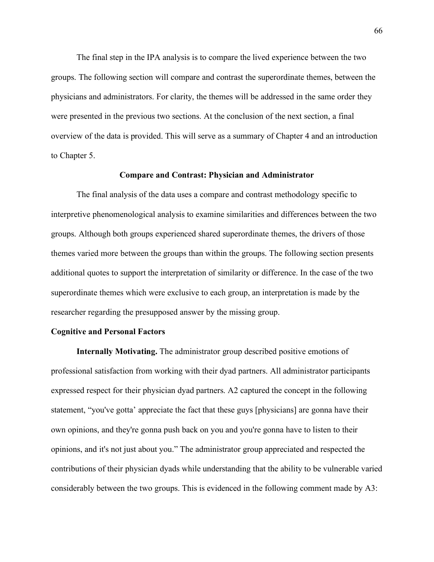The final step in the IPA analysis is to compare the lived experience between the two groups. The following section will compare and contrast the superordinate themes, between the physicians and administrators. For clarity, the themes will be addressed in the same order they were presented in the previous two sections. At the conclusion of the next section, a final overview of the data is provided. This will serve as a summary of Chapter 4 and an introduction to Chapter 5.

### **Compare and Contrast: Physician and Administrator**

The final analysis of the data uses a compare and contrast methodology specific to interpretive phenomenological analysis to examine similarities and differences between the two groups. Although both groups experienced shared superordinate themes, the drivers of those themes varied more between the groups than within the groups. The following section presents additional quotes to support the interpretation of similarity or difference. In the case of the two superordinate themes which were exclusive to each group, an interpretation is made by the researcher regarding the presupposed answer by the missing group.

### **Cognitive and Personal Factors**

**Internally Motivating.** The administrator group described positive emotions of professional satisfaction from working with their dyad partners. All administrator participants expressed respect for their physician dyad partners. A2 captured the concept in the following statement, "you've gotta' appreciate the fact that these guys [physicians] are gonna have their own opinions, and they're gonna push back on you and you're gonna have to listen to their opinions, and it's not just about you." The administrator group appreciated and respected the contributions of their physician dyads while understanding that the ability to be vulnerable varied considerably between the two groups. This is evidenced in the following comment made by A3: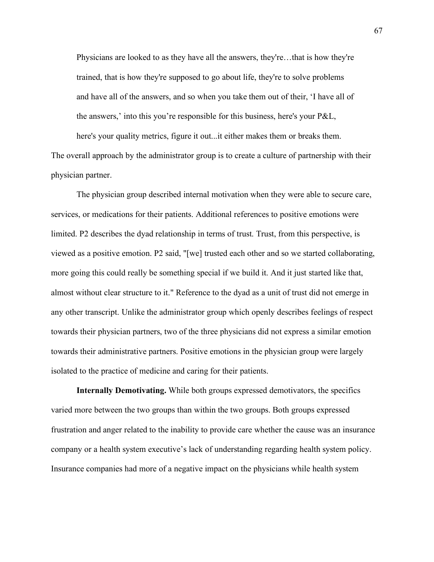Physicians are looked to as they have all the answers, they're…that is how they're trained, that is how they're supposed to go about life, they're to solve problems and have all of the answers, and so when you take them out of their, 'I have all of the answers,' into this you're responsible for this business, here's your P&L,

here's your quality metrics, figure it out...it either makes them or breaks them. The overall approach by the administrator group is to create a culture of partnership with their physician partner.

The physician group described internal motivation when they were able to secure care, services, or medications for their patients. Additional references to positive emotions were limited. P2 describes the dyad relationship in terms of trust. Trust, from this perspective, is viewed as a positive emotion. P2 said, "[we] trusted each other and so we started collaborating, more going this could really be something special if we build it. And it just started like that, almost without clear structure to it." Reference to the dyad as a unit of trust did not emerge in any other transcript. Unlike the administrator group which openly describes feelings of respect towards their physician partners, two of the three physicians did not express a similar emotion towards their administrative partners. Positive emotions in the physician group were largely isolated to the practice of medicine and caring for their patients.

**Internally Demotivating.** While both groups expressed demotivators, the specifics varied more between the two groups than within the two groups. Both groups expressed frustration and anger related to the inability to provide care whether the cause was an insurance company or a health system executive's lack of understanding regarding health system policy. Insurance companies had more of a negative impact on the physicians while health system

67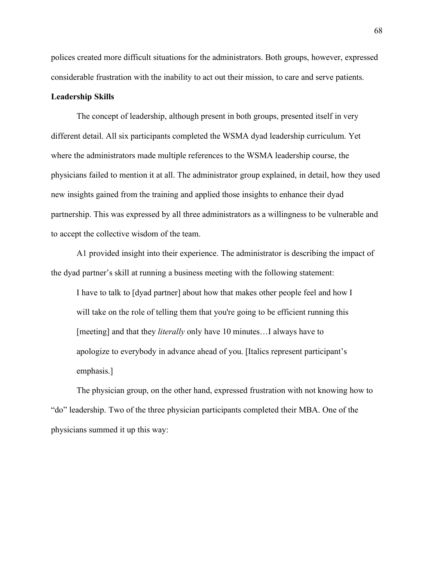polices created more difficult situations for the administrators. Both groups, however, expressed considerable frustration with the inability to act out their mission, to care and serve patients.

## **Leadership Skills**

The concept of leadership, although present in both groups, presented itself in very different detail. All six participants completed the WSMA dyad leadership curriculum. Yet where the administrators made multiple references to the WSMA leadership course, the physicians failed to mention it at all. The administrator group explained, in detail, how they used new insights gained from the training and applied those insights to enhance their dyad partnership. This was expressed by all three administrators as a willingness to be vulnerable and to accept the collective wisdom of the team.

A1 provided insight into their experience. The administrator is describing the impact of the dyad partner's skill at running a business meeting with the following statement:

I have to talk to [dyad partner] about how that makes other people feel and how I will take on the role of telling them that you're going to be efficient running this [meeting] and that they *literally* only have 10 minutes...I always have to apologize to everybody in advance ahead of you. [Italics represent participant's emphasis.]

The physician group, on the other hand, expressed frustration with not knowing how to "do" leadership. Two of the three physician participants completed their MBA. One of the physicians summed it up this way: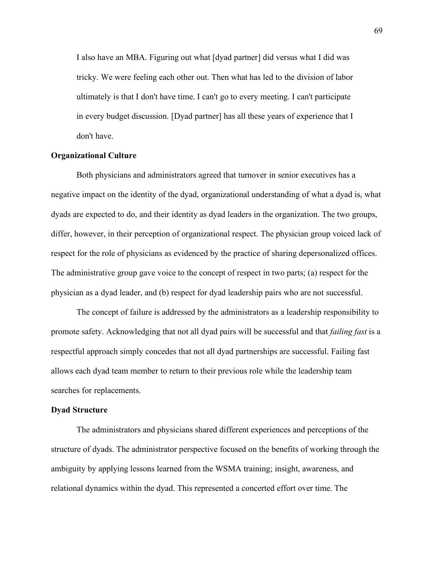I also have an MBA. Figuring out what [dyad partner] did versus what I did was tricky. We were feeling each other out. Then what has led to the division of labor ultimately is that I don't have time. I can't go to every meeting. I can't participate in every budget discussion. [Dyad partner] has all these years of experience that I don't have.

#### **Organizational Culture**

Both physicians and administrators agreed that turnover in senior executives has a negative impact on the identity of the dyad, organizational understanding of what a dyad is, what dyads are expected to do, and their identity as dyad leaders in the organization. The two groups, differ, however, in their perception of organizational respect. The physician group voiced lack of respect for the role of physicians as evidenced by the practice of sharing depersonalized offices. The administrative group gave voice to the concept of respect in two parts; (a) respect for the physician as a dyad leader, and (b) respect for dyad leadership pairs who are not successful.

The concept of failure is addressed by the administrators as a leadership responsibility to promote safety. Acknowledging that not all dyad pairs will be successful and that *failing fast* is a respectful approach simply concedes that not all dyad partnerships are successful. Failing fast allows each dyad team member to return to their previous role while the leadership team searches for replacements.

# **Dyad Structure**

The administrators and physicians shared different experiences and perceptions of the structure of dyads. The administrator perspective focused on the benefits of working through the ambiguity by applying lessons learned from the WSMA training; insight, awareness, and relational dynamics within the dyad. This represented a concerted effort over time. The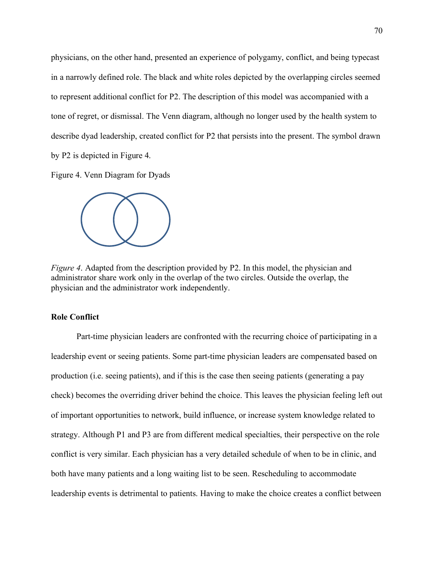physicians, on the other hand, presented an experience of polygamy, conflict, and being typecast in a narrowly defined role. The black and white roles depicted by the overlapping circles seemed to represent additional conflict for P2. The description of this model was accompanied with a tone of regret, or dismissal. The Venn diagram, although no longer used by the health system to describe dyad leadership, created conflict for P2 that persists into the present. The symbol drawn by P2 is depicted in Figure 4.

Figure 4. Venn Diagram for Dyads



*Figure 4.* Adapted from the description provided by P2. In this model, the physician and administrator share work only in the overlap of the two circles. Outside the overlap, the physician and the administrator work independently.

# **Role Conflict**

Part-time physician leaders are confronted with the recurring choice of participating in a leadership event or seeing patients. Some part-time physician leaders are compensated based on production (i.e. seeing patients), and if this is the case then seeing patients (generating a pay check) becomes the overriding driver behind the choice. This leaves the physician feeling left out of important opportunities to network, build influence, or increase system knowledge related to strategy. Although P1 and P3 are from different medical specialties, their perspective on the role conflict is very similar. Each physician has a very detailed schedule of when to be in clinic, and both have many patients and a long waiting list to be seen. Rescheduling to accommodate leadership events is detrimental to patients. Having to make the choice creates a conflict between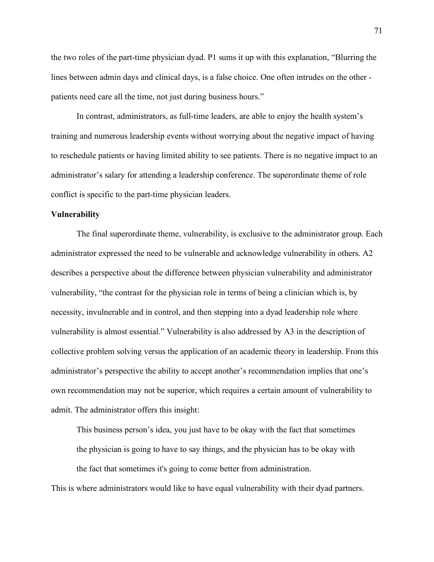the two roles of the part-time physician dyad. P1 sums it up with this explanation, "Blurring the lines between admin days and clinical days, is a false choice. One often intrudes on the other patients need care all the time, not just during business hours."

In contrast, administrators, as full-time leaders, are able to enjoy the health system's training and numerous leadership events without worrying about the negative impact of having to reschedule patients or having limited ability to see patients. There is no negative impact to an administrator's salary for attending a leadership conference. The superordinate theme of role conflict is specific to the part-time physician leaders.

### **Vulnerability**

The final superordinate theme, vulnerability, is exclusive to the administrator group. Each administrator expressed the need to be vulnerable and acknowledge vulnerability in others. A2 describes a perspective about the difference between physician vulnerability and administrator vulnerability, "the contrast for the physician role in terms of being a clinician which is, by necessity, invulnerable and in control, and then stepping into a dyad leadership role where vulnerability is almost essential." Vulnerability is also addressed by A3 in the description of collective problem solving versus the application of an academic theory in leadership. From this administrator's perspective the ability to accept another's recommendation implies that one's own recommendation may not be superior, which requires a certain amount of vulnerability to admit. The administrator offers this insight:

This business person's idea, you just have to be okay with the fact that sometimes the physician is going to have to say things, and the physician has to be okay with the fact that sometimes it's going to come better from administration.

This is where administrators would like to have equal vulnerability with their dyad partners.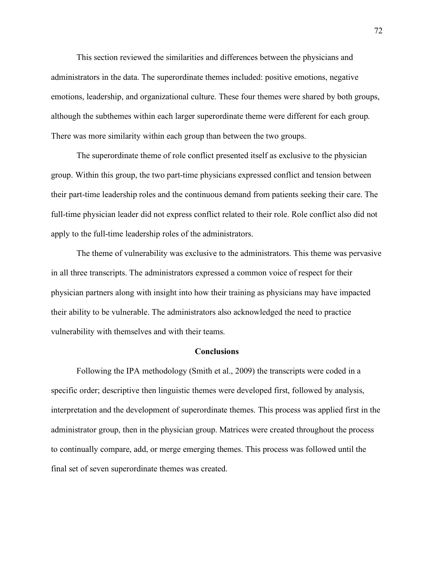This section reviewed the similarities and differences between the physicians and administrators in the data. The superordinate themes included: positive emotions, negative emotions, leadership, and organizational culture. These four themes were shared by both groups, although the subthemes within each larger superordinate theme were different for each group. There was more similarity within each group than between the two groups.

The superordinate theme of role conflict presented itself as exclusive to the physician group. Within this group, the two part-time physicians expressed conflict and tension between their part-time leadership roles and the continuous demand from patients seeking their care. The full-time physician leader did not express conflict related to their role. Role conflict also did not apply to the full-time leadership roles of the administrators.

The theme of vulnerability was exclusive to the administrators. This theme was pervasive in all three transcripts. The administrators expressed a common voice of respect for their physician partners along with insight into how their training as physicians may have impacted their ability to be vulnerable. The administrators also acknowledged the need to practice vulnerability with themselves and with their teams.

# **Conclusions**

Following the IPA methodology (Smith et al., 2009) the transcripts were coded in a specific order; descriptive then linguistic themes were developed first, followed by analysis, interpretation and the development of superordinate themes. This process was applied first in the administrator group, then in the physician group. Matrices were created throughout the process to continually compare, add, or merge emerging themes. This process was followed until the final set of seven superordinate themes was created.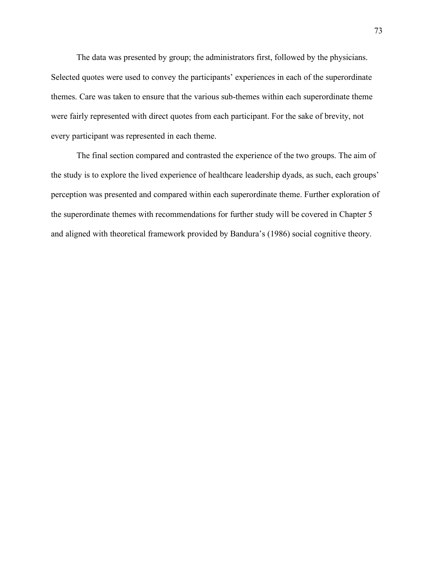The data was presented by group; the administrators first, followed by the physicians. Selected quotes were used to convey the participants' experiences in each of the superordinate themes. Care was taken to ensure that the various sub-themes within each superordinate theme were fairly represented with direct quotes from each participant. For the sake of brevity, not every participant was represented in each theme.

The final section compared and contrasted the experience of the two groups. The aim of the study is to explore the lived experience of healthcare leadership dyads, as such, each groups' perception was presented and compared within each superordinate theme. Further exploration of the superordinate themes with recommendations for further study will be covered in Chapter 5 and aligned with theoretical framework provided by Bandura's (1986) social cognitive theory.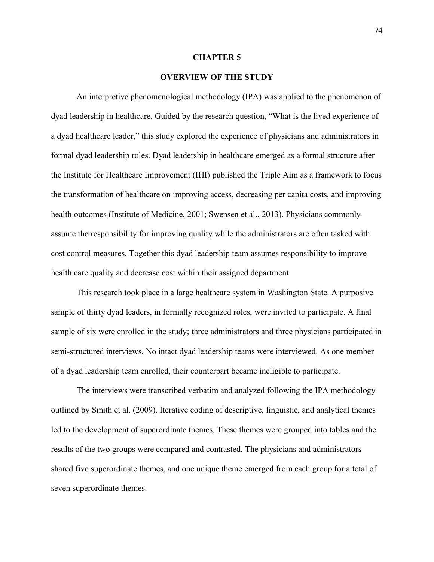#### **CHAPTER 5**

#### **OVERVIEW OF THE STUDY**

An interpretive phenomenological methodology (IPA) was applied to the phenomenon of dyad leadership in healthcare. Guided by the research question, "What is the lived experience of a dyad healthcare leader," this study explored the experience of physicians and administrators in formal dyad leadership roles. Dyad leadership in healthcare emerged as a formal structure after the Institute for Healthcare Improvement (IHI) published the Triple Aim as a framework to focus the transformation of healthcare on improving access, decreasing per capita costs, and improving health outcomes (Institute of Medicine, 2001; Swensen et al., 2013). Physicians commonly assume the responsibility for improving quality while the administrators are often tasked with cost control measures. Together this dyad leadership team assumes responsibility to improve health care quality and decrease cost within their assigned department.

This research took place in a large healthcare system in Washington State. A purposive sample of thirty dyad leaders, in formally recognized roles, were invited to participate. A final sample of six were enrolled in the study; three administrators and three physicians participated in semi-structured interviews. No intact dyad leadership teams were interviewed. As one member of a dyad leadership team enrolled, their counterpart became ineligible to participate.

The interviews were transcribed verbatim and analyzed following the IPA methodology outlined by Smith et al. (2009). Iterative coding of descriptive, linguistic, and analytical themes led to the development of superordinate themes. These themes were grouped into tables and the results of the two groups were compared and contrasted. The physicians and administrators shared five superordinate themes, and one unique theme emerged from each group for a total of seven superordinate themes.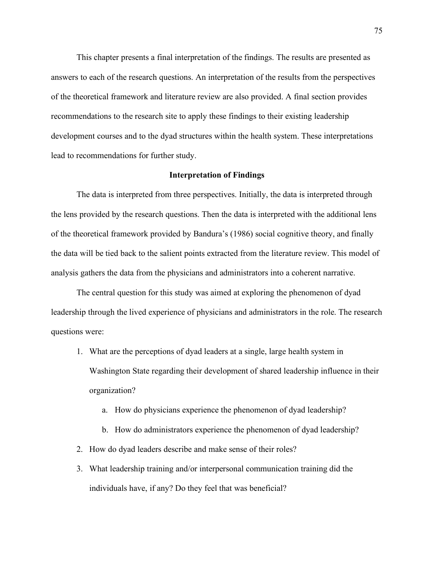This chapter presents a final interpretation of the findings. The results are presented as answers to each of the research questions. An interpretation of the results from the perspectives of the theoretical framework and literature review are also provided. A final section provides recommendations to the research site to apply these findings to their existing leadership development courses and to the dyad structures within the health system. These interpretations lead to recommendations for further study.

### **Interpretation of Findings**

The data is interpreted from three perspectives. Initially, the data is interpreted through the lens provided by the research questions. Then the data is interpreted with the additional lens of the theoretical framework provided by Bandura's (1986) social cognitive theory, and finally the data will be tied back to the salient points extracted from the literature review. This model of analysis gathers the data from the physicians and administrators into a coherent narrative.

The central question for this study was aimed at exploring the phenomenon of dyad leadership through the lived experience of physicians and administrators in the role. The research questions were:

- 1. What are the perceptions of dyad leaders at a single, large health system in Washington State regarding their development of shared leadership influence in their organization?
	- a. How do physicians experience the phenomenon of dyad leadership?
	- b. How do administrators experience the phenomenon of dyad leadership?
- 2. How do dyad leaders describe and make sense of their roles?
- 3. What leadership training and/or interpersonal communication training did the individuals have, if any? Do they feel that was beneficial?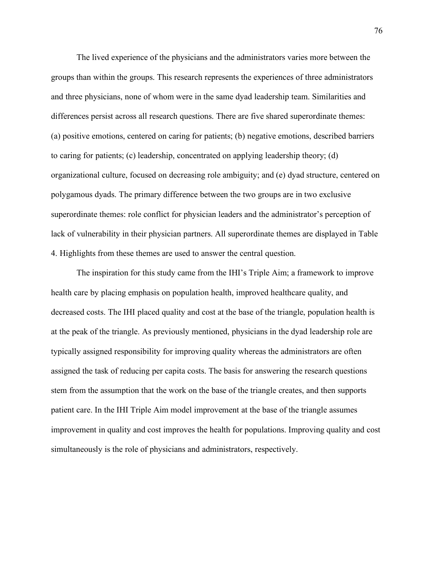The lived experience of the physicians and the administrators varies more between the groups than within the groups. This research represents the experiences of three administrators and three physicians, none of whom were in the same dyad leadership team. Similarities and differences persist across all research questions. There are five shared superordinate themes: (a) positive emotions, centered on caring for patients; (b) negative emotions, described barriers to caring for patients; (c) leadership, concentrated on applying leadership theory; (d) organizational culture, focused on decreasing role ambiguity; and (e) dyad structure, centered on polygamous dyads. The primary difference between the two groups are in two exclusive superordinate themes: role conflict for physician leaders and the administrator's perception of lack of vulnerability in their physician partners. All superordinate themes are displayed in Table 4. Highlights from these themes are used to answer the central question.

The inspiration for this study came from the IHI's Triple Aim; a framework to improve health care by placing emphasis on population health, improved healthcare quality, and decreased costs. The IHI placed quality and cost at the base of the triangle, population health is at the peak of the triangle. As previously mentioned, physicians in the dyad leadership role are typically assigned responsibility for improving quality whereas the administrators are often assigned the task of reducing per capita costs. The basis for answering the research questions stem from the assumption that the work on the base of the triangle creates, and then supports patient care. In the IHI Triple Aim model improvement at the base of the triangle assumes improvement in quality and cost improves the health for populations. Improving quality and cost simultaneously is the role of physicians and administrators, respectively.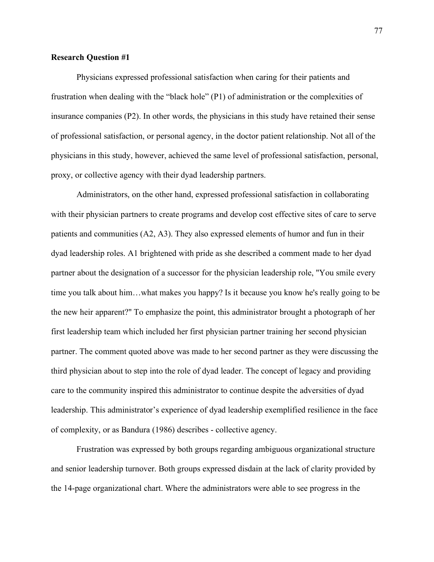# **Research Question #1**

Physicians expressed professional satisfaction when caring for their patients and frustration when dealing with the "black hole" (P1) of administration or the complexities of insurance companies (P2). In other words, the physicians in this study have retained their sense of professional satisfaction, or personal agency, in the doctor patient relationship. Not all of the physicians in this study, however, achieved the same level of professional satisfaction, personal, proxy, or collective agency with their dyad leadership partners.

Administrators, on the other hand, expressed professional satisfaction in collaborating with their physician partners to create programs and develop cost effective sites of care to serve patients and communities (A2, A3). They also expressed elements of humor and fun in their dyad leadership roles. A1 brightened with pride as she described a comment made to her dyad partner about the designation of a successor for the physician leadership role, "You smile every time you talk about him…what makes you happy? Is it because you know he's really going to be the new heir apparent?" To emphasize the point, this administrator brought a photograph of her first leadership team which included her first physician partner training her second physician partner. The comment quoted above was made to her second partner as they were discussing the third physician about to step into the role of dyad leader. The concept of legacy and providing care to the community inspired this administrator to continue despite the adversities of dyad leadership. This administrator's experience of dyad leadership exemplified resilience in the face of complexity, or as Bandura (1986) describes - collective agency.

Frustration was expressed by both groups regarding ambiguous organizational structure and senior leadership turnover. Both groups expressed disdain at the lack of clarity provided by the 14-page organizational chart. Where the administrators were able to see progress in the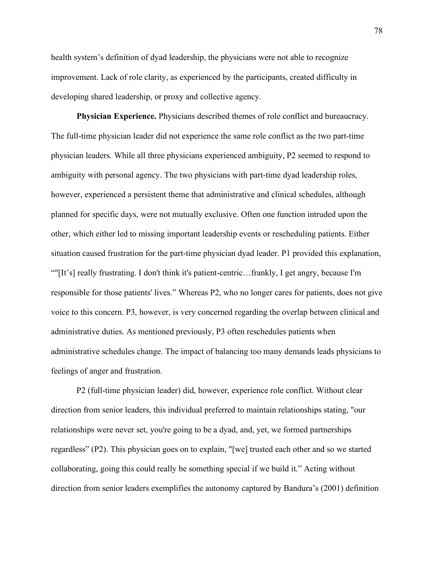health system's definition of dyad leadership, the physicians were not able to recognize improvement. Lack of role clarity, as experienced by the participants, created difficulty in developing shared leadership, or proxy and collective agency.

**Physician Experience.** Physicians described themes of role conflict and bureaucracy. The full-time physician leader did not experience the same role conflict as the two part-time physician leaders. While all three physicians experienced ambiguity, P2 seemed to respond to ambiguity with personal agency. The two physicians with part-time dyad leadership roles, however, experienced a persistent theme that administrative and clinical schedules, although planned for specific days, were not mutually exclusive. Often one function intruded upon the other, which either led to missing important leadership events or rescheduling patients. Either situation caused frustration for the part-time physician dyad leader. P1 provided this explanation, ""[It's] really frustrating. I don't think it's patient-centric…frankly, I get angry, because I'm responsible for those patients' lives." Whereas P2, who no longer cares for patients, does not give voice to this concern. P3, however, is very concerned regarding the overlap between clinical and administrative duties. As mentioned previously, P3 often reschedules patients when administrative schedules change. The impact of balancing too many demands leads physicians to feelings of anger and frustration.

P2 (full-time physician leader) did, however, experience role conflict. Without clear direction from senior leaders, this individual preferred to maintain relationships stating, "our relationships were never set, you're going to be a dyad, and, yet, we formed partnerships regardless" (P2). This physician goes on to explain, "[we] trusted each other and so we started collaborating, going this could really be something special if we build it." Acting without direction from senior leaders exemplifies the autonomy captured by Bandura's (2001) definition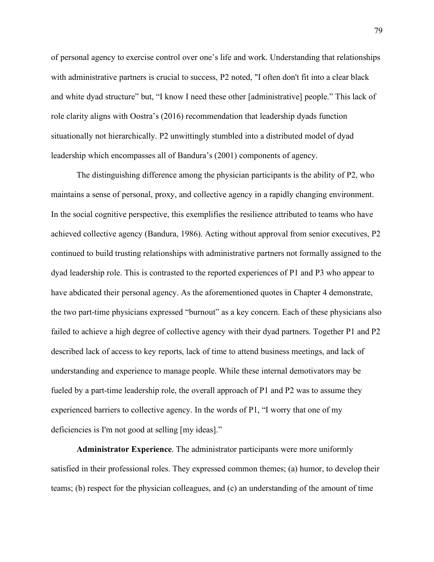of personal agency to exercise control over one's life and work. Understanding that relationships with administrative partners is crucial to success, P2 noted, "I often don't fit into a clear black and white dyad structure" but, "I know I need these other [administrative] people." This lack of role clarity aligns with Oostra's (2016) recommendation that leadership dyads function situationally not hierarchically. P2 unwittingly stumbled into a distributed model of dyad leadership which encompasses all of Bandura's (2001) components of agency.

The distinguishing difference among the physician participants is the ability of P2, who maintains a sense of personal, proxy, and collective agency in a rapidly changing environment. In the social cognitive perspective, this exemplifies the resilience attributed to teams who have achieved collective agency (Bandura, 1986). Acting without approval from senior executives, P2 continued to build trusting relationships with administrative partners not formally assigned to the dyad leadership role. This is contrasted to the reported experiences of P1 and P3 who appear to have abdicated their personal agency. As the aforementioned quotes in Chapter 4 demonstrate, the two part-time physicians expressed "burnout" as a key concern. Each of these physicians also failed to achieve a high degree of collective agency with their dyad partners. Together P1 and P2 described lack of access to key reports, lack of time to attend business meetings, and lack of understanding and experience to manage people. While these internal demotivators may be fueled by a part-time leadership role, the overall approach of P1 and P2 was to assume they experienced barriers to collective agency. In the words of P1, "I worry that one of my deficiencies is I'm not good at selling [my ideas]."

**Administrator Experience**. The administrator participants were more uniformly satisfied in their professional roles. They expressed common themes; (a) humor, to develop their teams; (b) respect for the physician colleagues, and (c) an understanding of the amount of time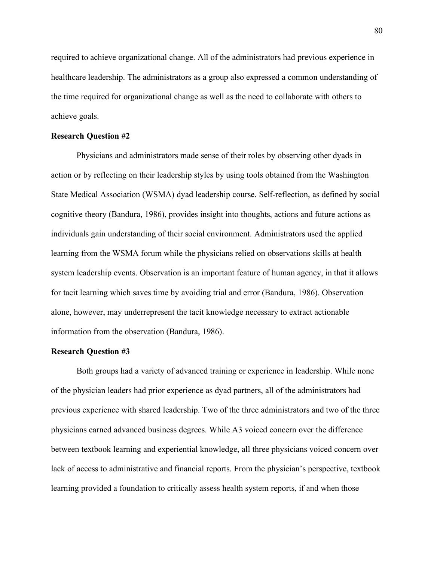required to achieve organizational change. All of the administrators had previous experience in healthcare leadership. The administrators as a group also expressed a common understanding of the time required for organizational change as well as the need to collaborate with others to achieve goals.

#### **Research Question #2**

Physicians and administrators made sense of their roles by observing other dyads in action or by reflecting on their leadership styles by using tools obtained from the Washington State Medical Association (WSMA) dyad leadership course. Self-reflection, as defined by social cognitive theory (Bandura, 1986), provides insight into thoughts, actions and future actions as individuals gain understanding of their social environment. Administrators used the applied learning from the WSMA forum while the physicians relied on observations skills at health system leadership events. Observation is an important feature of human agency, in that it allows for tacit learning which saves time by avoiding trial and error (Bandura, 1986). Observation alone, however, may underrepresent the tacit knowledge necessary to extract actionable information from the observation (Bandura, 1986).

## **Research Question #3**

Both groups had a variety of advanced training or experience in leadership. While none of the physician leaders had prior experience as dyad partners, all of the administrators had previous experience with shared leadership. Two of the three administrators and two of the three physicians earned advanced business degrees. While A3 voiced concern over the difference between textbook learning and experiential knowledge, all three physicians voiced concern over lack of access to administrative and financial reports. From the physician's perspective, textbook learning provided a foundation to critically assess health system reports, if and when those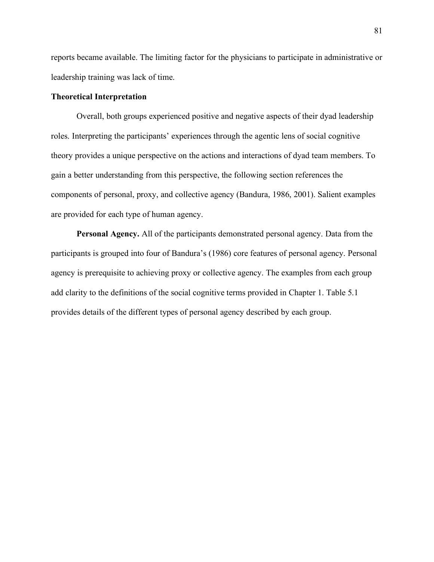reports became available. The limiting factor for the physicians to participate in administrative or leadership training was lack of time.

## **Theoretical Interpretation**

Overall, both groups experienced positive and negative aspects of their dyad leadership roles. Interpreting the participants' experiences through the agentic lens of social cognitive theory provides a unique perspective on the actions and interactions of dyad team members. To gain a better understanding from this perspective, the following section references the components of personal, proxy, and collective agency (Bandura, 1986, 2001). Salient examples are provided for each type of human agency.

**Personal Agency.** All of the participants demonstrated personal agency. Data from the participants is grouped into four of Bandura's (1986) core features of personal agency. Personal agency is prerequisite to achieving proxy or collective agency. The examples from each group add clarity to the definitions of the social cognitive terms provided in Chapter 1. Table 5.1 provides details of the different types of personal agency described by each group.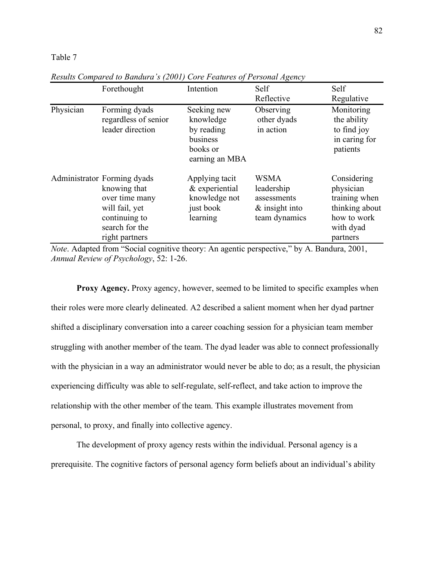#### Table 7

|           | Forethought                                                                                                                          | Intention                                                                        | Self<br>Reflective                                                             | Self<br>Regulative                                                                                  |
|-----------|--------------------------------------------------------------------------------------------------------------------------------------|----------------------------------------------------------------------------------|--------------------------------------------------------------------------------|-----------------------------------------------------------------------------------------------------|
| Physician | Forming dyads<br>regardless of senior<br>leader direction                                                                            | Seeking new<br>knowledge<br>by reading<br>business<br>books or<br>earning an MBA | Observing<br>other dyads<br>in action                                          | Monitoring<br>the ability<br>to find joy<br>in caring for<br>patients                               |
|           | Administrator Forming dyads<br>knowing that<br>over time many<br>will fail, yet<br>continuing to<br>search for the<br>right partners | Applying tacit<br>& experiential<br>knowledge not<br>just book<br>learning       | <b>WSMA</b><br>leadership<br>assessments<br>$\&$ insight into<br>team dynamics | Considering<br>physician<br>training when<br>thinking about<br>how to work<br>with dyad<br>partners |

*Results Compared to Bandura's (2001) Core Features of Personal Agency*

*Note*. Adapted from "Social cognitive theory: An agentic perspective," by A. Bandura, 2001, *Annual Review of Psychology*, 52: 1-26.

**Proxy Agency.** Proxy agency, however, seemed to be limited to specific examples when their roles were more clearly delineated. A2 described a salient moment when her dyad partner shifted a disciplinary conversation into a career coaching session for a physician team member struggling with another member of the team. The dyad leader was able to connect professionally with the physician in a way an administrator would never be able to do; as a result, the physician experiencing difficulty was able to self-regulate, self-reflect, and take action to improve the relationship with the other member of the team. This example illustrates movement from personal, to proxy, and finally into collective agency.

The development of proxy agency rests within the individual. Personal agency is a prerequisite. The cognitive factors of personal agency form beliefs about an individual's ability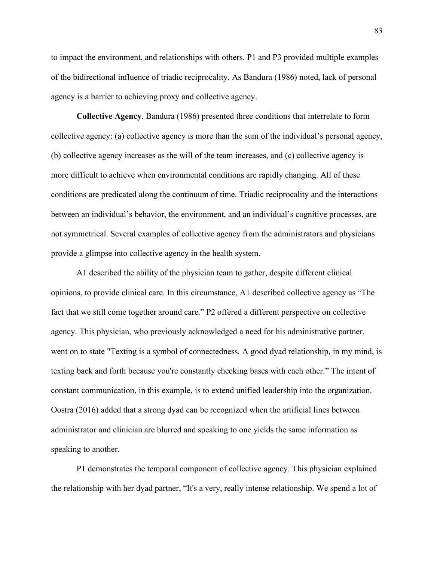to impact the environment, and relationships with others. P1 and P3 provided multiple examples of the bidirectional influence of triadic reciprocality. As Bandura (1986) noted, lack of personal agency is a barrier to achieving proxy and collective agency.

**Collective Agency**. Bandura (1986) presented three conditions that interrelate to form collective agency: (a) collective agency is more than the sum of the individual's personal agency, (b) collective agency increases as the will of the team increases, and (c) collective agency is more difficult to achieve when environmental conditions are rapidly changing. All of these conditions are predicated along the continuum of time. Triadic reciprocality and the interactions between an individual's behavior, the environment, and an individual's cognitive processes, are not symmetrical. Several examples of collective agency from the administrators and physicians provide a glimpse into collective agency in the health system.

A1 described the ability of the physician team to gather, despite different clinical opinions, to provide clinical care. In this circumstance, A1 described collective agency as "The fact that we still come together around care." P2 offered a different perspective on collective agency. This physician, who previously acknowledged a need for his administrative partner, went on to state "Texting is a symbol of connectedness. A good dyad relationship, in my mind, is texting back and forth because you're constantly checking bases with each other." The intent of constant communication, in this example, is to extend unified leadership into the organization. Oostra (2016) added that a strong dyad can be recognized when the artificial lines between administrator and clinician are blurred and speaking to one yields the same information as speaking to another.

P1 demonstrates the temporal component of collective agency. This physician explained the relationship with her dyad partner, "It's a very, really intense relationship. We spend a lot of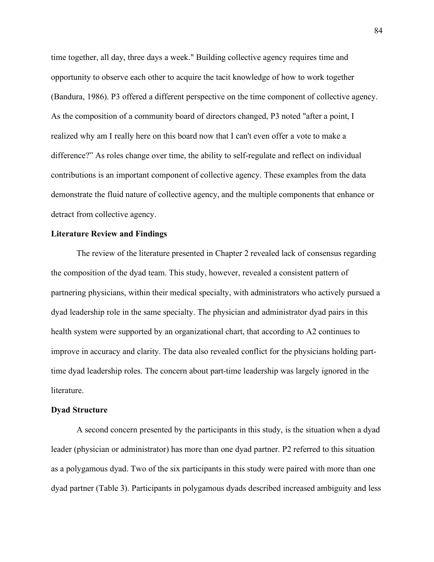time together, all day, three days a week." Building collective agency requires time and opportunity to observe each other to acquire the tacit knowledge of how to work together (Bandura, 1986). P3 offered a different perspective on the time component of collective agency. As the composition of a community board of directors changed, P3 noted "after a point, I realized why am I really here on this board now that I can't even offer a vote to make a difference?" As roles change over time, the ability to self-regulate and reflect on individual contributions is an important component of collective agency. These examples from the data demonstrate the fluid nature of collective agency, and the multiple components that enhance or detract from collective agency.

#### **Literature Review and Findings**

The review of the literature presented in Chapter 2 revealed lack of consensus regarding the composition of the dyad team. This study, however, revealed a consistent pattern of partnering physicians, within their medical specialty, with administrators who actively pursued a dyad leadership role in the same specialty. The physician and administrator dyad pairs in this health system were supported by an organizational chart, that according to A2 continues to improve in accuracy and clarity. The data also revealed conflict for the physicians holding parttime dyad leadership roles. The concern about part-time leadership was largely ignored in the literature.

### **Dyad Structure**

A second concern presented by the participants in this study, is the situation when a dyad leader (physician or administrator) has more than one dyad partner. P2 referred to this situation as a polygamous dyad. Two of the six participants in this study were paired with more than one dyad partner (Table 3). Participants in polygamous dyads described increased ambiguity and less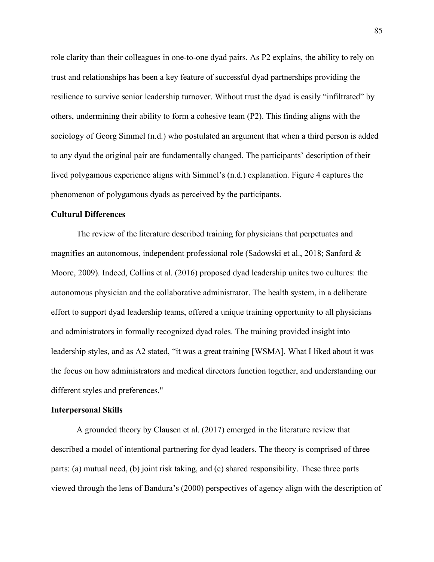role clarity than their colleagues in one-to-one dyad pairs. As P2 explains, the ability to rely on trust and relationships has been a key feature of successful dyad partnerships providing the resilience to survive senior leadership turnover. Without trust the dyad is easily "infiltrated" by others, undermining their ability to form a cohesive team (P2). This finding aligns with the sociology of Georg Simmel (n.d.) who postulated an argument that when a third person is added to any dyad the original pair are fundamentally changed. The participants' description of their lived polygamous experience aligns with Simmel's (n.d.) explanation. Figure 4 captures the phenomenon of polygamous dyads as perceived by the participants.

### **Cultural Differences**

The review of the literature described training for physicians that perpetuates and magnifies an autonomous, independent professional role (Sadowski et al., 2018; Sanford & Moore, 2009). Indeed, Collins et al. (2016) proposed dyad leadership unites two cultures: the autonomous physician and the collaborative administrator. The health system, in a deliberate effort to support dyad leadership teams, offered a unique training opportunity to all physicians and administrators in formally recognized dyad roles. The training provided insight into leadership styles, and as A2 stated, "it was a great training [WSMA]. What I liked about it was the focus on how administrators and medical directors function together, and understanding our different styles and preferences."

### **Interpersonal Skills**

A grounded theory by Clausen et al. (2017) emerged in the literature review that described a model of intentional partnering for dyad leaders. The theory is comprised of three parts: (a) mutual need, (b) joint risk taking, and (c) shared responsibility. These three parts viewed through the lens of Bandura's (2000) perspectives of agency align with the description of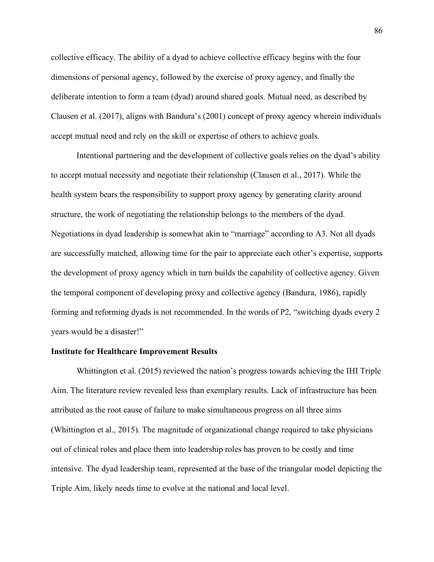collective efficacy. The ability of a dyad to achieve collective efficacy begins with the four dimensions of personal agency, followed by the exercise of proxy agency, and finally the deliberate intention to form a team (dyad) around shared goals. Mutual need, as described by Clausen et al. (2017), aligns with Bandura's (2001) concept of proxy agency wherein individuals accept mutual need and rely on the skill or expertise of others to achieve goals.

Intentional partnering and the development of collective goals relies on the dyad's ability to accept mutual necessity and negotiate their relationship (Clausen et al., 2017). While the health system bears the responsibility to support proxy agency by generating clarity around structure, the work of negotiating the relationship belongs to the members of the dyad. Negotiations in dyad leadership is somewhat akin to "marriage" according to A3. Not all dyads are successfully matched, allowing time for the pair to appreciate each other's expertise, supports the development of proxy agency which in turn builds the capability of collective agency. Given the temporal component of developing proxy and collective agency (Bandura, 1986), rapidly forming and reforming dyads is not recommended. In the words of P2, "switching dyads every 2 years would be a disaster!"

# **Institute for Healthcare Improvement Results**

Whittington et al. (2015) reviewed the nation's progress towards achieving the IHI Triple Aim. The literature review revealed less than exemplary results. Lack of infrastructure has been attributed as the root cause of failure to make simultaneous progress on all three aims (Whittington et al., 2015). The magnitude of organizational change required to take physicians out of clinical roles and place them into leadership roles has proven to be costly and time intensive. The dyad leadership team, represented at the base of the triangular model depicting the Triple Aim, likely needs time to evolve at the national and local level.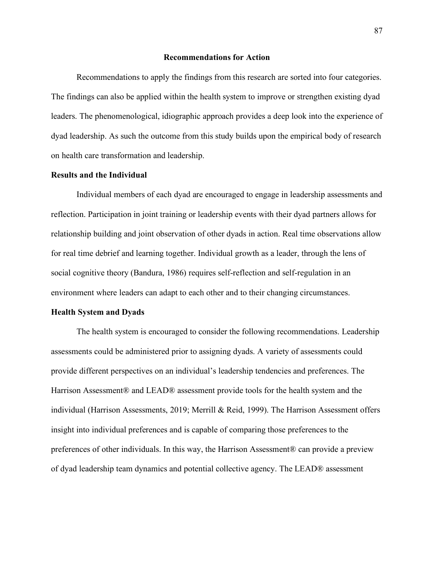#### **Recommendations for Action**

Recommendations to apply the findings from this research are sorted into four categories. The findings can also be applied within the health system to improve or strengthen existing dyad leaders. The phenomenological, idiographic approach provides a deep look into the experience of dyad leadership. As such the outcome from this study builds upon the empirical body of research on health care transformation and leadership.

### **Results and the Individual**

Individual members of each dyad are encouraged to engage in leadership assessments and reflection. Participation in joint training or leadership events with their dyad partners allows for relationship building and joint observation of other dyads in action. Real time observations allow for real time debrief and learning together. Individual growth as a leader, through the lens of social cognitive theory (Bandura, 1986) requires self-reflection and self-regulation in an environment where leaders can adapt to each other and to their changing circumstances.

#### **Health System and Dyads**

The health system is encouraged to consider the following recommendations. Leadership assessments could be administered prior to assigning dyads. A variety of assessments could provide different perspectives on an individual's leadership tendencies and preferences. The Harrison Assessment® and LEAD® assessment provide tools for the health system and the individual (Harrison Assessments, 2019; Merrill & Reid, 1999). The Harrison Assessment offers insight into individual preferences and is capable of comparing those preferences to the preferences of other individuals. In this way, the Harrison Assessment® can provide a preview of dyad leadership team dynamics and potential collective agency. The LEAD® assessment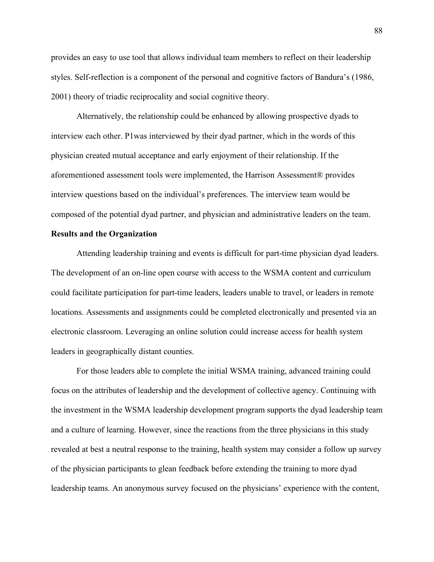provides an easy to use tool that allows individual team members to reflect on their leadership styles. Self-reflection is a component of the personal and cognitive factors of Bandura's (1986, 2001) theory of triadic reciprocality and social cognitive theory.

Alternatively, the relationship could be enhanced by allowing prospective dyads to interview each other. P1was interviewed by their dyad partner, which in the words of this physician created mutual acceptance and early enjoyment of their relationship. If the aforementioned assessment tools were implemented, the Harrison Assessment® provides interview questions based on the individual's preferences. The interview team would be composed of the potential dyad partner, and physician and administrative leaders on the team.

# **Results and the Organization**

Attending leadership training and events is difficult for part-time physician dyad leaders. The development of an on-line open course with access to the WSMA content and curriculum could facilitate participation for part-time leaders, leaders unable to travel, or leaders in remote locations. Assessments and assignments could be completed electronically and presented via an electronic classroom. Leveraging an online solution could increase access for health system leaders in geographically distant counties.

For those leaders able to complete the initial WSMA training, advanced training could focus on the attributes of leadership and the development of collective agency. Continuing with the investment in the WSMA leadership development program supports the dyad leadership team and a culture of learning. However, since the reactions from the three physicians in this study revealed at best a neutral response to the training, health system may consider a follow up survey of the physician participants to glean feedback before extending the training to more dyad leadership teams. An anonymous survey focused on the physicians' experience with the content,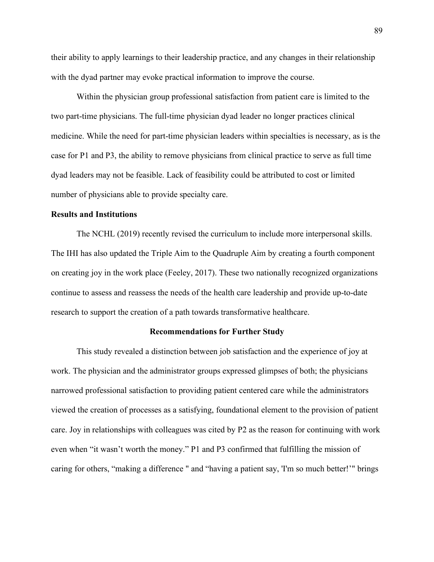their ability to apply learnings to their leadership practice, and any changes in their relationship with the dyad partner may evoke practical information to improve the course.

Within the physician group professional satisfaction from patient care is limited to the two part-time physicians. The full-time physician dyad leader no longer practices clinical medicine. While the need for part-time physician leaders within specialties is necessary, as is the case for P1 and P3, the ability to remove physicians from clinical practice to serve as full time dyad leaders may not be feasible. Lack of feasibility could be attributed to cost or limited number of physicians able to provide specialty care.

#### **Results and Institutions**

The NCHL (2019) recently revised the curriculum to include more interpersonal skills. The IHI has also updated the Triple Aim to the Quadruple Aim by creating a fourth component on creating joy in the work place (Feeley, 2017). These two nationally recognized organizations continue to assess and reassess the needs of the health care leadership and provide up-to-date research to support the creation of a path towards transformative healthcare.

#### **Recommendations for Further Study**

This study revealed a distinction between job satisfaction and the experience of joy at work. The physician and the administrator groups expressed glimpses of both; the physicians narrowed professional satisfaction to providing patient centered care while the administrators viewed the creation of processes as a satisfying, foundational element to the provision of patient care. Joy in relationships with colleagues was cited by P2 as the reason for continuing with work even when "it wasn't worth the money." P1 and P3 confirmed that fulfilling the mission of caring for others, "making a difference " and "having a patient say, 'I'm so much better!'" brings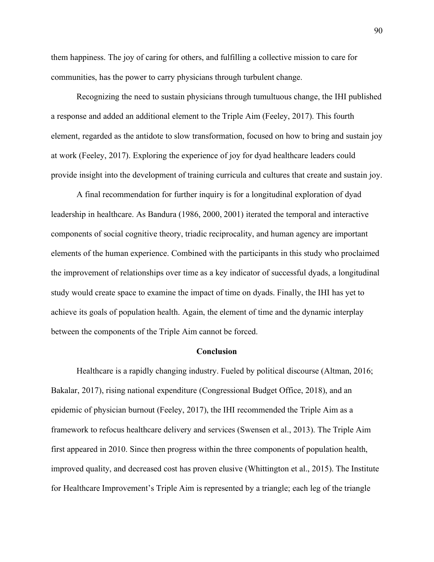them happiness. The joy of caring for others, and fulfilling a collective mission to care for communities, has the power to carry physicians through turbulent change.

Recognizing the need to sustain physicians through tumultuous change, the IHI published a response and added an additional element to the Triple Aim (Feeley, 2017). This fourth element, regarded as the antidote to slow transformation, focused on how to bring and sustain joy at work (Feeley, 2017). Exploring the experience of joy for dyad healthcare leaders could provide insight into the development of training curricula and cultures that create and sustain joy.

A final recommendation for further inquiry is for a longitudinal exploration of dyad leadership in healthcare. As Bandura (1986, 2000, 2001) iterated the temporal and interactive components of social cognitive theory, triadic reciprocality, and human agency are important elements of the human experience. Combined with the participants in this study who proclaimed the improvement of relationships over time as a key indicator of successful dyads, a longitudinal study would create space to examine the impact of time on dyads. Finally, the IHI has yet to achieve its goals of population health. Again, the element of time and the dynamic interplay between the components of the Triple Aim cannot be forced.

# **Conclusion**

Healthcare is a rapidly changing industry. Fueled by political discourse (Altman, 2016; Bakalar, 2017), rising national expenditure (Congressional Budget Office, 2018), and an epidemic of physician burnout (Feeley, 2017), the IHI recommended the Triple Aim as a framework to refocus healthcare delivery and services (Swensen et al., 2013). The Triple Aim first appeared in 2010. Since then progress within the three components of population health, improved quality, and decreased cost has proven elusive (Whittington et al., 2015). The Institute for Healthcare Improvement's Triple Aim is represented by a triangle; each leg of the triangle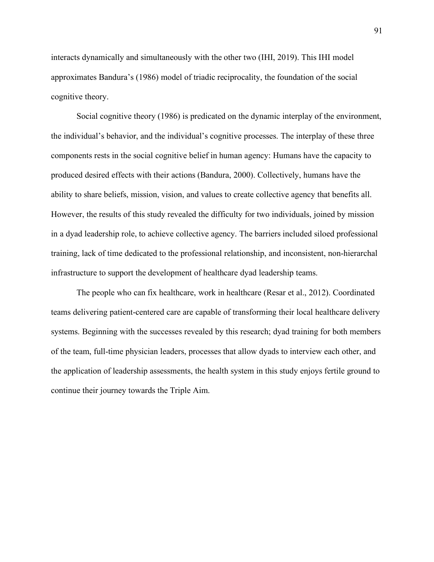interacts dynamically and simultaneously with the other two (IHI, 2019). This IHI model approximates Bandura's (1986) model of triadic reciprocality, the foundation of the social cognitive theory.

Social cognitive theory (1986) is predicated on the dynamic interplay of the environment, the individual's behavior, and the individual's cognitive processes. The interplay of these three components rests in the social cognitive belief in human agency: Humans have the capacity to produced desired effects with their actions (Bandura, 2000). Collectively, humans have the ability to share beliefs, mission, vision, and values to create collective agency that benefits all. However, the results of this study revealed the difficulty for two individuals, joined by mission in a dyad leadership role, to achieve collective agency. The barriers included siloed professional training, lack of time dedicated to the professional relationship, and inconsistent, non-hierarchal infrastructure to support the development of healthcare dyad leadership teams.

The people who can fix healthcare, work in healthcare (Resar et al., 2012). Coordinated teams delivering patient-centered care are capable of transforming their local healthcare delivery systems. Beginning with the successes revealed by this research; dyad training for both members of the team, full-time physician leaders, processes that allow dyads to interview each other, and the application of leadership assessments, the health system in this study enjoys fertile ground to continue their journey towards the Triple Aim.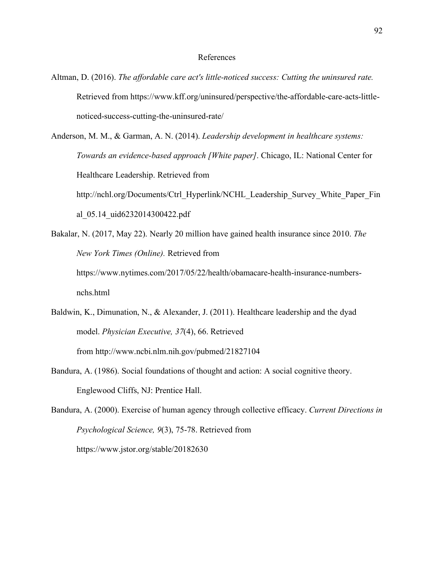#### References

- Altman, D. (2016). *The affordable care act's little-noticed success: Cutting the uninsured rate.* Retrieved from https://www.kff.org/uninsured/perspective/the-affordable-care-acts-littlenoticed-success-cutting-the-uninsured-rate/
- Anderson, M. M., & Garman, A. N. (2014). *Leadership development in healthcare systems: Towards an evidence-based approach [White paper]*. Chicago, IL: National Center for Healthcare Leadership. Retrieved from http://nchl.org/Documents/Ctrl\_Hyperlink/NCHL\_Leadership\_Survey\_White\_Paper\_Fin al\_05.14\_uid6232014300422.pdf
- Bakalar, N. (2017, May 22). Nearly 20 million have gained health insurance since 2010. *The New York Times (Online).* Retrieved from https://www.nytimes.com/2017/05/22/health/obamacare-health-insurance-numbersnchs.html
- Baldwin, K., Dimunation, N., & Alexander, J. (2011). Healthcare leadership and the dyad model. *Physician Executive, 37*(4), 66. Retrieved from http://www.ncbi.nlm.nih.gov/pubmed/21827104
- Bandura, A. (1986). Social foundations of thought and action: A social cognitive theory. Englewood Cliffs, NJ: Prentice Hall.
- Bandura, A. (2000). Exercise of human agency through collective efficacy. *Current Directions in Psychological Science, 9*(3), 75-78. Retrieved from https://www.jstor.org/stable/20182630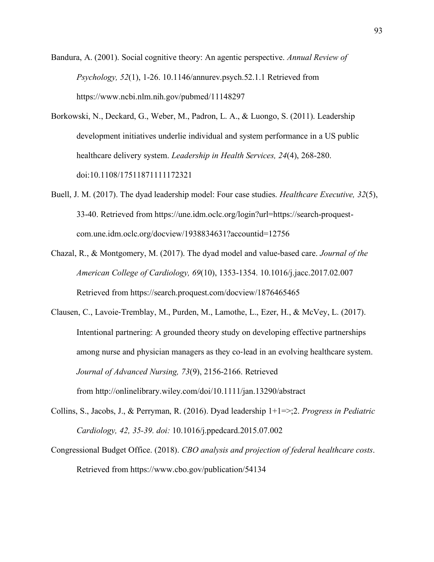Bandura, A. (2001). Social cognitive theory: An agentic perspective. *Annual Review of Psychology, 52*(1), 1-26. 10.1146/annurev.psych.52.1.1 Retrieved from https://www.ncbi.nlm.nih.gov/pubmed/11148297

- Borkowski, N., Deckard, G., Weber, M., Padron, L. A., & Luongo, S. (2011). Leadership development initiatives underlie individual and system performance in a US public healthcare delivery system. *Leadership in Health Services, 24*(4), 268-280. doi:10.1108/17511871111172321
- Buell, J. M. (2017). The dyad leadership model: Four case studies. *Healthcare Executive, 32*(5), 33-40. Retrieved from https://une.idm.oclc.org/login?url=https://search-proquestcom.une.idm.oclc.org/docview/1938834631?accountid=12756
- Chazal, R., & Montgomery, M. (2017). The dyad model and value-based care. *Journal of the American College of Cardiology, 69*(10), 1353-1354. 10.1016/j.jacc.2017.02.007 Retrieved from https://search.proquest.com/docview/1876465465
- Clausen, C., Lavoie-Tremblay, M., Purden, M., Lamothe, L., Ezer, H., & McVey, L. (2017). Intentional partnering: A grounded theory study on developing effective partnerships among nurse and physician managers as they co-lead in an evolving healthcare system. *Journal of Advanced Nursing, 73*(9), 2156-2166. Retrieved from http://onlinelibrary.wiley.com/doi/10.1111/jan.13290/abstract
- Collins, S., Jacobs, J., & Perryman, R. (2016). Dyad leadership 1+1=>;2. *Progress in Pediatric Cardiology, 42, 35-39. doi:* 10.1016/j.ppedcard.2015.07.002
- Congressional Budget Office. (2018). *CBO analysis and projection of federal healthcare costs*. Retrieved from https://www.cbo.gov/publication/54134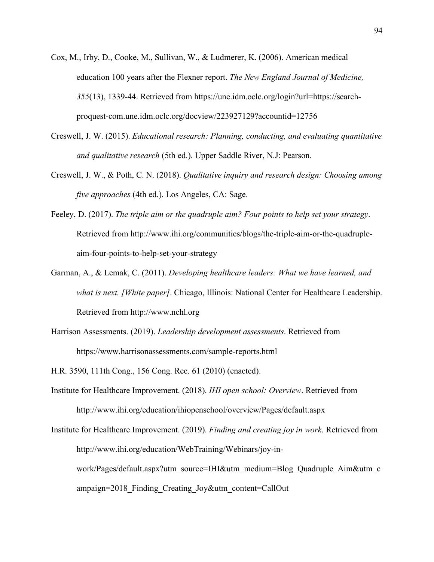- Cox, M., Irby, D., Cooke, M., Sullivan, W., & Ludmerer, K. (2006). American medical education 100 years after the Flexner report. *The New England Journal of Medicine, 355*(13), 1339-44. Retrieved from https://une.idm.oclc.org/login?url=https://searchproquest-com.une.idm.oclc.org/docview/223927129?accountid=12756
- Creswell, J. W. (2015). *Educational research: Planning, conducting, and evaluating quantitative and qualitative research* (5th ed.). Upper Saddle River, N.J: Pearson.
- Creswell, J. W., & Poth, C. N. (2018). *Qualitative inquiry and research design: Choosing among five approaches* (4th ed.). Los Angeles, CA: Sage.
- Feeley, D. (2017). *The triple aim or the quadruple aim? Four points to help set your strategy*. Retrieved from http://www.ihi.org/communities/blogs/the-triple-aim-or-the-quadrupleaim-four-points-to-help-set-your-strategy
- Garman, A., & Lemak, C. (2011). *Developing healthcare leaders: What we have learned, and what is next. [White paper]*. Chicago, Illinois: National Center for Healthcare Leadership. Retrieved from http://www.nchl.org
- Harrison Assessments. (2019). *Leadership development assessments*. Retrieved from https://www.harrisonassessments.com/sample-reports.html
- H.R. 3590, 111th Cong., 156 Cong. Rec. 61 (2010) (enacted).
- Institute for Healthcare Improvement. (2018). *IHI open school: Overview*. Retrieved from http://www.ihi.org/education/ihiopenschool/overview/Pages/default.aspx
- Institute for Healthcare Improvement. (2019). *Finding and creating joy in work*. Retrieved from http://www.ihi.org/education/WebTraining/Webinars/joy-inwork/Pages/default.aspx?utm\_source=IHI&utm\_medium=Blog\_Quadruple\_Aim&utm\_c ampaign=2018\_Finding\_Creating\_Joy&utm\_content=CallOut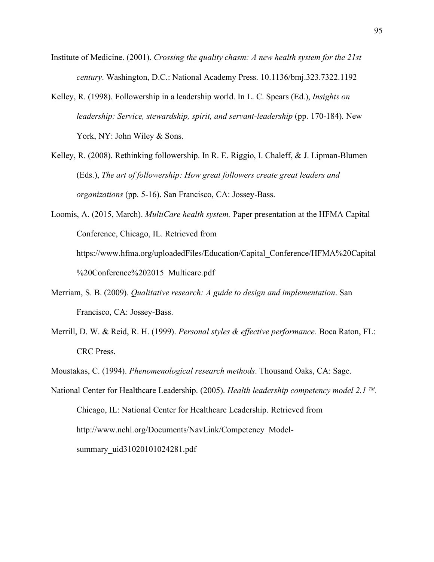- Institute of Medicine. (2001). *Crossing the quality chasm: A new health system for the 21st century*. Washington, D.C.: National Academy Press. 10.1136/bmj.323.7322.1192
- Kelley, R. (1998). Followership in a leadership world. In L. C. Spears (Ed.), *Insights on leadership: Service, stewardship, spirit, and servant-leadership* (pp. 170-184). New York, NY: John Wiley & Sons.
- Kelley, R. (2008). Rethinking followership. In R. E. Riggio, I. Chaleff, & J. Lipman-Blumen (Eds.), *The art of followership: How great followers create great leaders and organizations* (pp. 5-16). San Francisco, CA: Jossey-Bass.

Loomis, A. (2015, March). *MultiCare health system.* Paper presentation at the HFMA Capital Conference, Chicago, IL. Retrieved from https://www.hfma.org/uploadedFiles/Education/Capital\_Conference/HFMA%20Capital %20Conference%202015\_Multicare.pdf

- Merriam, S. B. (2009). *Qualitative research: A guide to design and implementation*. San Francisco, CA: Jossey-Bass.
- Merrill, D. W. & Reid, R. H. (1999). *Personal styles & effective performance.* Boca Raton, FL: CRC Press.
- Moustakas, C. (1994). *Phenomenological research methods*. Thousand Oaks, CA: Sage.
- National Center for Healthcare Leadership. (2005). *Health leadership competency model 2.1 TM.* Chicago, IL: National Center for Healthcare Leadership. Retrieved from http://www.nchl.org/Documents/NavLink/Competency\_Modelsummary\_uid31020101024281.pdf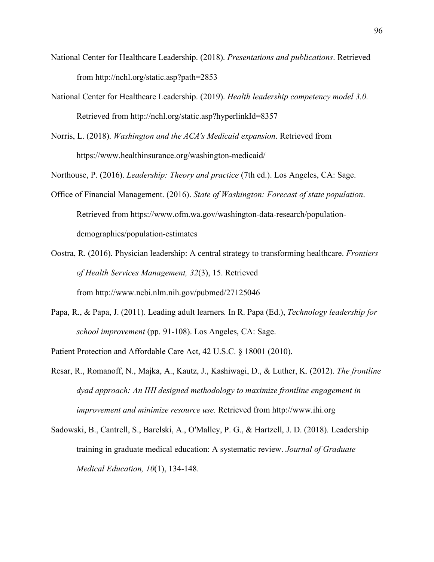- National Center for Healthcare Leadership. (2018). *Presentations and publications*. Retrieved from http://nchl.org/static.asp?path=2853
- National Center for Healthcare Leadership. (2019). *Health leadership competency model 3.0.* Retrieved from http://nchl.org/static.asp?hyperlinkId=8357
- Norris, L. (2018). *Washington and the ACA's Medicaid expansion*. Retrieved from https://www.healthinsurance.org/washington-medicaid/

Northouse, P. (2016). *Leadership: Theory and practice* (7th ed.). Los Angeles, CA: Sage.

- Office of Financial Management. (2016). *State of Washington: Forecast of state population*. Retrieved from https://www.ofm.wa.gov/washington-data-research/populationdemographics/population-estimates
- Oostra, R. (2016). Physician leadership: A central strategy to transforming healthcare. *Frontiers of Health Services Management, 32*(3), 15. Retrieved from http://www.ncbi.nlm.nih.gov/pubmed/27125046
- Papa, R., & Papa, J. (2011). Leading adult learners. In R. Papa (Ed.), *Technology leadership for school improvement* (pp. 91-108). Los Angeles, CA: Sage.

Patient Protection and Affordable Care Act, 42 U.S.C. § 18001 (2010).

- Resar, R., Romanoff, N., Majka, A., Kautz, J., Kashiwagi, D., & Luther, K. (2012). *The frontline dyad approach: An IHI designed methodology to maximize frontline engagement in improvement and minimize resource use.* Retrieved from http://www.ihi.org
- Sadowski, B., Cantrell, S., Barelski, A., O'Malley, P. G., & Hartzell, J. D. (2018). Leadership training in graduate medical education: A systematic review. *Journal of Graduate Medical Education, 10*(1), 134-148.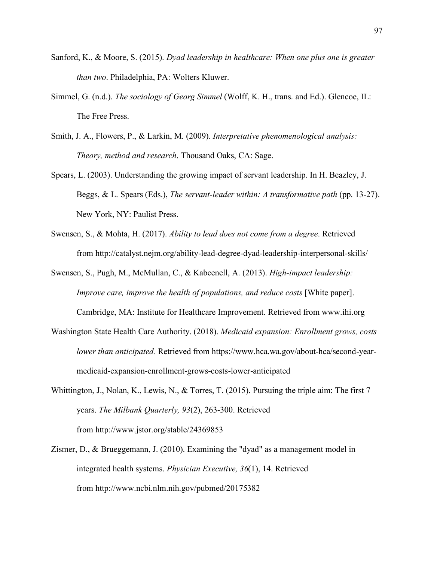- Sanford, K., & Moore, S. (2015). *Dyad leadership in healthcare: When one plus one is greater than two*. Philadelphia, PA: Wolters Kluwer.
- Simmel, G. (n.d.). *The sociology of Georg Simmel* (Wolff, K. H., trans. and Ed.). Glencoe, IL: The Free Press.
- Smith, J. A., Flowers, P., & Larkin, M. (2009). *Interpretative phenomenological analysis: Theory, method and research*. Thousand Oaks, CA: Sage.
- Spears, L. (2003). Understanding the growing impact of servant leadership. In H. Beazley, J. Beggs, & L. Spears (Eds.), *The servant-leader within: A transformative path* (pp. 13-27). New York, NY: Paulist Press.
- Swensen, S., & Mohta, H. (2017). *Ability to lead does not come from a degree*. Retrieved from http://catalyst.nejm.org/ability-lead-degree-dyad-leadership-interpersonal-skills/
- Swensen, S., Pugh, M., McMullan, C., & Kabcenell, A. (2013). *High-impact leadership: Improve care, improve the health of populations, and reduce costs* [White paper].

Cambridge, MA: Institute for Healthcare Improvement. Retrieved from www.ihi.org

- Washington State Health Care Authority. (2018). *Medicaid expansion: Enrollment grows, costs lower than anticipated.* Retrieved from https://www.hca.wa.gov/about-hca/second-yearmedicaid-expansion-enrollment-grows-costs-lower-anticipated
- Whittington, J., Nolan, K., Lewis, N., & Torres, T. (2015). Pursuing the triple aim: The first 7 years. *The Milbank Quarterly, 93*(2), 263-300. Retrieved from http://www.jstor.org/stable/24369853
- Zismer, D., & Brueggemann, J. (2010). Examining the "dyad" as a management model in integrated health systems. *Physician Executive, 36*(1), 14. Retrieved from http://www.ncbi.nlm.nih.gov/pubmed/20175382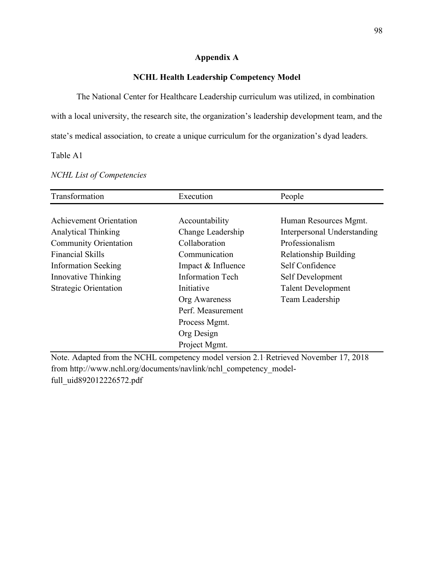#### **Appendix A**

#### **NCHL Health Leadership Competency Model**

The National Center for Healthcare Leadership curriculum was utilized, in combination with a local university, the research site, the organization's leadership development team, and the state's medical association, to create a unique curriculum for the organization's dyad leaders.

Table A1

| Transformation                 | Execution               | People                       |
|--------------------------------|-------------------------|------------------------------|
|                                |                         |                              |
| <b>Achievement Orientation</b> | Accountability          | Human Resources Mgmt.        |
| <b>Analytical Thinking</b>     | Change Leadership       | Interpersonal Understanding  |
| <b>Community Orientation</b>   | Collaboration           | Professionalism              |
| <b>Financial Skills</b>        | Communication           | <b>Relationship Building</b> |
| <b>Information Seeking</b>     | Impact & Influence      | Self Confidence              |
| Innovative Thinking            | <b>Information Tech</b> | Self Development             |
| <b>Strategic Orientation</b>   | Initiative              | <b>Talent Development</b>    |
|                                | Org Awareness           | Team Leadership              |
|                                | Perf. Measurement       |                              |
|                                | Process Mgmt.           |                              |
|                                | Org Design              |                              |
|                                | Project Mgmt.           |                              |

*NCHL List of Competencies*

Note. Adapted from the NCHL competency model version 2.1. Retrieved November 17, 2018 from http://www.nchl.org/documents/navlink/nchl\_competency\_modelfull\_uid892012226572.pdf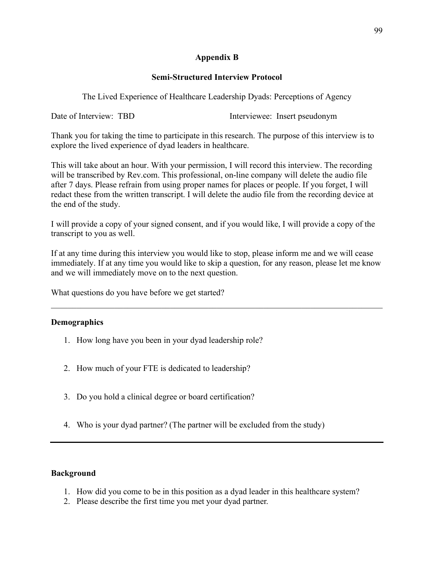#### **Appendix B**

#### **Semi-Structured Interview Protocol**

The Lived Experience of Healthcare Leadership Dyads: Perceptions of Agency

Date of Interview: TBD Interviewee: Insert pseudonym

Thank you for taking the time to participate in this research. The purpose of this interview is to explore the lived experience of dyad leaders in healthcare.

This will take about an hour. With your permission, I will record this interview. The recording will be transcribed by Rev.com. This professional, on-line company will delete the audio file after 7 days. Please refrain from using proper names for places or people. If you forget, I will redact these from the written transcript. I will delete the audio file from the recording device at the end of the study.

I will provide a copy of your signed consent, and if you would like, I will provide a copy of the transcript to you as well.

If at any time during this interview you would like to stop, please inform me and we will cease immediately. If at any time you would like to skip a question, for any reason, please let me know and we will immediately move on to the next question.

 $\mathcal{L}_\mathcal{L} = \{ \mathcal{L}_\mathcal{L} = \{ \mathcal{L}_\mathcal{L} = \{ \mathcal{L}_\mathcal{L} = \{ \mathcal{L}_\mathcal{L} = \{ \mathcal{L}_\mathcal{L} = \{ \mathcal{L}_\mathcal{L} = \{ \mathcal{L}_\mathcal{L} = \{ \mathcal{L}_\mathcal{L} = \{ \mathcal{L}_\mathcal{L} = \{ \mathcal{L}_\mathcal{L} = \{ \mathcal{L}_\mathcal{L} = \{ \mathcal{L}_\mathcal{L} = \{ \mathcal{L}_\mathcal{L} = \{ \mathcal{L}_\mathcal{$ 

What questions do you have before we get started?

#### **Demographics**

- 1. How long have you been in your dyad leadership role?
- 2. How much of your FTE is dedicated to leadership?
- 3. Do you hold a clinical degree or board certification?
- 4. Who is your dyad partner? (The partner will be excluded from the study)

#### **Background**

- 1. How did you come to be in this position as a dyad leader in this healthcare system?
- 2. Please describe the first time you met your dyad partner.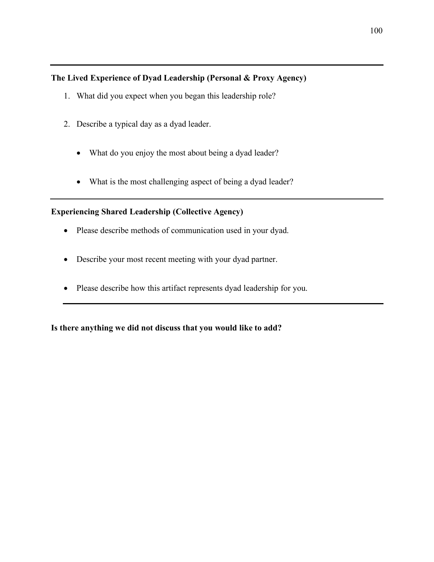## **The Lived Experience of Dyad Leadership (Personal & Proxy Agency)**

- 1. What did you expect when you began this leadership role?
- 2. Describe a typical day as a dyad leader.
	- What do you enjoy the most about being a dyad leader?
	- What is the most challenging aspect of being a dyad leader?

### **Experiencing Shared Leadership (Collective Agency)**

- Please describe methods of communication used in your dyad.
- Describe your most recent meeting with your dyad partner.
- Please describe how this artifact represents dyad leadership for you.

**Is there anything we did not discuss that you would like to add?**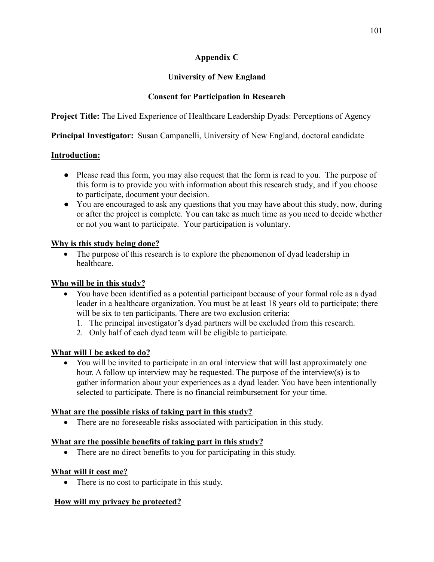### **Appendix C**

## **University of New England**

### **Consent for Participation in Research**

**Project Title:** The Lived Experience of Healthcare Leadership Dyads: Perceptions of Agency

**Principal Investigator:** Susan Campanelli, University of New England, doctoral candidate

#### **Introduction:**

- Please read this form, you may also request that the form is read to you. The purpose of this form is to provide you with information about this research study, and if you choose to participate, document your decision.
- You are encouraged to ask any questions that you may have about this study, now, during or after the project is complete. You can take as much time as you need to decide whether or not you want to participate. Your participation is voluntary.

### **Why is this study being done?**

• The purpose of this research is to explore the phenomenon of dyad leadership in healthcare.

### **Who will be in this study?**

- You have been identified as a potential participant because of your formal role as a dyad leader in a healthcare organization. You must be at least 18 years old to participate; there will be six to ten participants. There are two exclusion criteria:
	- 1. The principal investigator's dyad partners will be excluded from this research.
	- 2. Only half of each dyad team will be eligible to participate.

#### **What will I be asked to do?**

• You will be invited to participate in an oral interview that will last approximately one hour. A follow up interview may be requested. The purpose of the interview(s) is to gather information about your experiences as a dyad leader. You have been intentionally selected to participate. There is no financial reimbursement for your time.

#### **What are the possible risks of taking part in this study?**

• There are no foreseeable risks associated with participation in this study.

#### **What are the possible benefits of taking part in this study?**

• There are no direct benefits to you for participating in this study.

#### **What will it cost me?**

• There is no cost to participate in this study.

# **How will my privacy be protected?**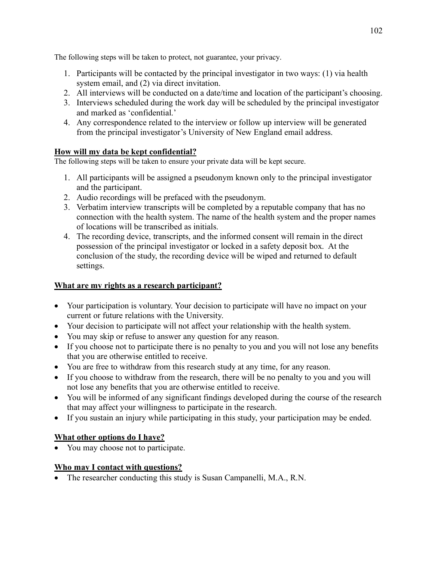The following steps will be taken to protect, not guarantee, your privacy.

- 1. Participants will be contacted by the principal investigator in two ways: (1) via health system email, and (2) via direct invitation.
- 2. All interviews will be conducted on a date/time and location of the participant's choosing.
- 3. Interviews scheduled during the work day will be scheduled by the principal investigator and marked as 'confidential.'
- 4. Any correspondence related to the interview or follow up interview will be generated from the principal investigator's University of New England email address.

#### **How will my data be kept confidential?**

The following steps will be taken to ensure your private data will be kept secure.

- 1. All participants will be assigned a pseudonym known only to the principal investigator and the participant.
- 2. Audio recordings will be prefaced with the pseudonym.
- 3. Verbatim interview transcripts will be completed by a reputable company that has no connection with the health system. The name of the health system and the proper names of locations will be transcribed as initials.
- 4. The recording device, transcripts, and the informed consent will remain in the direct possession of the principal investigator or locked in a safety deposit box. At the conclusion of the study, the recording device will be wiped and returned to default settings.

#### **What are my rights as a research participant?**

- Your participation is voluntary. Your decision to participate will have no impact on your current or future relations with the University.
- Your decision to participate will not affect your relationship with the health system.
- You may skip or refuse to answer any question for any reason.
- If you choose not to participate there is no penalty to you and you will not lose any benefits that you are otherwise entitled to receive.
- You are free to withdraw from this research study at any time, for any reason.
- If you choose to withdraw from the research, there will be no penalty to you and you will not lose any benefits that you are otherwise entitled to receive.
- You will be informed of any significant findings developed during the course of the research that may affect your willingness to participate in the research.
- If you sustain an injury while participating in this study, your participation may be ended.

#### **What other options do I have?**

• You may choose not to participate.

#### **Who may I contact with questions?**

• The researcher conducting this study is Susan Campanelli, M.A., R.N.